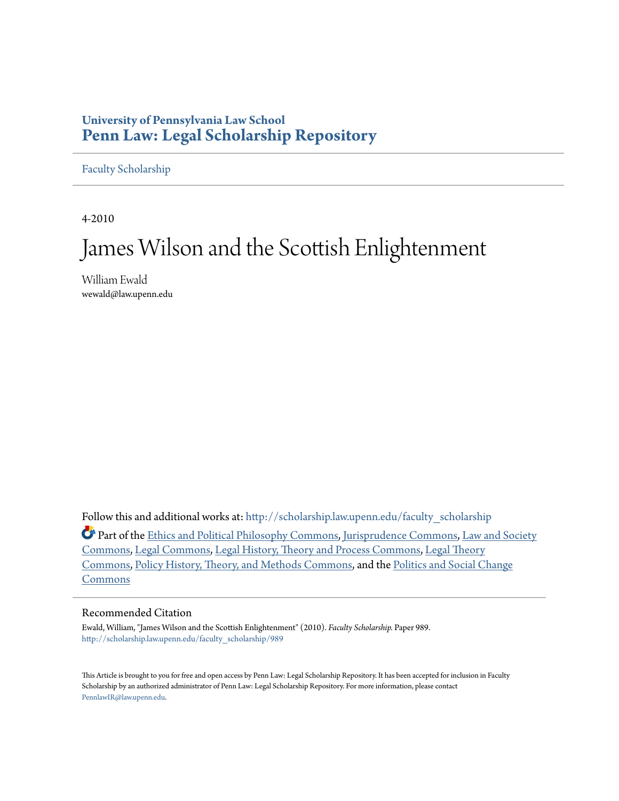# **University of Pennsylvania Law School [Penn Law: Legal Scholarship Repository](http://scholarship.law.upenn.edu?utm_source=scholarship.law.upenn.edu%2Ffaculty_scholarship%2F989&utm_medium=PDF&utm_campaign=PDFCoverPages)**

[Faculty Scholarship](http://scholarship.law.upenn.edu/faculty_scholarship?utm_source=scholarship.law.upenn.edu%2Ffaculty_scholarship%2F989&utm_medium=PDF&utm_campaign=PDFCoverPages)

4-2010

# James Wilson and the Scottish Enlightenment

William Ewald wewald@law.upenn.edu

Follow this and additional works at: [http://scholarship.law.upenn.edu/faculty\\_scholarship](http://scholarship.law.upenn.edu/faculty_scholarship?utm_source=scholarship.law.upenn.edu%2Ffaculty_scholarship%2F989&utm_medium=PDF&utm_campaign=PDFCoverPages) Part of the [Ethics and Political Philosophy Commons,](http://network.bepress.com/hgg/discipline/529?utm_source=scholarship.law.upenn.edu%2Ffaculty_scholarship%2F989&utm_medium=PDF&utm_campaign=PDFCoverPages) [Jurisprudence Commons,](http://network.bepress.com/hgg/discipline/610?utm_source=scholarship.law.upenn.edu%2Ffaculty_scholarship%2F989&utm_medium=PDF&utm_campaign=PDFCoverPages) [Law and Society](http://network.bepress.com/hgg/discipline/853?utm_source=scholarship.law.upenn.edu%2Ffaculty_scholarship%2F989&utm_medium=PDF&utm_campaign=PDFCoverPages) [Commons,](http://network.bepress.com/hgg/discipline/853?utm_source=scholarship.law.upenn.edu%2Ffaculty_scholarship%2F989&utm_medium=PDF&utm_campaign=PDFCoverPages) [Legal Commons](http://network.bepress.com/hgg/discipline/502?utm_source=scholarship.law.upenn.edu%2Ffaculty_scholarship%2F989&utm_medium=PDF&utm_campaign=PDFCoverPages), [Legal History, Theory and Process Commons](http://network.bepress.com/hgg/discipline/904?utm_source=scholarship.law.upenn.edu%2Ffaculty_scholarship%2F989&utm_medium=PDF&utm_campaign=PDFCoverPages), [Legal Theory](http://network.bepress.com/hgg/discipline/369?utm_source=scholarship.law.upenn.edu%2Ffaculty_scholarship%2F989&utm_medium=PDF&utm_campaign=PDFCoverPages)

[Commons,](http://network.bepress.com/hgg/discipline/369?utm_source=scholarship.law.upenn.edu%2Ffaculty_scholarship%2F989&utm_medium=PDF&utm_campaign=PDFCoverPages) [Policy History, Theory, and Methods Commons,](http://network.bepress.com/hgg/discipline/1036?utm_source=scholarship.law.upenn.edu%2Ffaculty_scholarship%2F989&utm_medium=PDF&utm_campaign=PDFCoverPages) and the [Politics and Social Change](http://network.bepress.com/hgg/discipline/425?utm_source=scholarship.law.upenn.edu%2Ffaculty_scholarship%2F989&utm_medium=PDF&utm_campaign=PDFCoverPages) [Commons](http://network.bepress.com/hgg/discipline/425?utm_source=scholarship.law.upenn.edu%2Ffaculty_scholarship%2F989&utm_medium=PDF&utm_campaign=PDFCoverPages)

# Recommended Citation

Ewald, William, "James Wilson and the Scottish Enlightenment" (2010). *Faculty Scholarship.* Paper 989. [http://scholarship.law.upenn.edu/faculty\\_scholarship/989](http://scholarship.law.upenn.edu/faculty_scholarship/989?utm_source=scholarship.law.upenn.edu%2Ffaculty_scholarship%2F989&utm_medium=PDF&utm_campaign=PDFCoverPages)

This Article is brought to you for free and open access by Penn Law: Legal Scholarship Repository. It has been accepted for inclusion in Faculty Scholarship by an authorized administrator of Penn Law: Legal Scholarship Repository. For more information, please contact [PennlawIR@law.upenn.edu](mailto:PennlawIR@law.upenn.edu).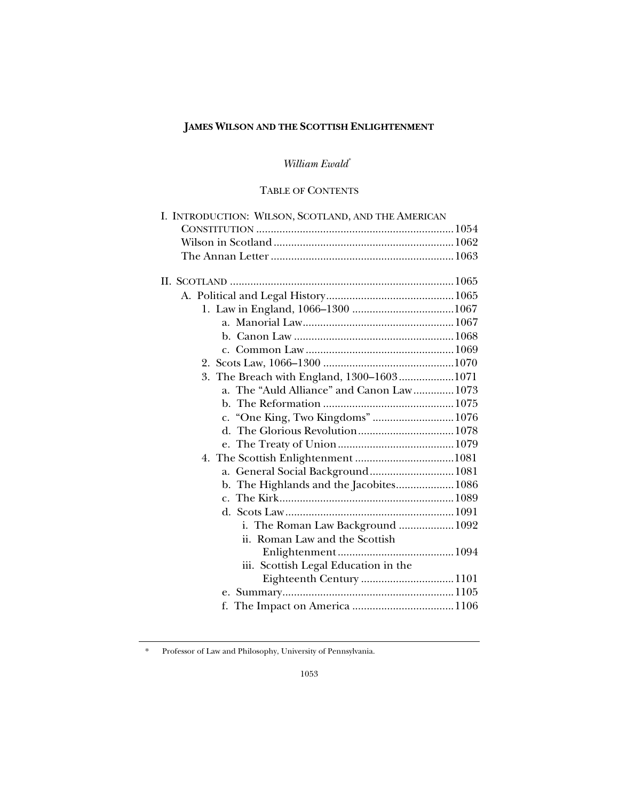# **JAMES WILSON AND THE SCOTTISH ENLIGHTENMENT**

# *William Ewald*[\\*](#page-1-0)

# TABLE OF CONTENTS

| I. INTRODUCTION: WILSON, SCOTLAND, AND THE AMERICAN |  |
|-----------------------------------------------------|--|
|                                                     |  |
|                                                     |  |
|                                                     |  |
|                                                     |  |
|                                                     |  |
|                                                     |  |
|                                                     |  |
|                                                     |  |
|                                                     |  |
|                                                     |  |
|                                                     |  |
| 3. The Breach with England, 1300-16031071           |  |
| a. The "Auld Alliance" and Canon Law 1073           |  |
|                                                     |  |
| c. "One King, Two Kingdoms" 1076                    |  |
|                                                     |  |
|                                                     |  |
|                                                     |  |
| a. General Social Background 1081                   |  |
| b. The Highlands and the Jacobites 1086             |  |
|                                                     |  |
|                                                     |  |
| i. The Roman Law Background  1092                   |  |
| ii. Roman Law and the Scottish                      |  |
|                                                     |  |
| iii. Scottish Legal Education in the                |  |
|                                                     |  |
|                                                     |  |
|                                                     |  |
|                                                     |  |

<span id="page-1-0"></span><sup>\*</sup> Professor of Law and Philosophy, University of Pennsylvania.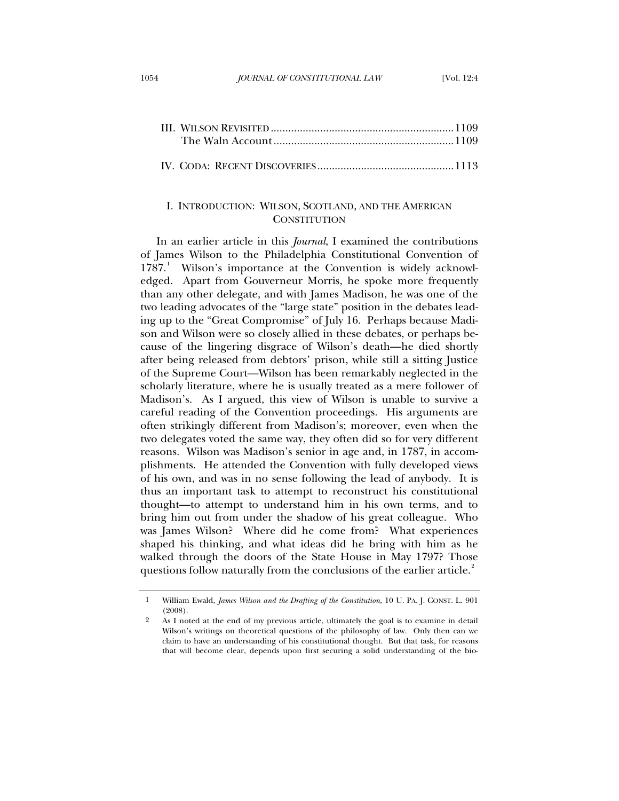<span id="page-2-0"></span>

# I. INTRODUCTION: WILSON, SCOTLAND, AND THE AMERICAN **CONSTITUTION**

In an earlier article in this *Journal*, I examined the contributions of James Wilson to the Philadelphia Constitutional Convention of [1](#page-2-1)787.<sup>1</sup> Wilson's importance at the Convention is widely acknowledged. Apart from Gouverneur Morris, he spoke more frequently than any other delegate, and with James Madison, he was one of the two leading advocates of the "large state" position in the debates leading up to the "Great Compromise" of July 16. Perhaps because Madison and Wilson were so closely allied in these debates, or perhaps because of the lingering disgrace of Wilson's death—he died shortly after being released from debtors' prison, while still a sitting Justice of the Supreme Court—Wilson has been remarkably neglected in the scholarly literature, where he is usually treated as a mere follower of Madison's. As I argued, this view of Wilson is unable to survive a careful reading of the Convention proceedings. His arguments are often strikingly different from Madison's; moreover, even when the two delegates voted the same way, they often did so for very different reasons. Wilson was Madison's senior in age and, in 1787, in accomplishments. He attended the Convention with fully developed views of his own, and was in no sense following the lead of anybody. It is thus an important task to attempt to reconstruct his constitutional thought—to attempt to understand him in his own terms, and to bring him out from under the shadow of his great colleague. Who was James Wilson? Where did he come from? What experiences shaped his thinking, and what ideas did he bring with him as he walked through the doors of the State House in May 1797? Those questions follow naturally from the conclusions of the earlier article.<sup>[2](#page-2-2)</sup>

<span id="page-2-1"></span><sup>1</sup> William Ewald, *James Wilson and the Drafting of the Constitution*, 10 U. PA. J. CONST. L. 901 (2008).

<span id="page-2-2"></span><sup>2</sup> As I noted at the end of my previous article, ultimately the goal is to examine in detail Wilson's writings on theoretical questions of the philosophy of law. Only then can we claim to have an understanding of his constitutional thought. But that task, for reasons that will become clear, depends upon first securing a solid understanding of the bio-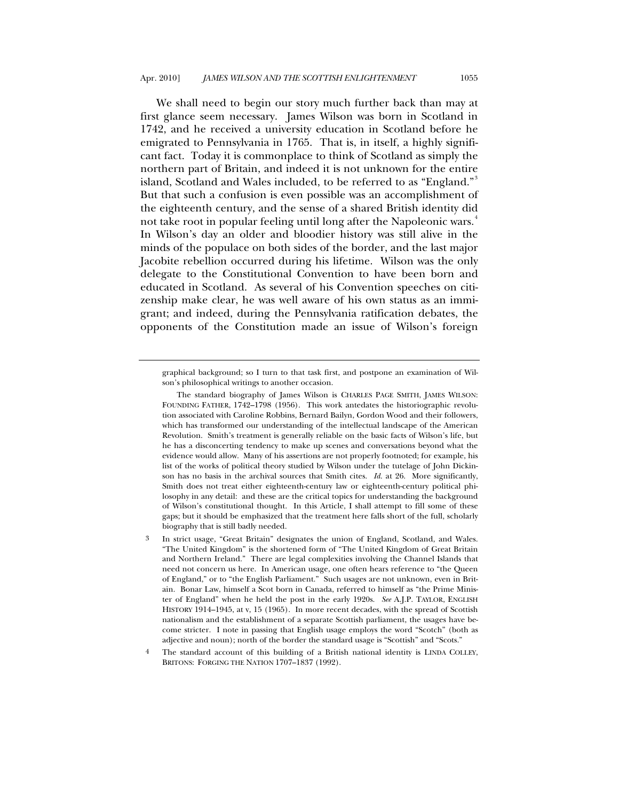We shall need to begin our story much further back than may at first glance seem necessary. James Wilson was born in Scotland in 1742, and he received a university education in Scotland before he emigrated to Pennsylvania in 1765. That is, in itself, a highly significant fact. Today it is commonplace to think of Scotland as simply the northern part of Britain, and indeed it is not unknown for the entire island, Scotland and Wales included, to be referred to as "England."<sup>[3](#page-3-0)</sup> But that such a confusion is even possible was an accomplishment of the eighteenth century, and the sense of a shared British identity did not take root in popular feeling until long after the Napoleonic wars.<sup>[4](#page-3-1)</sup> In Wilson's day an older and bloodier history was still alive in the minds of the populace on both sides of the border, and the last major Jacobite rebellion occurred during his lifetime. Wilson was the only delegate to the Constitutional Convention to have been born and educated in Scotland. As several of his Convention speeches on citizenship make clear, he was well aware of his own status as an immigrant; and indeed, during the Pennsylvania ratification debates, the opponents of the Constitution made an issue of Wilson's foreign

graphical background; so I turn to that task first, and postpone an examination of Wilson's philosophical writings to another occasion.

The standard biography of James Wilson is CHARLES PAGE SMITH, JAMES WILSON: FOUNDING FATHER, 1742–1798 (1956). This work antedates the historiographic revolution associated with Caroline Robbins, Bernard Bailyn, Gordon Wood and their followers, which has transformed our understanding of the intellectual landscape of the American Revolution. Smith's treatment is generally reliable on the basic facts of Wilson's life, but he has a disconcerting tendency to make up scenes and conversations beyond what the evidence would allow. Many of his assertions are not properly footnoted; for example, his list of the works of political theory studied by Wilson under the tutelage of John Dickinson has no basis in the archival sources that Smith cites. *Id.* at 26. More significantly, Smith does not treat either eighteenth-century law or eighteenth-century political philosophy in any detail: and these are the critical topics for understanding the background of Wilson's constitutional thought. In this Article, I shall attempt to fill some of these gaps; but it should be emphasized that the treatment here falls short of the full, scholarly biography that is still badly needed.

<span id="page-3-0"></span><sup>3</sup> In strict usage, "Great Britain" designates the union of England, Scotland, and Wales. "The United Kingdom" is the shortened form of "The United Kingdom of Great Britain and Northern Ireland." There are legal complexities involving the Channel Islands that need not concern us here. In American usage, one often hears reference to "the Queen of England," or to "the English Parliament." Such usages are not unknown, even in Britain. Bonar Law, himself a Scot born in Canada, referred to himself as "the Prime Minister of England" when he held the post in the early 1920s. *See* A.J.P. TAYLOR, ENGLISH HISTORY 1914–1945, at v, 15 (1965). In more recent decades, with the spread of Scottish nationalism and the establishment of a separate Scottish parliament, the usages have become stricter. I note in passing that English usage employs the word "Scotch" (both as adjective and noun); north of the border the standard usage is "Scottish" and "Scots."

<span id="page-3-1"></span><sup>4</sup> The standard account of this building of a British national identity is LINDA COLLEY, BRITONS: FORGING THE NATION 1707-1837 (1992).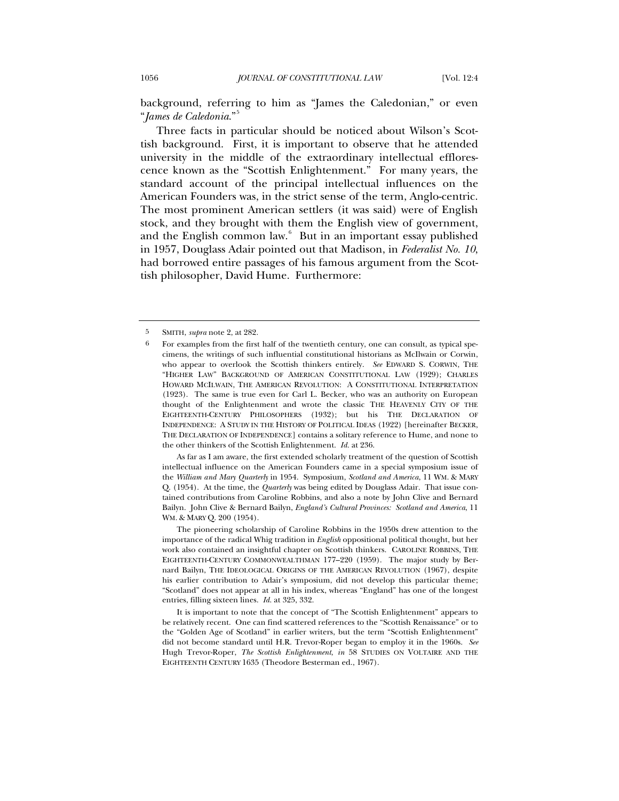background, referring to him as "James the Caledonian," or even "*James de Caledonia*."[5](#page-4-0)

Three facts in particular should be noticed about Wilson's Scottish background. First, it is important to observe that he attended university in the middle of the extraordinary intellectual efflorescence known as the "Scottish Enlightenment." For many years, the standard account of the principal intellectual influences on the American Founders was, in the strict sense of the term, Anglo-centric. The most prominent American settlers (it was said) were of English stock, and they brought with them the English view of government, and the English common law.<sup>[6](#page-4-1)</sup> But in an important essay published in 1957, Douglass Adair pointed out that Madison, in *Federalist No. 10*, had borrowed entire passages of his famous argument from the Scottish philosopher, David Hume. Furthermore:

 As far as I am aware, the first extended scholarly treatment of the question of Scottish intellectual influence on the American Founders came in a special symposium issue of the *William and Mary Quarterly* in 1954. Symposium, *Scotland and America*, 11 WM. & MARY Q. (1954). At the time, the *Quarterly* was being edited by Douglass Adair. That issue contained contributions from Caroline Robbins, and also a note by John Clive and Bernard Bailyn. John Clive & Bernard Bailyn, *England's Cultural Provinces: Scotland and America*, 11 WM. & MARY Q. 200 (1954).

 The pioneering scholarship of Caroline Robbins in the 1950s drew attention to the importance of the radical Whig tradition in *English* oppositional political thought, but her work also contained an insightful chapter on Scottish thinkers. CAROLINE ROBBINS, THE EIGHTEENTH-CENTURY COMMONWEALTHMAN 177–220 (1959). The major study by Bernard Bailyn, THE IDEOLOGICAL ORIGINS OF THE AMERICAN REVOLUTION (1967), despite his earlier contribution to Adair's symposium, did not develop this particular theme; "Scotland" does not appear at all in his index, whereas "England" has one of the longest entries, filling sixteen lines. *Id.* at 325, 332.

 It is important to note that the concept of "The Scottish Enlightenment" appears to be relatively recent. One can find scattered references to the "Scottish Renaissance" or to the "Golden Age of Scotland" in earlier writers, but the term "Scottish Enlightenment" did not become standard until H.R. Trevor-Roper began to employ it in the 1960s. *See* Hugh Trevor-Roper, *The Scottish Enlightenment*, *in* 58 STUDIES ON VOLTAIRE AND THE EIGHTEENTH CENTURY 1635 (Theodore Besterman ed., 1967).

<span id="page-4-1"></span><span id="page-4-0"></span><sup>5</sup> SMITH, *supra* note 2, at 282.

<sup>6</sup> For examples from the first half of the twentieth century, one can consult, as typical specimens, the writings of such influential constitutional historians as McIlwain or Corwin, who appear to overlook the Scottish thinkers entirely. *See* EDWARD S. CORWIN, THE "HIGHER LAW" BACKGROUND OF AMERICAN CONSTITUTIONAL LAW (1929); CHARLES HOWARD MCILWAIN, THE AMERICAN REVOLUTION: A CONSTITUTIONAL INTERPRETATION (1923). The same is true even for Carl L. Becker, who was an authority on European thought of the Enlightenment and wrote the classic THE HEAVENLY CITY OF THE EIGHTEENTH-CENTURY PHILOSOPHERS (1932); but his THE DECLARATION OF INDEPENDENCE: A STUDY IN THE HISTORY OF POLITICAL IDEAS (1922) [hereinafter BECKER, THE DECLARATION OF INDEPENDENCE] contains a solitary reference to Hume, and none to the other thinkers of the Scottish Enlightenment. *Id.* at 236.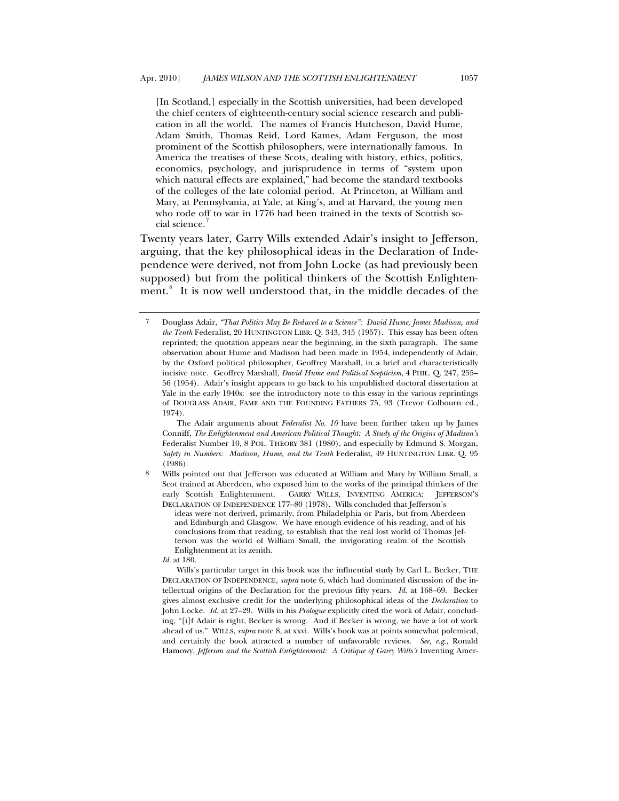[In Scotland,] especially in the Scottish universities, had been developed the chief centers of eighteenth-century social science research and publication in all the world. The names of Francis Hutcheson, David Hume, Adam Smith, Thomas Reid, Lord Kames, Adam Ferguson, the most prominent of the Scottish philosophers, were internationally famous. In America the treatises of these Scots, dealing with history, ethics, politics, economics, psychology, and jurisprudence in terms of "system upon which natural effects are explained," had become the standard textbooks of the colleges of the late colonial period. At Princeton, at William and Mary, at Pennsylvania, at Yale, at King's, and at Harvard, the young men who rode off to war in 1776 had been trained in the texts of Scottish social science.

Twenty years later, Garry Wills extended Adair's insight to Jefferson, arguing, that the key philosophical ideas in the Declaration of Independence were derived, not from John Locke (as had previously been supposed) but from the political thinkers of the Scottish Enlighten-ment.<sup>[8](#page-5-1)</sup> It is now well understood that, in the middle decades of the

 The Adair arguments about *Federalist No. 10* have been further taken up by James Conniff, *The Enlightenment and American Political Thought: A Study of the Origins of Madison's*  Federalist Number 10, 8 POL. THEORY 381 (1980), and especially by Edmund S. Morgan, *Safety in Numbers: Madison, Hume, and the Tenth* Federalist, 49 HUNTINGTON LIBR. Q. 95 (1986).

<span id="page-5-1"></span>8 Wills pointed out that Jefferson was educated at William and Mary by William Small, a Scot trained at Aberdeen, who exposed him to the works of the principal thinkers of the early Scottish Enlightenment. GARRY WILLS, INVENTING AMERICA: JEFFERSON'S DECLARATION OF INDEPENDENCE 177–80 (1978). Wills concluded that Jefferson's

ideas were not derived, primarily, from Philadelphia or Paris, but from Aberdeen and Edinburgh and Glasgow. We have enough evidence of his reading, and of his conclusions from that reading, to establish that the real lost world of Thomas Jefferson was the world of William Small, the invigorating realm of the Scottish Enlightenment at its zenith.

*Id.* at 180.

 Wills's particular target in this book was the influential study by Carl L. Becker, THE DECLARATION OF INDEPENDENCE, *supra* note 6, which had dominated discussion of the intellectual origins of the Declaration for the previous fifty years. *Id.* at 168–69. Becker gives almost exclusive credit for the underlying philosophical ideas of the *Declaration* to John Locke. *Id.* at 27–29. Wills in his *Prologue* explicitly cited the work of Adair, concluding, "[i]f Adair is right, Becker is wrong. And if Becker is wrong, we have a lot of work ahead of us." WILLS, *supra* note 8, at xxvi. Wills's book was at points somewhat polemical, and certainly the book attracted a number of unfavorable reviews. *See, e.g.*, Ronald Hamowy, *Jefferson and the Scottish Enlightenment: A Critique of Garry Wills's Inventing Amer-*

<span id="page-5-0"></span><sup>7</sup> Douglass Adair, *"That Politics May Be Reduced to a Science": David Hume, James Madison, and the Tenth* Federalist, 20 HUNTINGTON LIBR. Q. 343, 345 (1957). This essay has been often reprinted; the quotation appears near the beginning, in the sixth paragraph. The same observation about Hume and Madison had been made in 1954, independently of Adair, by the Oxford political philosopher, Geoffrey Marshall, in a brief and characteristically incisive note. Geoffrey Marshall, *David Hume and Political Scepticism*, 4 PHIL. Q. 247, 255– 56 (1954). Adair's insight appears to go back to his unpublished doctoral dissertation at Yale in the early 1940s: see the introductory note to this essay in the various reprintings of DOUGLASS ADAIR, FAME AND THE FOUNDING FATHERS 75, 93 (Trevor Colbourn ed., 1974).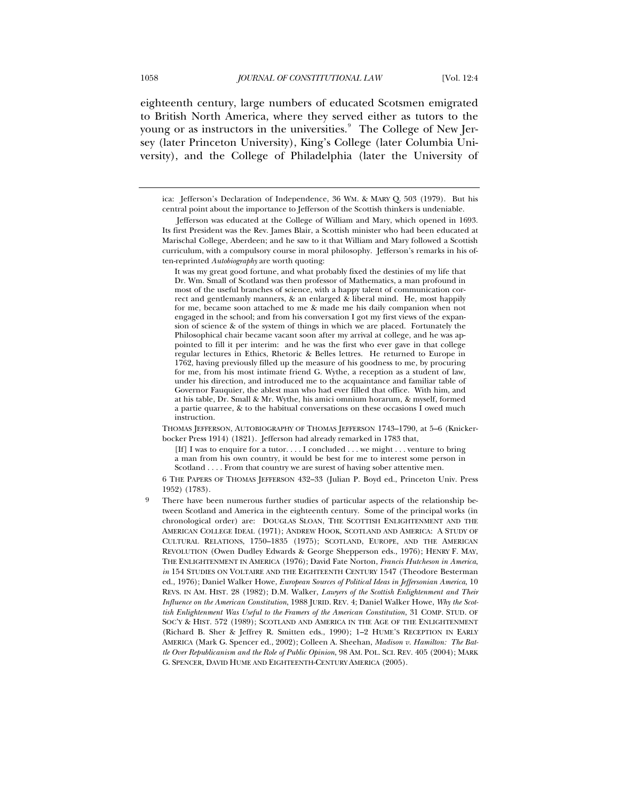eighteenth century, large numbers of educated Scotsmen emigrated to British North America, where they served either as tutors to the young or as instructors in the universities. $^{\circ}\,$  The College of New Jersey (later Princeton University), King's College (later Columbia University), and the College of Philadelphia (later the University of

It was my great good fortune, and what probably fixed the destinies of my life that Dr. Wm. Small of Scotland was then professor of Mathematics, a man profound in most of the useful branches of science, with a happy talent of communication correct and gentlemanly manners, & an enlarged & liberal mind. He, most happily for me, became soon attached to me & made me his daily companion when not engaged in the school; and from his conversation I got my first views of the expansion of science & of the system of things in which we are placed. Fortunately the Philosophical chair became vacant soon after my arrival at college, and he was appointed to fill it per interim: and he was the first who ever gave in that college regular lectures in Ethics, Rhetoric & Belles lettres. He returned to Europe in 1762, having previously filled up the measure of his goodness to me, by procuring for me, from his most intimate friend G. Wythe, a reception as a student of law, under his direction, and introduced me to the acquaintance and familiar table of Governor Fauquier, the ablest man who had ever filled that office. With him, and at his table, Dr. Small & Mr. Wythe, his amici omnium horarum, & myself, formed a partie quarree, & to the habitual conversations on these occasions I owed much instruction.

 THOMAS JEFFERSON, AUTOBIOGRAPHY OF THOMAS JEFFERSON 1743–1790, at 5–6 (Knickerbocker Press 1914) (1821). Jefferson had already remarked in 1783 that,

[If] I was to enquire for a tutor. . . . I concluded . . . we might . . . venture to bring a man from his own country, it would be best for me to interest some person in Scotland . . . . From that country we are surest of having sober attentive men.

 6 THE PAPERS OF THOMAS JEFFERSON 432–33 (Julian P. Boyd ed., Princeton Univ. Press 1952) (1783).

ica: Jefferson's Declaration of Independence, 36 WM. & MARY Q. 503 (1979). But his central point about the importance to Jefferson of the Scottish thinkers is undeniable.

Jefferson was educated at the College of William and Mary, which opened in 1693. Its first President was the Rev. James Blair, a Scottish minister who had been educated at Marischal College, Aberdeen; and he saw to it that William and Mary followed a Scottish curriculum, with a compulsory course in moral philosophy. Jefferson's remarks in his often-reprinted *Autobiography* are worth quoting:

<span id="page-6-0"></span>There have been numerous further studies of particular aspects of the relationship between Scotland and America in the eighteenth century. Some of the principal works (in chronological order) are: DOUGLAS SLOAN, THE SCOTTISH ENLIGHTENMENT AND THE AMERICAN COLLEGE IDEAL (1971); ANDREW HOOK, SCOTLAND AND AMERICA: A STUDY OF CULTURAL RELATIONS, 1750–1835 (1975); SCOTLAND, EUROPE, AND THE AMERICAN REVOLUTION (Owen Dudley Edwards & George Shepperson eds., 1976); HENRY F. MAY, THE ENLIGHTENMENT IN AMERICA (1976); David Fate Norton, *Francis Hutcheson in America*, *in* 154 STUDIES ON VOLTAIRE AND THE EIGHTEENTH CENTURY 1547 (Theodore Besterman ed., 1976); Daniel Walker Howe, *European Sources of Political Ideas in Jeffersonian America*, 10 REVS. IN AM. HIST. 28 (1982); D.M. Walker, *Lawyers of the Scottish Enlightenment and Their Influence on the American Constitution*, 1988 JURID. REV. 4; Daniel Walker Howe, *Why the Scottish Enlightenment Was Useful to the Framers of the American Constitution*, 31 COMP. STUD. OF SOC'Y & HIST. 572 (1989); SCOTLAND AND AMERICA IN THE AGE OF THE ENLIGHTENMENT (Richard B. Sher & Jeffrey R. Smitten eds., 1990); 1–2 HUME'S RECEPTION IN EARLY AMERICA (Mark G. Spencer ed., 2002); Colleen A. Sheehan, *Madison v. Hamilton: The Battle Over Republicanism and the Role of Public Opinion*, 98 AM. POL. SCI. REV. 405 (2004); MARK G. SPENCER, DAVID HUME AND EIGHTEENTH-CENTURY AMERICA (2005).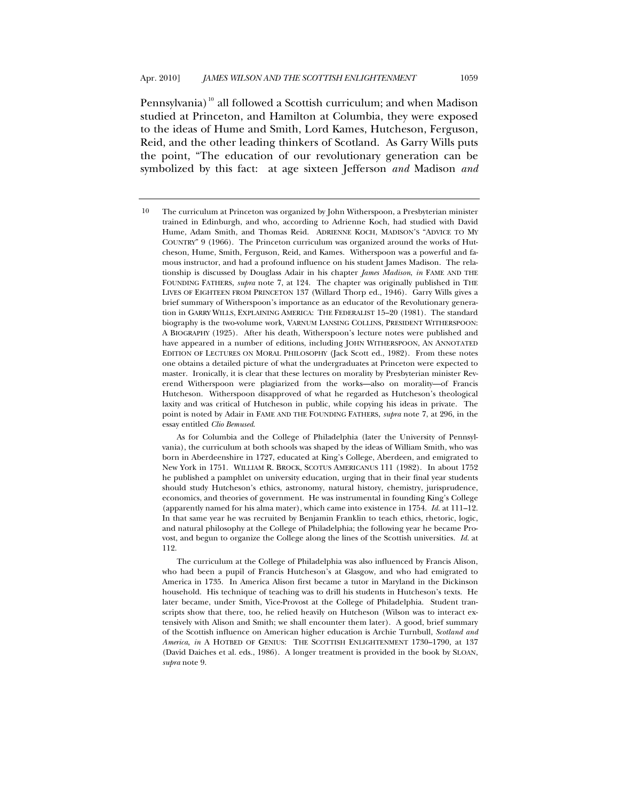Pennsylvania)<sup>[10](#page-7-0)</sup> all followed a Scottish curriculum; and when Madison studied at Princeton, and Hamilton at Columbia, they were exposed to the ideas of Hume and Smith, Lord Kames, Hutcheson, Ferguson, Reid, and the other leading thinkers of Scotland. As Garry Wills puts the point, "The education of our revolutionary generation can be symbolized by this fact: at age sixteen Jefferson *and* Madison *and*

 The curriculum at the College of Philadelphia was also influenced by Francis Alison, who had been a pupil of Francis Hutcheson's at Glasgow, and who had emigrated to America in 1735. In America Alison first became a tutor in Maryland in the Dickinson household. His technique of teaching was to drill his students in Hutcheson's texts. He later became, under Smith, Vice-Provost at the College of Philadelphia. Student transcripts show that there, too, he relied heavily on Hutcheson (Wilson was to interact extensively with Alison and Smith; we shall encounter them later). A good, brief summary of the Scottish influence on American higher education is Archie Turnbull, *Scotland and America*, *in* A HOTBED OF GENIUS: THE SCOTTISH ENLIGHTENMENT 1730–1790, at 137 (David Daiches et al. eds., 1986). A longer treatment is provided in the book by SLOAN, *supra* note 9.

<span id="page-7-0"></span><sup>10</sup> The curriculum at Princeton was organized by John Witherspoon, a Presbyterian minister trained in Edinburgh, and who, according to Adrienne Koch, had studied with David Hume, Adam Smith, and Thomas Reid. ADRIENNE KOCH, MADISON'S "ADVICE TO MY COUNTRY" 9 (1966). The Princeton curriculum was organized around the works of Hutcheson, Hume, Smith, Ferguson, Reid, and Kames. Witherspoon was a powerful and famous instructor, and had a profound influence on his student James Madison. The relationship is discussed by Douglass Adair in his chapter *James Madison*, *in* FAME AND THE FOUNDING FATHERS, *supra* note 7, at 124. The chapter was originally published in THE LIVES OF EIGHTEEN FROM PRINCETON 137 (Willard Thorp ed., 1946). Garry Wills gives a brief summary of Witherspoon's importance as an educator of the Revolutionary generation in GARRY WILLS, EXPLAINING AMERICA: THE FEDERALIST 15–20 (1981). The standard biography is the two-volume work, VARNUM LANSING COLLINS, PRESIDENT WITHERSPOON: A BIOGRAPHY (1925). After his death, Witherspoon's lecture notes were published and have appeared in a number of editions, including JOHN WITHERSPOON, AN ANNOTATED EDITION OF LECTURES ON MORAL PHILOSOPHY (Jack Scott ed., 1982). From these notes one obtains a detailed picture of what the undergraduates at Princeton were expected to master. Ironically, it is clear that these lectures on morality by Presbyterian minister Reverend Witherspoon were plagiarized from the works—also on morality—of Francis Hutcheson. Witherspoon disapproved of what he regarded as Hutcheson's theological laxity and was critical of Hutcheson in public, while copying his ideas in private. The point is noted by Adair in FAME AND THE FOUNDING FATHERS, *supra* note 7, at 296, in the essay entitled *Clio Bemused*.

As for Columbia and the College of Philadelphia (later the University of Pennsylvania), the curriculum at both schools was shaped by the ideas of William Smith, who was born in Aberdeenshire in 1727, educated at King's College, Aberdeen, and emigrated to New York in 1751. WILLIAM R. BROCK, SCOTUS AMERICANUS 111 (1982). In about 1752 he published a pamphlet on university education, urging that in their final year students should study Hutcheson's ethics, astronomy, natural history, chemistry, jurisprudence, economics, and theories of government. He was instrumental in founding King's College (apparently named for his alma mater), which came into existence in 1754. *Id.* at 111–12. In that same year he was recruited by Benjamin Franklin to teach ethics, rhetoric, logic, and natural philosophy at the College of Philadelphia; the following year he became Provost, and begun to organize the College along the lines of the Scottish universities. *Id.* at 112.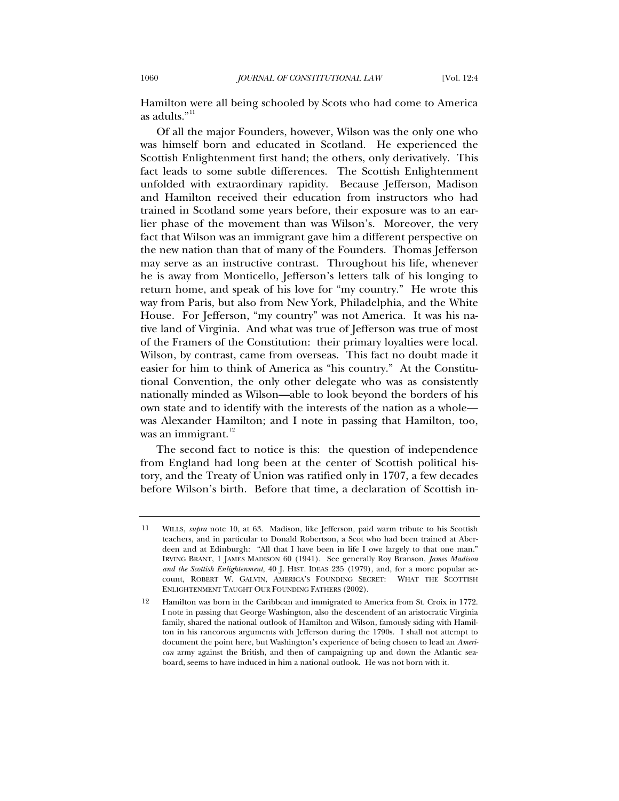Hamilton were all being schooled by Scots who had come to America as adults."<sup>[11](#page-8-0)</sup>

Of all the major Founders, however, Wilson was the only one who was himself born and educated in Scotland. He experienced the Scottish Enlightenment first hand; the others, only derivatively. This fact leads to some subtle differences. The Scottish Enlightenment unfolded with extraordinary rapidity. Because Jefferson, Madison and Hamilton received their education from instructors who had trained in Scotland some years before, their exposure was to an earlier phase of the movement than was Wilson's. Moreover, the very fact that Wilson was an immigrant gave him a different perspective on the new nation than that of many of the Founders. Thomas Jefferson may serve as an instructive contrast. Throughout his life, whenever he is away from Monticello, Jefferson's letters talk of his longing to return home, and speak of his love for "my country." He wrote this way from Paris, but also from New York, Philadelphia, and the White House. For Jefferson, "my country" was not America. It was his native land of Virginia. And what was true of Jefferson was true of most of the Framers of the Constitution: their primary loyalties were local. Wilson, by contrast, came from overseas. This fact no doubt made it easier for him to think of America as "his country." At the Constitutional Convention, the only other delegate who was as consistently nationally minded as Wilson—able to look beyond the borders of his own state and to identify with the interests of the nation as a whole was Alexander Hamilton; and I note in passing that Hamilton, too, was an immigrant.<sup>[12](#page-8-1)</sup>

The second fact to notice is this: the question of independence from England had long been at the center of Scottish political history, and the Treaty of Union was ratified only in 1707, a few decades before Wilson's birth. Before that time, a declaration of Scottish in-

<span id="page-8-0"></span><sup>11</sup> WILLS, *supra* note 10, at 63. Madison, like Jefferson, paid warm tribute to his Scottish teachers, and in particular to Donald Robertson, a Scot who had been trained at Aberdeen and at Edinburgh: "All that I have been in life I owe largely to that one man." IRVING BRANT, 1 JAMES MADISON 60 (1941). See generally Roy Branson, *James Madison and the Scottish Enlightenment*, 40 J. HIST. IDEAS 235 (1979), and, for a more popular account, ROBERT W. GALVIN, AMERICA'S FOUNDING SECRET: WHAT THE SCOTTISH ENLIGHTENMENT TAUGHT OUR FOUNDING FATHERS (2002).

<span id="page-8-1"></span><sup>12</sup> Hamilton was born in the Caribbean and immigrated to America from St. Croix in 1772. I note in passing that George Washington, also the descendent of an aristocratic Virginia family, shared the national outlook of Hamilton and Wilson, famously siding with Hamilton in his rancorous arguments with Jefferson during the 1790s. I shall not attempt to document the point here, but Washington's experience of being chosen to lead an *American* army against the British, and then of campaigning up and down the Atlantic seaboard, seems to have induced in him a national outlook. He was not born with it.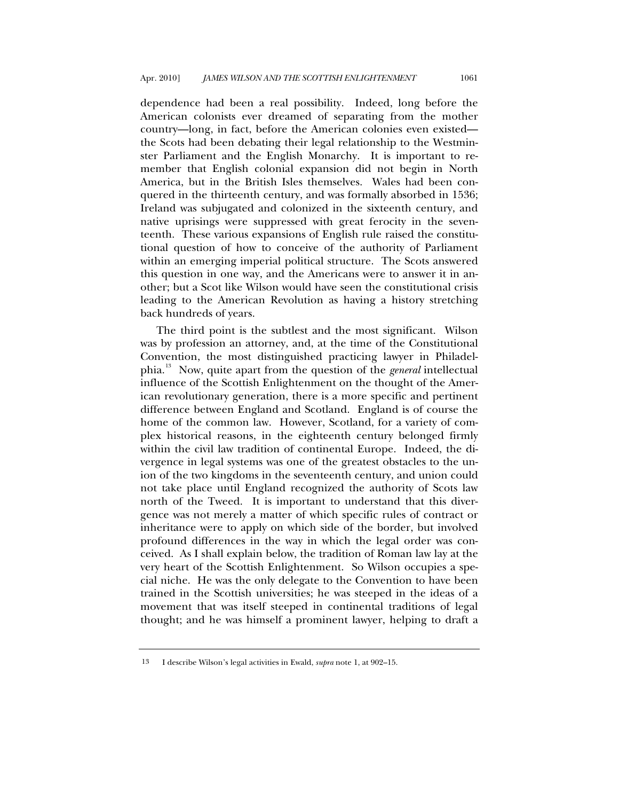dependence had been a real possibility. Indeed, long before the American colonists ever dreamed of separating from the mother country—long, in fact, before the American colonies even existed the Scots had been debating their legal relationship to the Westminster Parliament and the English Monarchy. It is important to remember that English colonial expansion did not begin in North America, but in the British Isles themselves. Wales had been conquered in the thirteenth century, and was formally absorbed in 1536; Ireland was subjugated and colonized in the sixteenth century, and native uprisings were suppressed with great ferocity in the seventeenth. These various expansions of English rule raised the constitutional question of how to conceive of the authority of Parliament within an emerging imperial political structure. The Scots answered this question in one way, and the Americans were to answer it in another; but a Scot like Wilson would have seen the constitutional crisis leading to the American Revolution as having a history stretching back hundreds of years.

The third point is the subtlest and the most significant. Wilson was by profession an attorney, and, at the time of the Constitutional Convention, the most distinguished practicing lawyer in Philadelphia.[13](#page-9-0) Now, quite apart from the question of the *general* intellectual influence of the Scottish Enlightenment on the thought of the American revolutionary generation, there is a more specific and pertinent difference between England and Scotland. England is of course the home of the common law. However, Scotland, for a variety of complex historical reasons, in the eighteenth century belonged firmly within the civil law tradition of continental Europe. Indeed, the divergence in legal systems was one of the greatest obstacles to the union of the two kingdoms in the seventeenth century, and union could not take place until England recognized the authority of Scots law north of the Tweed. It is important to understand that this divergence was not merely a matter of which specific rules of contract or inheritance were to apply on which side of the border, but involved profound differences in the way in which the legal order was conceived. As I shall explain below, the tradition of Roman law lay at the very heart of the Scottish Enlightenment. So Wilson occupies a special niche. He was the only delegate to the Convention to have been trained in the Scottish universities; he was steeped in the ideas of a movement that was itself steeped in continental traditions of legal thought; and he was himself a prominent lawyer, helping to draft a

<span id="page-9-0"></span><sup>13</sup> I describe Wilson's legal activities in Ewald, *supra* note 1, at 902–15.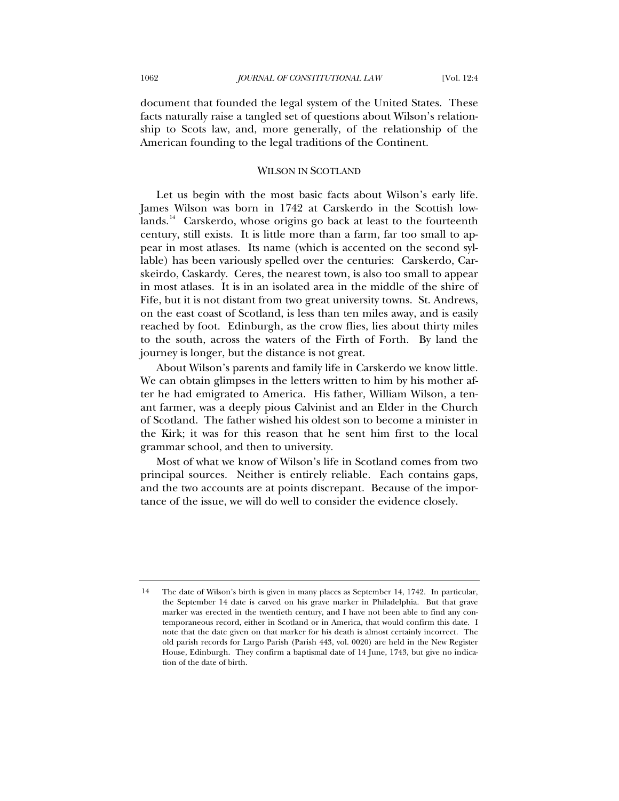<span id="page-10-0"></span>document that founded the legal system of the United States. These facts naturally raise a tangled set of questions about Wilson's relationship to Scots law, and, more generally, of the relationship of the American founding to the legal traditions of the Continent.

#### WILSON IN SCOTLAND

Let us begin with the most basic facts about Wilson's early life. James Wilson was born in 1742 at Carskerdo in the Scottish low-lands.<sup>[14](#page-10-1)</sup> Carskerdo, whose origins go back at least to the fourteenth century, still exists. It is little more than a farm, far too small to appear in most atlases. Its name (which is accented on the second syllable) has been variously spelled over the centuries: Carskerdo, Carskeirdo, Caskardy. Ceres, the nearest town, is also too small to appear in most atlases. It is in an isolated area in the middle of the shire of Fife, but it is not distant from two great university towns. St. Andrews, on the east coast of Scotland, is less than ten miles away, and is easily reached by foot. Edinburgh, as the crow flies, lies about thirty miles to the south, across the waters of the Firth of Forth. By land the journey is longer, but the distance is not great.

About Wilson's parents and family life in Carskerdo we know little. We can obtain glimpses in the letters written to him by his mother after he had emigrated to America. His father, William Wilson, a tenant farmer, was a deeply pious Calvinist and an Elder in the Church of Scotland. The father wished his oldest son to become a minister in the Kirk; it was for this reason that he sent him first to the local grammar school, and then to university.

Most of what we know of Wilson's life in Scotland comes from two principal sources. Neither is entirely reliable. Each contains gaps, and the two accounts are at points discrepant. Because of the importance of the issue, we will do well to consider the evidence closely.

<span id="page-10-1"></span><sup>14</sup> The date of Wilson's birth is given in many places as September 14, 1742. In particular, the September 14 date is carved on his grave marker in Philadelphia. But that grave marker was erected in the twentieth century, and I have not been able to find any contemporaneous record, either in Scotland or in America, that would confirm this date. I note that the date given on that marker for his death is almost certainly incorrect. The old parish records for Largo Parish (Parish 443, vol. 0020) are held in the New Register House, Edinburgh. They confirm a baptismal date of 14 June, 1743, but give no indication of the date of birth.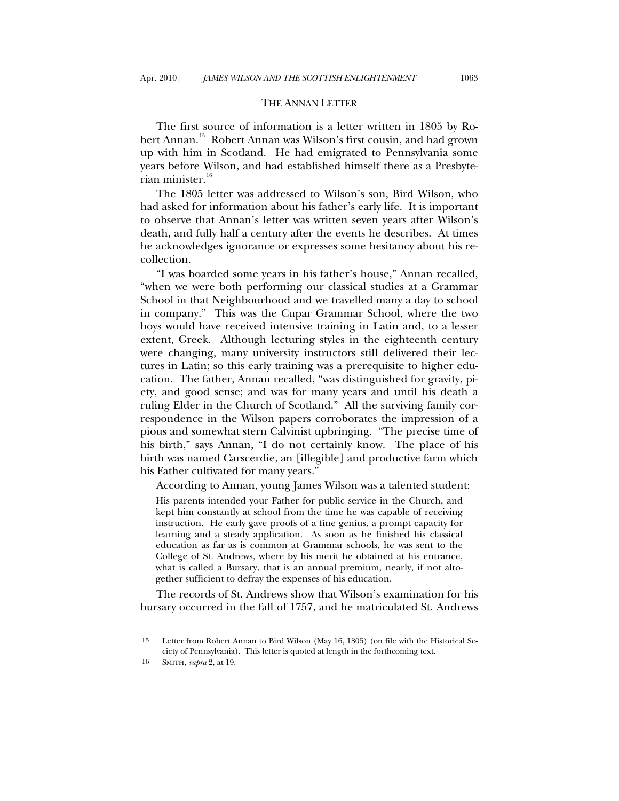#### THE ANNAN LETTER

<span id="page-11-0"></span>The first source of information is a letter written in 1805 by Ro-bert Annan.<sup>[15](#page-11-1)</sup> Robert Annan was Wilson's first cousin, and had grown up with him in Scotland. He had emigrated to Pennsylvania some years before Wilson, and had established himself there as a Presbyte-rian minister.<sup>[16](#page-11-2)</sup>

The 1805 letter was addressed to Wilson's son, Bird Wilson, who had asked for information about his father's early life. It is important to observe that Annan's letter was written seven years after Wilson's death, and fully half a century after the events he describes. At times he acknowledges ignorance or expresses some hesitancy about his recollection.

"I was boarded some years in his father's house," Annan recalled, "when we were both performing our classical studies at a Grammar School in that Neighbourhood and we travelled many a day to school in company." This was the Cupar Grammar School, where the two boys would have received intensive training in Latin and, to a lesser extent, Greek. Although lecturing styles in the eighteenth century were changing, many university instructors still delivered their lectures in Latin; so this early training was a prerequisite to higher education. The father, Annan recalled, "was distinguished for gravity, piety, and good sense; and was for many years and until his death a ruling Elder in the Church of Scotland." All the surviving family correspondence in the Wilson papers corroborates the impression of a pious and somewhat stern Calvinist upbringing. "The precise time of his birth," says Annan, "I do not certainly know. The place of his birth was named Carscerdie, an [illegible] and productive farm which his Father cultivated for many years."

According to Annan, young James Wilson was a talented student:

His parents intended your Father for public service in the Church, and kept him constantly at school from the time he was capable of receiving instruction. He early gave proofs of a fine genius, a prompt capacity for learning and a steady application. As soon as he finished his classical education as far as is common at Grammar schools, he was sent to the College of St. Andrews, where by his merit he obtained at his entrance, what is called a Bursary, that is an annual premium, nearly, if not altogether sufficient to defray the expenses of his education.

The records of St. Andrews show that Wilson's examination for his bursary occurred in the fall of 1757, and he matriculated St. Andrews

<span id="page-11-2"></span><span id="page-11-1"></span><sup>15</sup> Letter from Robert Annan to Bird Wilson (May 16, 1805) (on file with the Historical Society of Pennsylvania). This letter is quoted at length in the forthcoming text.

<sup>16</sup> SMITH, *supra* 2, at 19.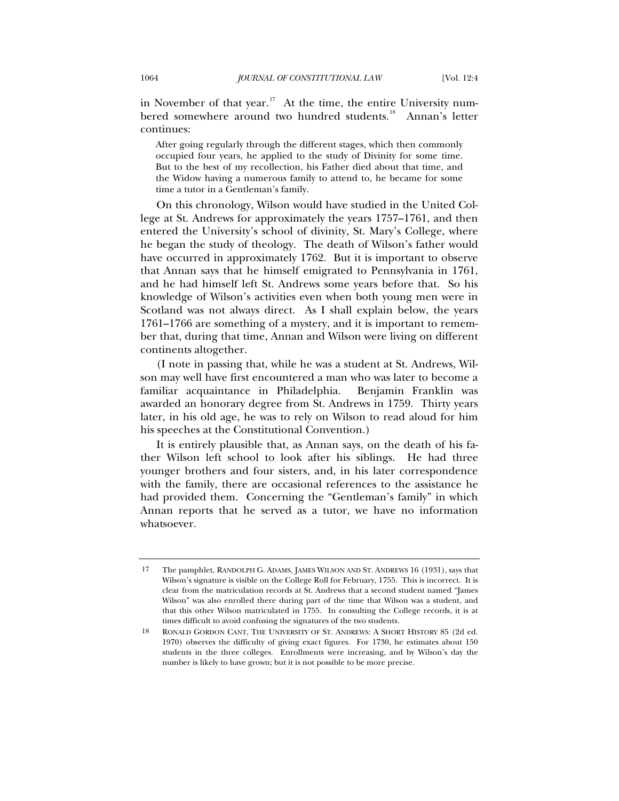in November of that year.<sup>[17](#page-12-0)</sup> At the time, the entire University num-bered somewhere around two hundred students.<sup>[18](#page-12-1)</sup> Annan's letter continues:

After going regularly through the different stages, which then commonly occupied four years, he applied to the study of Divinity for some time. But to the best of my recollection, his Father died about that time, and the Widow having a numerous family to attend to, he became for some time a tutor in a Gentleman's family.

On this chronology, Wilson would have studied in the United College at St. Andrews for approximately the years 1757–1761, and then entered the University's school of divinity, St. Mary's College, where he began the study of theology. The death of Wilson's father would have occurred in approximately 1762. But it is important to observe that Annan says that he himself emigrated to Pennsylvania in 1761, and he had himself left St. Andrews some years before that. So his knowledge of Wilson's activities even when both young men were in Scotland was not always direct. As I shall explain below, the years 1761–1766 are something of a mystery, and it is important to remember that, during that time, Annan and Wilson were living on different continents altogether.

(I note in passing that, while he was a student at St. Andrews, Wilson may well have first encountered a man who was later to become a familiar acquaintance in Philadelphia. Benjamin Franklin was awarded an honorary degree from St. Andrews in 1759. Thirty years later, in his old age, he was to rely on Wilson to read aloud for him his speeches at the Constitutional Convention.)

It is entirely plausible that, as Annan says, on the death of his father Wilson left school to look after his siblings. He had three younger brothers and four sisters, and, in his later correspondence with the family, there are occasional references to the assistance he had provided them. Concerning the "Gentleman's family" in which Annan reports that he served as a tutor, we have no information whatsoever.

<span id="page-12-0"></span><sup>17</sup> The pamphlet, RANDOLPH G. ADAMS, JAMES WILSON AND ST. ANDREWS 16 (1931), says that Wilson's signature is visible on the College Roll for February, 1755. This is incorrect. It is clear from the matriculation records at St. Andrews that a second student named "James Wilson" was also enrolled there during part of the time that Wilson was a student, and that this other Wilson matriculated in 1755. In consulting the College records, it is at times difficult to avoid confusing the signatures of the two students.

<span id="page-12-1"></span><sup>18</sup> RONALD GORDON CANT, THE UNIVERSITY OF ST. ANDREWS: A SHORT HISTORY 85 (2d ed. 1970) observes the difficulty of giving exact figures. For 1730, he estimates about 150 students in the three colleges. Enrollments were increasing, and by Wilson's day the number is likely to have grown; but it is not possible to be more precise.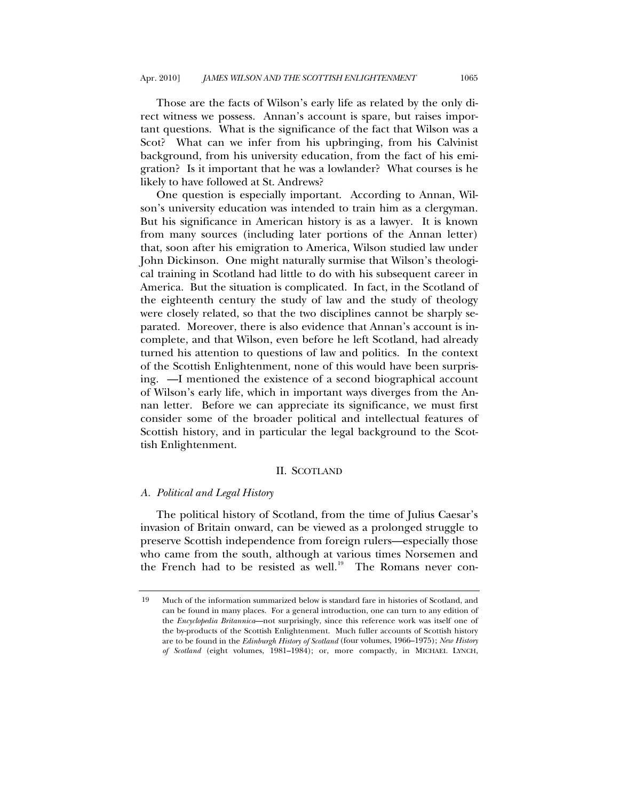<span id="page-13-0"></span>Those are the facts of Wilson's early life as related by the only direct witness we possess. Annan's account is spare, but raises important questions. What is the significance of the fact that Wilson was a Scot? What can we infer from his upbringing, from his Calvinist background, from his university education, from the fact of his emigration? Is it important that he was a lowlander? What courses is he likely to have followed at St. Andrews?

One question is especially important. According to Annan, Wilson's university education was intended to train him as a clergyman. But his significance in American history is as a lawyer. It is known from many sources (including later portions of the Annan letter) that, soon after his emigration to America, Wilson studied law under John Dickinson. One might naturally surmise that Wilson's theological training in Scotland had little to do with his subsequent career in America. But the situation is complicated. In fact, in the Scotland of the eighteenth century the study of law and the study of theology were closely related, so that the two disciplines cannot be sharply separated. Moreover, there is also evidence that Annan's account is incomplete, and that Wilson, even before he left Scotland, had already turned his attention to questions of law and politics. In the context of the Scottish Enlightenment, none of this would have been surprising. —I mentioned the existence of a second biographical account of Wilson's early life, which in important ways diverges from the Annan letter. Before we can appreciate its significance, we must first consider some of the broader political and intellectual features of Scottish history, and in particular the legal background to the Scottish Enlightenment.

# II. SCOTLAND

#### *A. Political and Legal History*

The political history of Scotland, from the time of Julius Caesar's invasion of Britain onward, can be viewed as a prolonged struggle to preserve Scottish independence from foreign rulers—especially those who came from the south, although at various times Norsemen and the French had to be resisted as well.<sup>[19](#page-13-1)</sup> The Romans never con-

<span id="page-13-1"></span><sup>19</sup> Much of the information summarized below is standard fare in histories of Scotland, and can be found in many places. For a general introduction, one can turn to any edition of the *Encyclopedia Britannica*—not surprisingly, since this reference work was itself one of the by-products of the Scottish Enlightenment. Much fuller accounts of Scottish history are to be found in the *Edinburgh History of Scotland* (four volumes, 1966–1975); *New History of Scotland* (eight volumes, 1981–1984); or, more compactly, in MICHAEL LYNCH,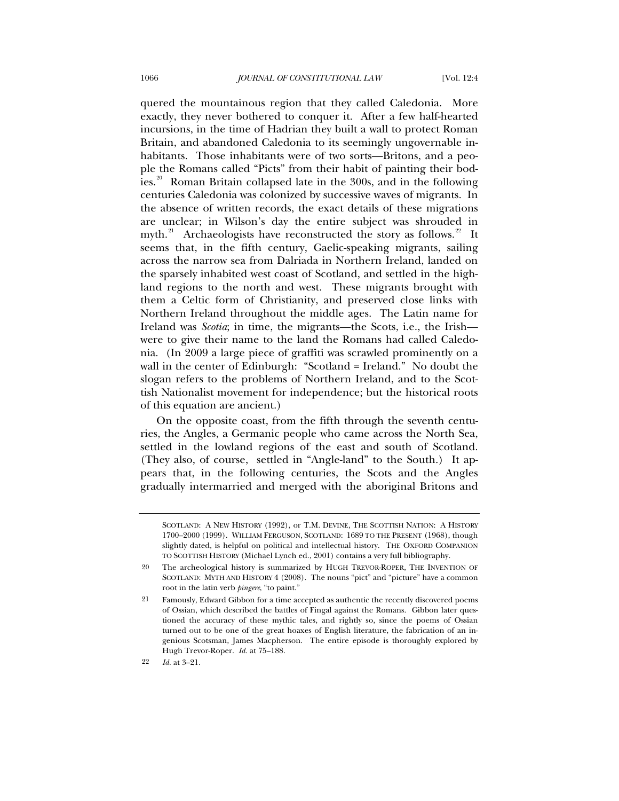quered the mountainous region that they called Caledonia. More exactly, they never bothered to conquer it. After a few half-hearted incursions, in the time of Hadrian they built a wall to protect Roman Britain, and abandoned Caledonia to its seemingly ungovernable inhabitants. Those inhabitants were of two sorts—Britons, and a people the Romans called "Picts" from their habit of painting their bod-ies.<sup>[20](#page-14-0)</sup> Roman Britain collapsed late in the 300s, and in the following centuries Caledonia was colonized by successive waves of migrants. In the absence of written records, the exact details of these migrations are unclear; in Wilson's day the entire subject was shrouded in myth. $^{21}$  $^{21}$  $^{21}$  Archaeologists have reconstructed the story as follows. $^{22}$  $^{22}$  $^{22}$  It seems that, in the fifth century, Gaelic-speaking migrants, sailing across the narrow sea from Dalriada in Northern Ireland, landed on the sparsely inhabited west coast of Scotland, and settled in the highland regions to the north and west. These migrants brought with them a Celtic form of Christianity, and preserved close links with Northern Ireland throughout the middle ages. The Latin name for Ireland was *Scotia*; in time, the migrants—the Scots, i.e., the Irish were to give their name to the land the Romans had called Caledonia. (In 2009 a large piece of graffiti was scrawled prominently on a wall in the center of Edinburgh: "Scotland = Ireland." No doubt the slogan refers to the problems of Northern Ireland, and to the Scottish Nationalist movement for independence; but the historical roots of this equation are ancient.)

On the opposite coast, from the fifth through the seventh centuries, the Angles, a Germanic people who came across the North Sea, settled in the lowland regions of the east and south of Scotland. (They also, of course, settled in "Angle-land" to the South.) It appears that, in the following centuries, the Scots and the Angles gradually intermarried and merged with the aboriginal Britons and

SCOTLAND: A NEW HISTORY (1992), or T.M. DEVINE, THE SCOTTISH NATION: A HISTORY 1700–2000 (1999). WILLIAM FERGUSON, SCOTLAND: 1689 TO THE PRESENT (1968), though slightly dated, is helpful on political and intellectual history. THE OXFORD COMPANION TO SCOTTISH HISTORY (Michael Lynch ed., 2001) contains a very full bibliography.

<span id="page-14-0"></span><sup>20</sup> The archeological history is summarized by HUGH TREVOR-ROPER, THE INVENTION OF SCOTLAND: MYTH AND HISTORY 4 (2008). The nouns "pict" and "picture" have a common root in the latin verb *pingere*, "to paint."

<span id="page-14-1"></span><sup>21</sup> Famously, Edward Gibbon for a time accepted as authentic the recently discovered poems of Ossian, which described the battles of Fingal against the Romans. Gibbon later questioned the accuracy of these mythic tales, and rightly so, since the poems of Ossian turned out to be one of the great hoaxes of English literature, the fabrication of an ingenious Scotsman, James Macpherson. The entire episode is thoroughly explored by Hugh Trevor-Roper. *Id.* at 75–188.

<span id="page-14-2"></span><sup>22</sup> *Id.* at 3–21.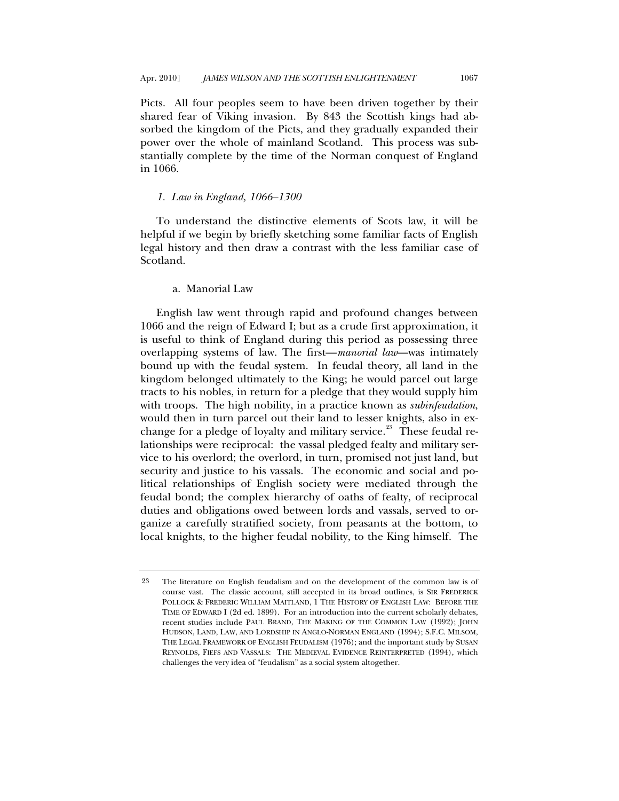<span id="page-15-0"></span>Picts. All four peoples seem to have been driven together by their shared fear of Viking invasion. By 843 the Scottish kings had absorbed the kingdom of the Picts, and they gradually expanded their power over the whole of mainland Scotland. This process was substantially complete by the time of the Norman conquest of England in 1066.

#### *1. Law in England, 1066–1300*

To understand the distinctive elements of Scots law, it will be helpful if we begin by briefly sketching some familiar facts of English legal history and then draw a contrast with the less familiar case of Scotland.

# a. Manorial Law

English law went through rapid and profound changes between 1066 and the reign of Edward I; but as a crude first approximation, it is useful to think of England during this period as possessing three overlapping systems of law. The first—*manorial law*—was intimately bound up with the feudal system. In feudal theory, all land in the kingdom belonged ultimately to the King; he would parcel out large tracts to his nobles, in return for a pledge that they would supply him with troops. The high nobility, in a practice known as *subinfeudation*, would then in turn parcel out their land to lesser knights, also in ex-change for a pledge of loyalty and military service.<sup>[23](#page-15-1)</sup> These feudal relationships were reciprocal: the vassal pledged fealty and military service to his overlord; the overlord, in turn, promised not just land, but security and justice to his vassals. The economic and social and political relationships of English society were mediated through the feudal bond; the complex hierarchy of oaths of fealty, of reciprocal duties and obligations owed between lords and vassals, served to organize a carefully stratified society, from peasants at the bottom, to local knights, to the higher feudal nobility, to the King himself. The

<span id="page-15-1"></span><sup>23</sup> The literature on English feudalism and on the development of the common law is of course vast. The classic account, still accepted in its broad outlines, is SIR FREDERICK POLLOCK & FREDERIC WILLIAM MAITLAND, 1 THE HISTORY OF ENGLISH LAW: BEFORE THE TIME OF EDWARD I (2d ed. 1899). For an introduction into the current scholarly debates, recent studies include PAUL BRAND, THE MAKING OF THE COMMON LAW (1992); JOHN HUDSON, LAND, LAW, AND LORDSHIP IN ANGLO-NORMAN ENGLAND (1994); S.F.C. MILSOM, THE LEGAL FRAMEWORK OF ENGLISH FEUDALISM (1976); and the important study by SUSAN REYNOLDS, FIEFS AND VASSALS: THE MEDIEVAL EVIDENCE REINTERPRETED (1994), which challenges the very idea of "feudalism" as a social system altogether.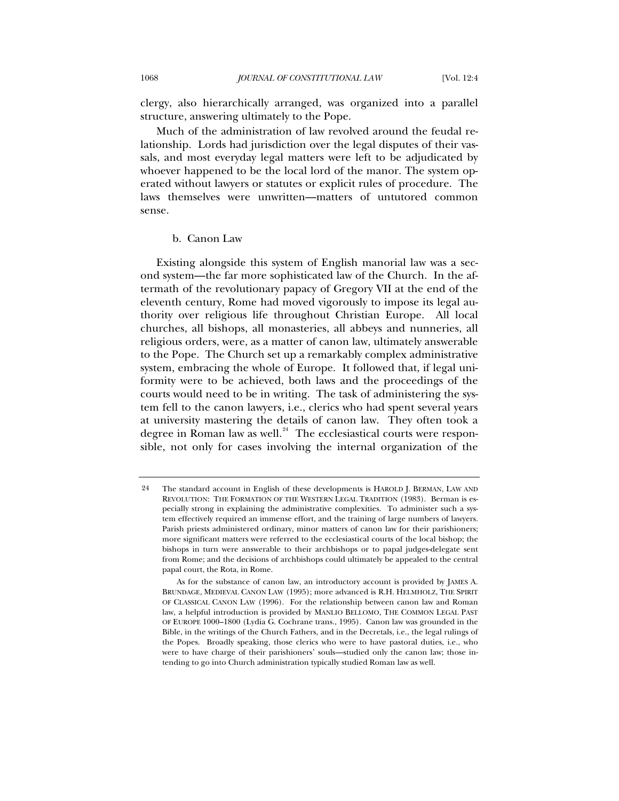<span id="page-16-0"></span>clergy, also hierarchically arranged, was organized into a parallel structure, answering ultimately to the Pope.

Much of the administration of law revolved around the feudal relationship. Lords had jurisdiction over the legal disputes of their vassals, and most everyday legal matters were left to be adjudicated by whoever happened to be the local lord of the manor. The system operated without lawyers or statutes or explicit rules of procedure. The laws themselves were unwritten—matters of untutored common sense.

# b. Canon Law

Existing alongside this system of English manorial law was a second system—the far more sophisticated law of the Church. In the aftermath of the revolutionary papacy of Gregory VII at the end of the eleventh century, Rome had moved vigorously to impose its legal authority over religious life throughout Christian Europe. All local churches, all bishops, all monasteries, all abbeys and nunneries, all religious orders, were, as a matter of canon law, ultimately answerable to the Pope. The Church set up a remarkably complex administrative system, embracing the whole of Europe. It followed that, if legal uniformity were to be achieved, both laws and the proceedings of the courts would need to be in writing. The task of administering the system fell to the canon lawyers, i.e., clerics who had spent several years at university mastering the details of canon law. They often took a degree in Roman law as well. $24$  The ecclesiastical courts were responsible, not only for cases involving the internal organization of the

<span id="page-16-1"></span><sup>24</sup> The standard account in English of these developments is HAROLD J. BERMAN, LAW AND REVOLUTION: THE FORMATION OF THE WESTERN LEGAL TRADITION (1983). Berman is especially strong in explaining the administrative complexities. To administer such a system effectively required an immense effort, and the training of large numbers of lawyers. Parish priests administered ordinary, minor matters of canon law for their parishioners; more significant matters were referred to the ecclesiastical courts of the local bishop; the bishops in turn were answerable to their archbishops or to papal judges-delegate sent from Rome; and the decisions of archbishops could ultimately be appealed to the central papal court, the Rota, in Rome.

As for the substance of canon law, an introductory account is provided by JAMES A. BRUNDAGE, MEDIEVAL CANON LAW (1995); more advanced is R.H. HELMHOLZ, THE SPIRIT OF CLASSICAL CANON LAW (1996). For the relationship between canon law and Roman law, a helpful introduction is provided by MANLIO BELLOMO, THE COMMON LEGAL PAST OF EUROPE 1000–1800 (Lydia G. Cochrane trans., 1995). Canon law was grounded in the Bible, in the writings of the Church Fathers, and in the Decretals, i.e., the legal rulings of the Popes. Broadly speaking, those clerics who were to have pastoral duties, i.e., who were to have charge of their parishioners' souls—studied only the canon law; those intending to go into Church administration typically studied Roman law as well.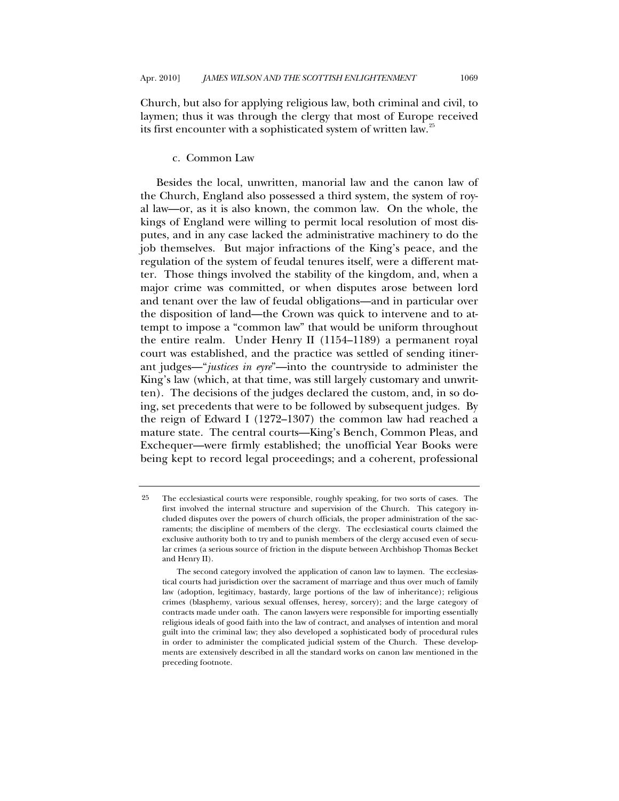<span id="page-17-0"></span>Church, but also for applying religious law, both criminal and civil, to laymen; thus it was through the clergy that most of Europe received its first encounter with a sophisticated system of written law.<sup>[25](#page-17-1)</sup>

# c. Common Law

Besides the local, unwritten, manorial law and the canon law of the Church, England also possessed a third system, the system of royal law—or, as it is also known, the common law. On the whole, the kings of England were willing to permit local resolution of most disputes, and in any case lacked the administrative machinery to do the job themselves. But major infractions of the King's peace, and the regulation of the system of feudal tenures itself, were a different matter. Those things involved the stability of the kingdom, and, when a major crime was committed, or when disputes arose between lord and tenant over the law of feudal obligations—and in particular over the disposition of land—the Crown was quick to intervene and to attempt to impose a "common law" that would be uniform throughout the entire realm. Under Henry II (1154–1189) a permanent royal court was established, and the practice was settled of sending itinerant judges—"*justices in eyre*"—into the countryside to administer the King's law (which, at that time, was still largely customary and unwritten). The decisions of the judges declared the custom, and, in so doing, set precedents that were to be followed by subsequent judges. By the reign of Edward I (1272–1307) the common law had reached a mature state. The central courts—King's Bench, Common Pleas, and Exchequer—were firmly established; the unofficial Year Books were being kept to record legal proceedings; and a coherent, professional

<span id="page-17-1"></span><sup>25</sup> The ecclesiastical courts were responsible, roughly speaking, for two sorts of cases. The first involved the internal structure and supervision of the Church. This category included disputes over the powers of church officials, the proper administration of the sacraments; the discipline of members of the clergy. The ecclesiastical courts claimed the exclusive authority both to try and to punish members of the clergy accused even of secular crimes (a serious source of friction in the dispute between Archbishop Thomas Becket and Henry II).

The second category involved the application of canon law to laymen. The ecclesiastical courts had jurisdiction over the sacrament of marriage and thus over much of family law (adoption, legitimacy, bastardy, large portions of the law of inheritance); religious crimes (blasphemy, various sexual offenses, heresy, sorcery); and the large category of contracts made under oath. The canon lawyers were responsible for importing essentially religious ideals of good faith into the law of contract, and analyses of intention and moral guilt into the criminal law; they also developed a sophisticated body of procedural rules in order to administer the complicated judicial system of the Church. These developments are extensively described in all the standard works on canon law mentioned in the preceding footnote.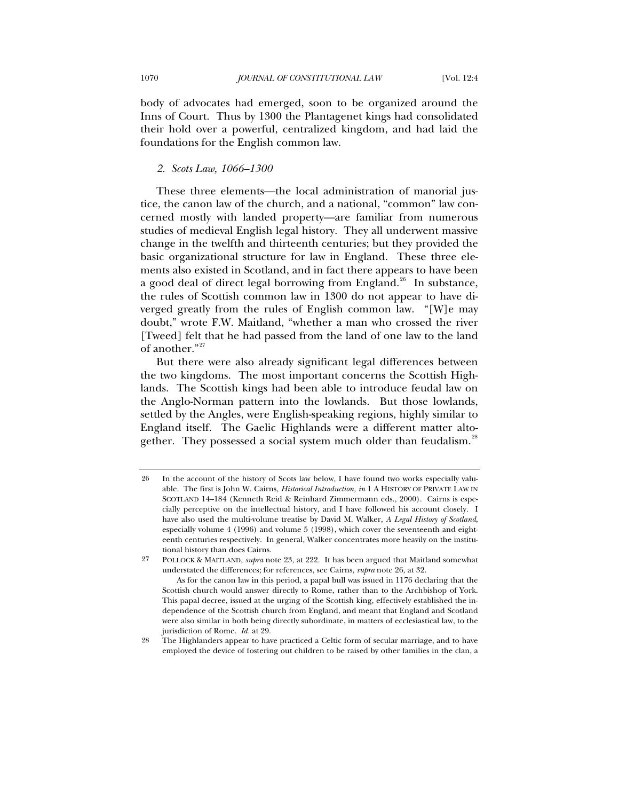<span id="page-18-0"></span>body of advocates had emerged, soon to be organized around the Inns of Court. Thus by 1300 the Plantagenet kings had consolidated their hold over a powerful, centralized kingdom, and had laid the foundations for the English common law.

## *2. Scots Law, 1066–1300*

These three elements—the local administration of manorial justice, the canon law of the church, and a national, "common" law concerned mostly with landed property—are familiar from numerous studies of medieval English legal history. They all underwent massive change in the twelfth and thirteenth centuries; but they provided the basic organizational structure for law in England. These three elements also existed in Scotland, and in fact there appears to have been a good deal of direct legal borrowing from England.<sup>[26](#page-18-1)</sup> In substance, the rules of Scottish common law in 1300 do not appear to have diverged greatly from the rules of English common law. "[W]e may doubt," wrote F.W. Maitland, "whether a man who crossed the river [Tweed] felt that he had passed from the land of one law to the land of another."<sup>[27](#page-18-2)</sup>

But there were also already significant legal differences between the two kingdoms. The most important concerns the Scottish Highlands. The Scottish kings had been able to introduce feudal law on the Anglo-Norman pattern into the lowlands. But those lowlands, settled by the Angles, were English-speaking regions, highly similar to England itself. The Gaelic Highlands were a different matter alto-gether. They possessed a social system much older than feudalism.<sup>[28](#page-18-3)</sup>

<span id="page-18-1"></span><sup>26</sup> In the account of the history of Scots law below, I have found two works especially valuable. The first is John W. Cairns, *Historical Introduction, in* 1 A HISTORY OF PRIVATE LAW IN SCOTLAND 14–184 (Kenneth Reid & Reinhard Zimmermann eds., 2000). Cairns is especially perceptive on the intellectual history, and I have followed his account closely. I have also used the multi-volume treatise by David M. Walker, *A Legal History of Scotland*, especially volume 4 (1996) and volume 5 (1998), which cover the seventeenth and eighteenth centuries respectively. In general, Walker concentrates more heavily on the institutional history than does Cairns.

<span id="page-18-2"></span><sup>27</sup> POLLOCK & MAITLAND, *supra* note 23, at 222. It has been argued that Maitland somewhat understated the differences; for references, see Cairns, *supra* note 26, at 32.

As for the canon law in this period, a papal bull was issued in 1176 declaring that the Scottish church would answer directly to Rome, rather than to the Archbishop of York. This papal decree, issued at the urging of the Scottish king, effectively established the independence of the Scottish church from England, and meant that England and Scotland were also similar in both being directly subordinate, in matters of ecclesiastical law, to the jurisdiction of Rome. *Id.* at 29.

<span id="page-18-3"></span><sup>28</sup> The Highlanders appear to have practiced a Celtic form of secular marriage, and to have employed the device of fostering out children to be raised by other families in the clan, a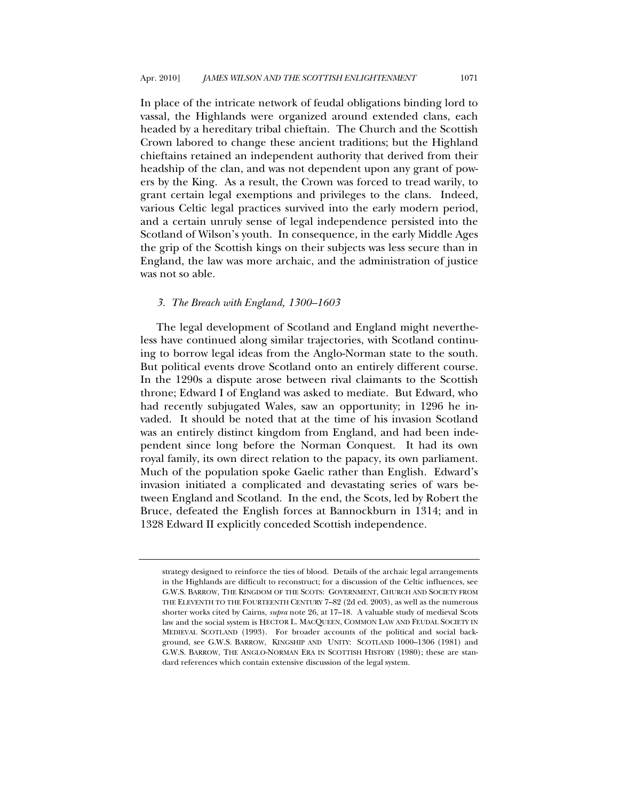<span id="page-19-0"></span>In place of the intricate network of feudal obligations binding lord to vassal, the Highlands were organized around extended clans, each headed by a hereditary tribal chieftain. The Church and the Scottish Crown labored to change these ancient traditions; but the Highland chieftains retained an independent authority that derived from their headship of the clan, and was not dependent upon any grant of powers by the King. As a result, the Crown was forced to tread warily, to grant certain legal exemptions and privileges to the clans. Indeed, various Celtic legal practices survived into the early modern period, and a certain unruly sense of legal independence persisted into the Scotland of Wilson's youth. In consequence, in the early Middle Ages the grip of the Scottish kings on their subjects was less secure than in England, the law was more archaic, and the administration of justice was not so able.

## *3. The Breach with England, 1300–1603*

The legal development of Scotland and England might nevertheless have continued along similar trajectories, with Scotland continuing to borrow legal ideas from the Anglo-Norman state to the south. But political events drove Scotland onto an entirely different course. In the 1290s a dispute arose between rival claimants to the Scottish throne; Edward I of England was asked to mediate. But Edward, who had recently subjugated Wales, saw an opportunity; in 1296 he invaded. It should be noted that at the time of his invasion Scotland was an entirely distinct kingdom from England, and had been independent since long before the Norman Conquest. It had its own royal family, its own direct relation to the papacy, its own parliament. Much of the population spoke Gaelic rather than English. Edward's invasion initiated a complicated and devastating series of wars between England and Scotland. In the end, the Scots, led by Robert the Bruce, defeated the English forces at Bannockburn in 1314; and in 1328 Edward II explicitly conceded Scottish independence.

strategy designed to reinforce the ties of blood. Details of the archaic legal arrangements in the Highlands are difficult to reconstruct; for a discussion of the Celtic influences, see G.W.S. BARROW, THE KINGDOM OF THE SCOTS: GOVERNMENT, CHURCH AND SOCIETY FROM THE ELEVENTH TO THE FOURTEENTH CENTURY 7–82 (2d ed. 2003), as well as the numerous shorter works cited by Cairns, *supra* note 26, at 17–18. A valuable study of medieval Scots law and the social system is HECTOR L. MACQUEEN, COMMON LAW AND FEUDAL SOCIETY IN MEDIEVAL SCOTLAND (1993). For broader accounts of the political and social background, see G.W.S. BARROW, KINGSHIP AND UNITY: SCOTLAND 1000–1306 (1981) and G.W.S. BARROW, THE ANGLO-NORMAN ERA IN SCOTTISH HISTORY (1980); these are standard references which contain extensive discussion of the legal system.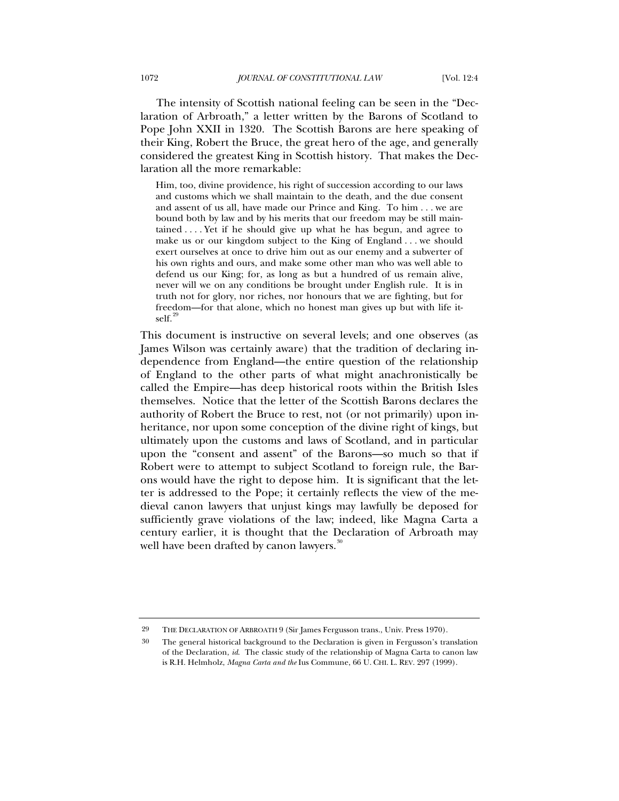The intensity of Scottish national feeling can be seen in the "Declaration of Arbroath," a letter written by the Barons of Scotland to Pope John XXII in 1320. The Scottish Barons are here speaking of their King, Robert the Bruce, the great hero of the age, and generally considered the greatest King in Scottish history. That makes the Declaration all the more remarkable:

Him, too, divine providence, his right of succession according to our laws and customs which we shall maintain to the death, and the due consent and assent of us all, have made our Prince and King. To him . . . we are bound both by law and by his merits that our freedom may be still maintained . . . . Yet if he should give up what he has begun, and agree to make us or our kingdom subject to the King of England . . . we should exert ourselves at once to drive him out as our enemy and a subverter of his own rights and ours, and make some other man who was well able to defend us our King; for, as long as but a hundred of us remain alive, never will we on any conditions be brought under English rule. It is in truth not for glory, nor riches, nor honours that we are fighting, but for freedom—for that alone, which no honest man gives up but with life itself.<sup>2</sup>

This document is instructive on several levels; and one observes (as James Wilson was certainly aware) that the tradition of declaring independence from England—the entire question of the relationship of England to the other parts of what might anachronistically be called the Empire—has deep historical roots within the British Isles themselves. Notice that the letter of the Scottish Barons declares the authority of Robert the Bruce to rest, not (or not primarily) upon inheritance, nor upon some conception of the divine right of kings, but ultimately upon the customs and laws of Scotland, and in particular upon the "consent and assent" of the Barons—so much so that if Robert were to attempt to subject Scotland to foreign rule, the Barons would have the right to depose him. It is significant that the letter is addressed to the Pope; it certainly reflects the view of the medieval canon lawyers that unjust kings may lawfully be deposed for sufficiently grave violations of the law; indeed, like Magna Carta a century earlier, it is thought that the Declaration of Arbroath may well have been drafted by canon lawyers.<sup>[30](#page-20-1)</sup>

<span id="page-20-0"></span><sup>29</sup> THE DECLARATION OF ARBROATH 9 (Sir James Fergusson trans., Univ. Press 1970).

<span id="page-20-1"></span><sup>30</sup> The general historical background to the Declaration is given in Fergusson's translation of the Declaration, *id*. The classic study of the relationship of Magna Carta to canon law is R.H. Helmholz, *Magna Carta and the* Ius Commune, 66 U. CHI. L. REV. 297 (1999).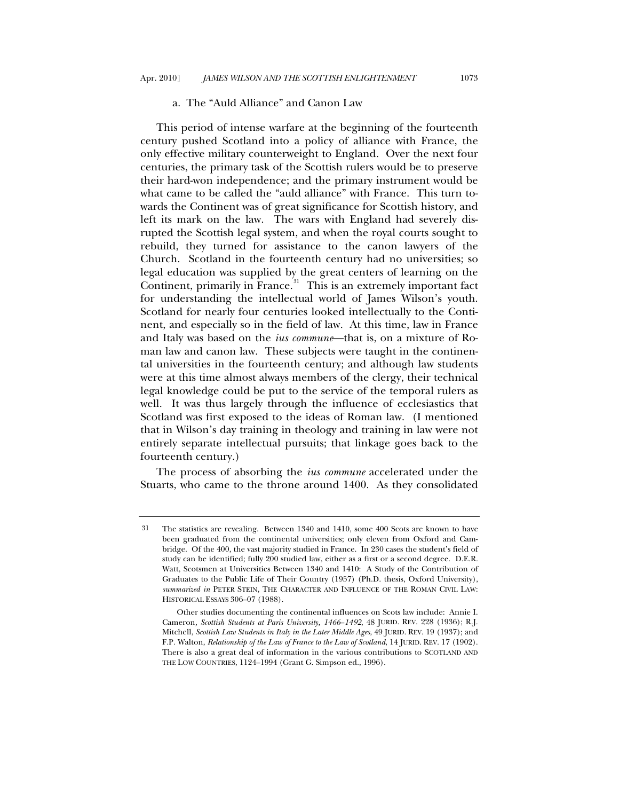#### a. The "Auld Alliance" and Canon Law

<span id="page-21-0"></span>This period of intense warfare at the beginning of the fourteenth century pushed Scotland into a policy of alliance with France, the only effective military counterweight to England. Over the next four centuries, the primary task of the Scottish rulers would be to preserve their hard-won independence; and the primary instrument would be what came to be called the "auld alliance" with France. This turn towards the Continent was of great significance for Scottish history, and left its mark on the law. The wars with England had severely disrupted the Scottish legal system, and when the royal courts sought to rebuild, they turned for assistance to the canon lawyers of the Church. Scotland in the fourteenth century had no universities; so legal education was supplied by the great centers of learning on the Continent, primarily in France.<sup>[31](#page-21-1)</sup> This is an extremely important fact for understanding the intellectual world of James Wilson's youth. Scotland for nearly four centuries looked intellectually to the Continent, and especially so in the field of law. At this time, law in France and Italy was based on the *ius commune*—that is, on a mixture of Roman law and canon law. These subjects were taught in the continental universities in the fourteenth century; and although law students were at this time almost always members of the clergy, their technical legal knowledge could be put to the service of the temporal rulers as well. It was thus largely through the influence of ecclesiastics that Scotland was first exposed to the ideas of Roman law. (I mentioned that in Wilson's day training in theology and training in law were not entirely separate intellectual pursuits; that linkage goes back to the fourteenth century.)

The process of absorbing the *ius commune* accelerated under the Stuarts, who came to the throne around 1400. As they consolidated

<span id="page-21-1"></span><sup>31</sup> The statistics are revealing. Between 1340 and 1410, some 400 Scots are known to have been graduated from the continental universities; only eleven from Oxford and Cambridge. Of the 400, the vast majority studied in France. In 230 cases the student's field of study can be identified; fully 200 studied law, either as a first or a second degree. D.E.R. Watt, Scotsmen at Universities Between 1340 and 1410: A Study of the Contribution of Graduates to the Public Life of Their Country (1957) (Ph.D. thesis, Oxford University), *summarized in* PETER STEIN, THE CHARACTER AND INFLUENCE OF THE ROMAN CIVIL LAW: HISTORICAL ESSAYS 306–07 (1988).

Other studies documenting the continental influences on Scots law include: Annie I. Cameron*, Scottish Students at Paris University, 1466*–*1492*, 48 JURID. REV. 228 (1936); R.J. Mitchell, *Scottish Law Students in Italy in the Later Middle Ages*, 49 JURID. REV. 19 (1937); and F.P. Walton, *Relationship of the Law of France to the Law of Scotland*, 14 JURID. REV. 17 (1902). There is also a great deal of information in the various contributions to SCOTLAND AND THE LOW COUNTRIES, 1124–1994 (Grant G. Simpson ed., 1996).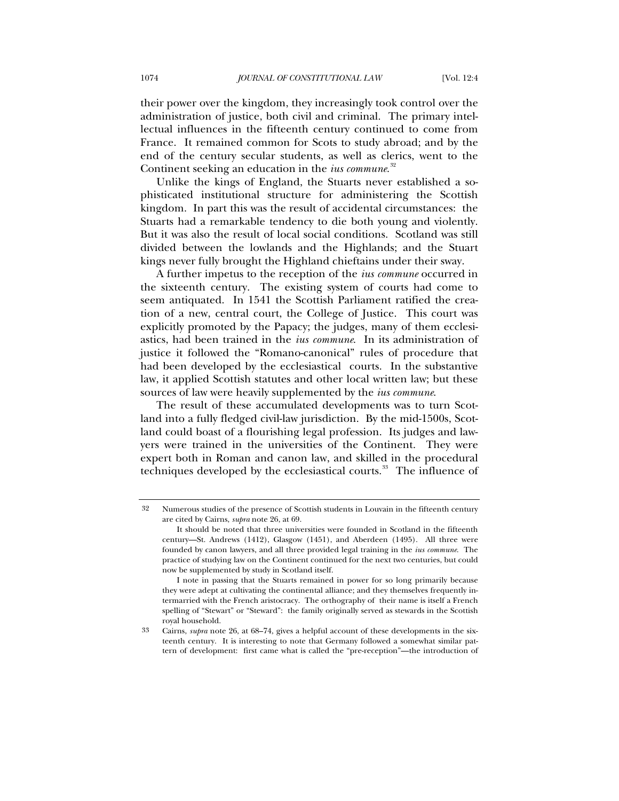their power over the kingdom, they increasingly took control over the administration of justice, both civil and criminal. The primary intellectual influences in the fifteenth century continued to come from France. It remained common for Scots to study abroad; and by the end of the century secular students, as well as clerics, went to the Continent seeking an education in the *ius commune*. [32](#page-22-0)

Unlike the kings of England, the Stuarts never established a sophisticated institutional structure for administering the Scottish kingdom. In part this was the result of accidental circumstances: the Stuarts had a remarkable tendency to die both young and violently. But it was also the result of local social conditions. Scotland was still divided between the lowlands and the Highlands; and the Stuart kings never fully brought the Highland chieftains under their sway.

A further impetus to the reception of the *ius commune* occurred in the sixteenth century. The existing system of courts had come to seem antiquated. In 1541 the Scottish Parliament ratified the creation of a new, central court, the College of Justice. This court was explicitly promoted by the Papacy; the judges, many of them ecclesiastics, had been trained in the *ius commune*. In its administration of justice it followed the "Romano-canonical" rules of procedure that had been developed by the ecclesiastical courts. In the substantive law, it applied Scottish statutes and other local written law; but these sources of law were heavily supplemented by the *ius commune*.

The result of these accumulated developments was to turn Scotland into a fully fledged civil-law jurisdiction. By the mid-1500s, Scotland could boast of a flourishing legal profession. Its judges and lawyers were trained in the universities of the Continent. They were expert both in Roman and canon law, and skilled in the procedural techniques developed by the ecclesiastical courts.<sup>[33](#page-22-1)</sup> The influence of

<span id="page-22-0"></span><sup>32</sup> Numerous studies of the presence of Scottish students in Louvain in the fifteenth century are cited by Cairns, *supra* note 26, at 69.

It should be noted that three universities were founded in Scotland in the fifteenth century—St. Andrews (1412), Glasgow (1451), and Aberdeen (1495). All three were founded by canon lawyers, and all three provided legal training in the *ius commune*. The practice of studying law on the Continent continued for the next two centuries, but could now be supplemented by study in Scotland itself.

I note in passing that the Stuarts remained in power for so long primarily because they were adept at cultivating the continental alliance; and they themselves frequently intermarried with the French aristocracy. The orthography of their name is itself a French spelling of "Stewart" or "Steward": the family originally served as stewards in the Scottish royal household.

<span id="page-22-1"></span><sup>33</sup> Cairns, *supra* note 26, at 68–74, gives a helpful account of these developments in the sixteenth century. It is interesting to note that Germany followed a somewhat similar pattern of development: first came what is called the "pre-reception"—the introduction of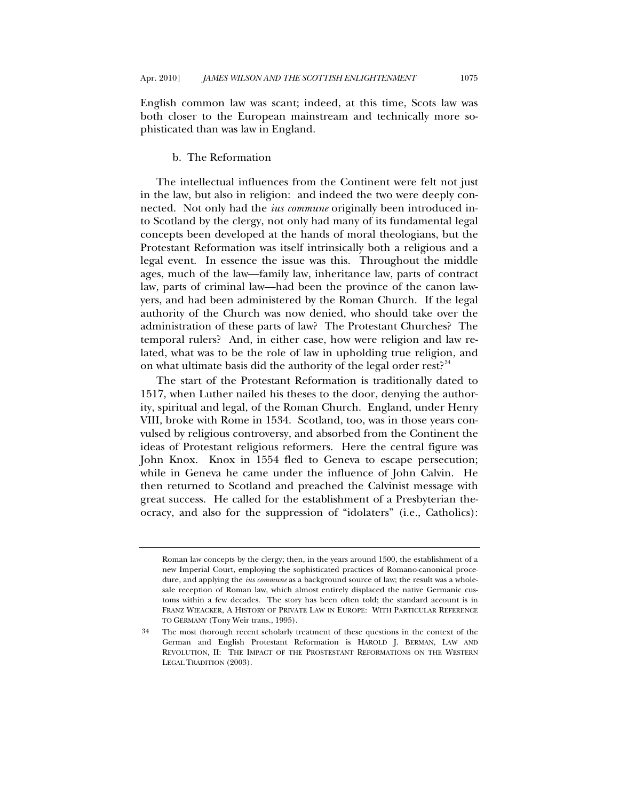<span id="page-23-0"></span>English common law was scant; indeed, at this time, Scots law was both closer to the European mainstream and technically more sophisticated than was law in England.

#### b. The Reformation

The intellectual influences from the Continent were felt not just in the law, but also in religion: and indeed the two were deeply connected. Not only had the *ius commune* originally been introduced into Scotland by the clergy, not only had many of its fundamental legal concepts been developed at the hands of moral theologians, but the Protestant Reformation was itself intrinsically both a religious and a legal event. In essence the issue was this. Throughout the middle ages, much of the law—family law, inheritance law, parts of contract law, parts of criminal law—had been the province of the canon lawyers, and had been administered by the Roman Church. If the legal authority of the Church was now denied, who should take over the administration of these parts of law? The Protestant Churches? The temporal rulers? And, in either case, how were religion and law related, what was to be the role of law in upholding true religion, and on what ultimate basis did the authority of the legal order rest?<sup>[34](#page-23-1)</sup>

The start of the Protestant Reformation is traditionally dated to 1517, when Luther nailed his theses to the door, denying the authority, spiritual and legal, of the Roman Church. England, under Henry VIII, broke with Rome in 1534. Scotland, too, was in those years convulsed by religious controversy, and absorbed from the Continent the ideas of Protestant religious reformers. Here the central figure was John Knox. Knox in 1554 fled to Geneva to escape persecution; while in Geneva he came under the influence of John Calvin. He then returned to Scotland and preached the Calvinist message with great success. He called for the establishment of a Presbyterian theocracy, and also for the suppression of "idolaters" (i.e., Catholics):

Roman law concepts by the clergy; then, in the years around 1500, the establishment of a new Imperial Court, employing the sophisticated practices of Romano-canonical procedure, and applying the *ius commune* as a background source of law; the result was a wholesale reception of Roman law, which almost entirely displaced the native Germanic customs within a few decades. The story has been often told; the standard account is in FRANZ WIEACKER, A HISTORY OF PRIVATE LAW IN EUROPE: WITH PARTICULAR REFERENCE TO GERMANY (Tony Weir trans., 1995).

<span id="page-23-1"></span><sup>34</sup> The most thorough recent scholarly treatment of these questions in the context of the German and English Protestant Reformation is HAROLD J. BERMAN, LAW AND REVOLUTION, II: THE IMPACT OF THE PROSTESTANT REFORMATIONS ON THE WESTERN LEGAL TRADITION (2003).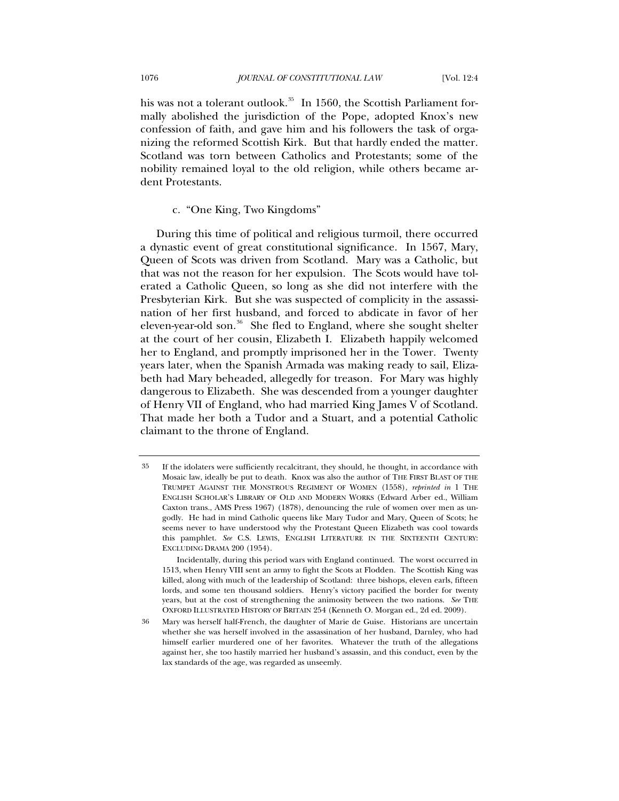<span id="page-24-0"></span>his was not a tolerant outlook.<sup>[35](#page-24-1)</sup> In 1560, the Scottish Parliament formally abolished the jurisdiction of the Pope, adopted Knox's new confession of faith, and gave him and his followers the task of organizing the reformed Scottish Kirk. But that hardly ended the matter. Scotland was torn between Catholics and Protestants; some of the nobility remained loyal to the old religion, while others became ardent Protestants.

# c. "One King, Two Kingdoms"

During this time of political and religious turmoil, there occurred a dynastic event of great constitutional significance. In 1567, Mary, Queen of Scots was driven from Scotland. Mary was a Catholic, but that was not the reason for her expulsion. The Scots would have tolerated a Catholic Queen, so long as she did not interfere with the Presbyterian Kirk. But she was suspected of complicity in the assassination of her first husband, and forced to abdicate in favor of her eleven-year-old son.<sup>[36](#page-24-2)</sup> She fled to England, where she sought shelter at the court of her cousin, Elizabeth I. Elizabeth happily welcomed her to England, and promptly imprisoned her in the Tower. Twenty years later, when the Spanish Armada was making ready to sail, Elizabeth had Mary beheaded, allegedly for treason. For Mary was highly dangerous to Elizabeth. She was descended from a younger daughter of Henry VII of England, who had married King James V of Scotland. That made her both a Tudor and a Stuart, and a potential Catholic claimant to the throne of England.

<span id="page-24-1"></span><sup>35</sup> If the idolaters were sufficiently recalcitrant, they should, he thought, in accordance with Mosaic law, ideally be put to death. Knox was also the author of THE FIRST BLAST OF THE TRUMPET AGAINST THE MONSTROUS REGIMENT OF WOMEN (1558), *reprinted in* 1 THE ENGLISH SCHOLAR'S LIBRARY OF OLD AND MODERN WORKS (Edward Arber ed., William Caxton trans., AMS Press 1967) (1878), denouncing the rule of women over men as ungodly. He had in mind Catholic queens like Mary Tudor and Mary, Queen of Scots; he seems never to have understood why the Protestant Queen Elizabeth was cool towards this pamphlet. *See* C.S. LEWIS, ENGLISH LITERATURE IN THE SIXTEENTH CENTURY: EXCLUDING DRAMA 200 (1954).

Incidentally, during this period wars with England continued. The worst occurred in 1513, when Henry VIII sent an army to fight the Scots at Flodden. The Scottish King was killed, along with much of the leadership of Scotland: three bishops, eleven earls, fifteen lords, and some ten thousand soldiers. Henry's victory pacified the border for twenty years, but at the cost of strengthening the animosity between the two nations. *See* THE OXFORD ILLUSTRATED HISTORY OF BRITAIN 254 (Kenneth O. Morgan ed., 2d ed. 2009).

<span id="page-24-2"></span><sup>36</sup> Mary was herself half-French, the daughter of Marie de Guise. Historians are uncertain whether she was herself involved in the assassination of her husband, Darnley, who had himself earlier murdered one of her favorites. Whatever the truth of the allegations against her, she too hastily married her husband's assassin, and this conduct, even by the lax standards of the age, was regarded as unseemly.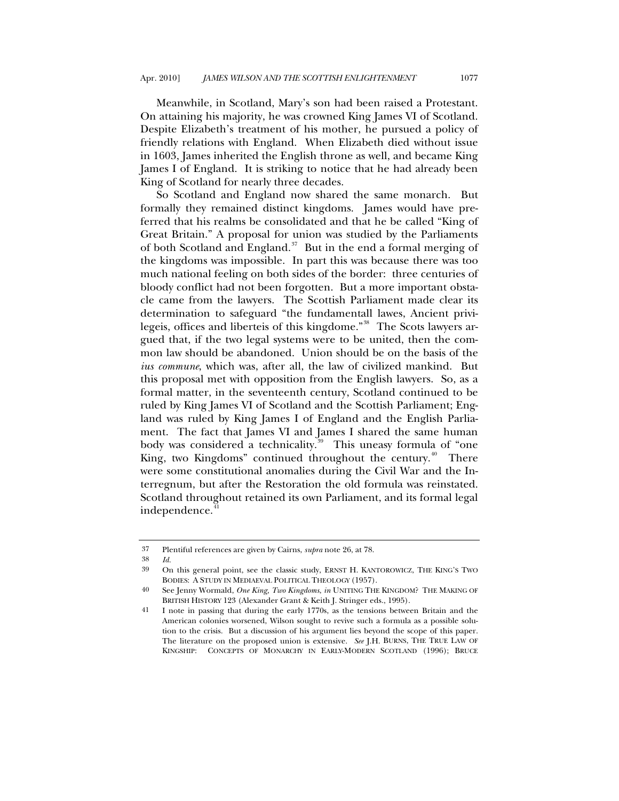Meanwhile, in Scotland, Mary's son had been raised a Protestant. On attaining his majority, he was crowned King James VI of Scotland. Despite Elizabeth's treatment of his mother, he pursued a policy of friendly relations with England. When Elizabeth died without issue in 1603, James inherited the English throne as well, and became King James I of England. It is striking to notice that he had already been King of Scotland for nearly three decades.

So Scotland and England now shared the same monarch. But formally they remained distinct kingdoms. James would have preferred that his realms be consolidated and that he be called "King of Great Britain." A proposal for union was studied by the Parliaments of both Scotland and England.[37](#page-25-0) But in the end a formal merging of the kingdoms was impossible. In part this was because there was too much national feeling on both sides of the border: three centuries of bloody conflict had not been forgotten. But a more important obstacle came from the lawyers. The Scottish Parliament made clear its determination to safeguard "the fundamentall lawes, Ancient privi-legeis, offices and liberteis of this kingdome."<sup>[38](#page-25-1)</sup> The Scots lawyers argued that, if the two legal systems were to be united, then the common law should be abandoned. Union should be on the basis of the *ius commune*, which was, after all, the law of civilized mankind. But this proposal met with opposition from the English lawyers. So, as a formal matter, in the seventeenth century, Scotland continued to be ruled by King James VI of Scotland and the Scottish Parliament; England was ruled by King James I of England and the English Parliament. The fact that James VI and James I shared the same human body was considered a technicality.<sup>[39](#page-25-2)</sup> This uneasy formula of "one King, two Kingdoms" continued throughout the century.<sup>[40](#page-25-3)</sup> There were some constitutional anomalies during the Civil War and the Interregnum, but after the Restoration the old formula was reinstated. Scotland throughout retained its own Parliament, and its formal legal independence.<sup>4</sup>

<span id="page-25-0"></span><sup>37</sup> Plentiful references are given by Cairns, *supra* note 26, at 78.

<span id="page-25-2"></span><span id="page-25-1"></span><sup>38</sup> *Id.*

<sup>39</sup> On this general point, see the classic study, ERNST H. KANTOROWICZ, THE KING'S TWO BODIES: A STUDY IN MEDIAEVAL POLITICAL THEOLOGY (1957).

<span id="page-25-3"></span><sup>40</sup> See Jenny Wormald, *One King, Two Kingdoms*, *in* UNITING THE KINGDOM? THE MAKING OF BRITISH HISTORY 123 (Alexander Grant & Keith J. Stringer eds., 1995).

<span id="page-25-4"></span><sup>41</sup> I note in passing that during the early 1770s, as the tensions between Britain and the American colonies worsened, Wilson sought to revive such a formula as a possible solution to the crisis. But a discussion of his argument lies beyond the scope of this paper. The literature on the proposed union is extensive. *See* J.H. BURNS, THE TRUE LAW OF KINGSHIP: CONCEPTS OF MONARCHY IN EARLY-MODERN SCOTLAND (1996); BRUCE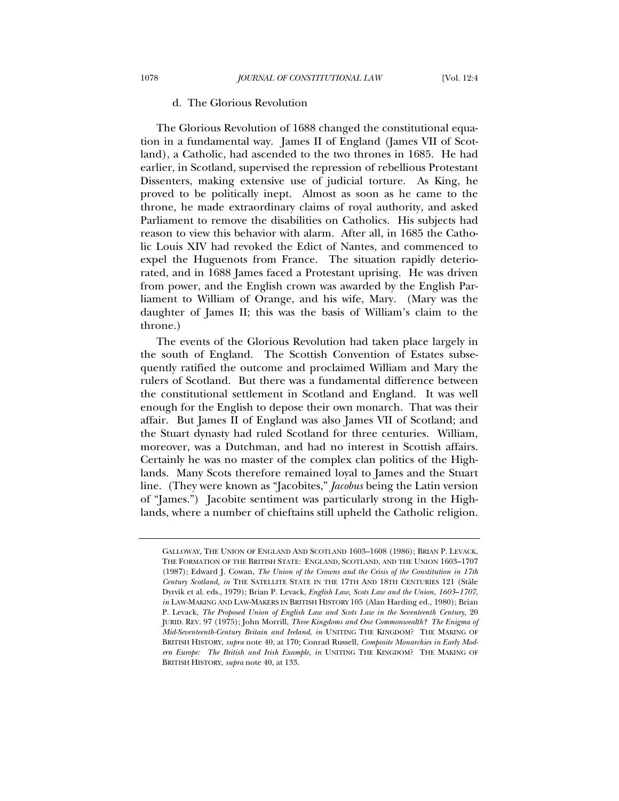### d. The Glorious Revolution

<span id="page-26-0"></span>The Glorious Revolution of 1688 changed the constitutional equation in a fundamental way. James II of England (James VII of Scotland), a Catholic, had ascended to the two thrones in 1685. He had earlier, in Scotland, supervised the repression of rebellious Protestant Dissenters, making extensive use of judicial torture. As King, he proved to be politically inept. Almost as soon as he came to the throne, he made extraordinary claims of royal authority, and asked Parliament to remove the disabilities on Catholics. His subjects had reason to view this behavior with alarm. After all, in 1685 the Catholic Louis XIV had revoked the Edict of Nantes, and commenced to expel the Huguenots from France. The situation rapidly deteriorated, and in 1688 James faced a Protestant uprising. He was driven from power, and the English crown was awarded by the English Parliament to William of Orange, and his wife, Mary. (Mary was the daughter of James II; this was the basis of William's claim to the throne.)

The events of the Glorious Revolution had taken place largely in the south of England. The Scottish Convention of Estates subsequently ratified the outcome and proclaimed William and Mary the rulers of Scotland. But there was a fundamental difference between the constitutional settlement in Scotland and England. It was well enough for the English to depose their own monarch. That was their affair. But James II of England was also James VII of Scotland; and the Stuart dynasty had ruled Scotland for three centuries. William, moreover, was a Dutchman, and had no interest in Scottish affairs. Certainly he was no master of the complex clan politics of the Highlands. Many Scots therefore remained loyal to James and the Stuart line. (They were known as "Jacobites," *Jacobus* being the Latin version of "James.") Jacobite sentiment was particularly strong in the Highlands, where a number of chieftains still upheld the Catholic religion.

GALLOWAY, THE UNION OF ENGLAND AND SCOTLAND 1603–1608 (1986); BRIAN P. LEVACK, THE FORMATION OF THE BRITISH STATE: ENGLAND, SCOTLAND, AND THE UNION 1603–1707 (1987); Edward J. Cowan, *The Union of the Crowns and the Crisis of the Constitution in 17th Century Scotland, in* THE SATELLITE STATE IN THE 17TH AND 18TH CENTURIES 121 (Ståle Dyrvik et al. eds., 1979); Brian P. Levack, *English Law, Scots Law and the Union, 1603*–*1707*, *in* LAW-MAKING AND LAW-MAKERS IN BRITISH HISTORY 105 (Alan Harding ed., 1980); Brian P. Levack, *The Proposed Union of English Law and Scots Law in the Seventeenth Century*, 20 JURID. REV. 97 (1975); John Morrill, *Three Kingdoms and One Commonwealth? The Enigma of Mid-Seventeenth-Century Britain and Ireland*, *in* UNITING THE KINGDOM? THE MAKING OF BRITISH HISTORY, *supra* note 40, at 170; Conrad Russell, *Composite Monarchies in Early Modern Europe: The British and Irish Example*, *in* UNITING THE KINGDOM? THE MAKING OF BRITISH HISTORY, *supra* note 40, at 133.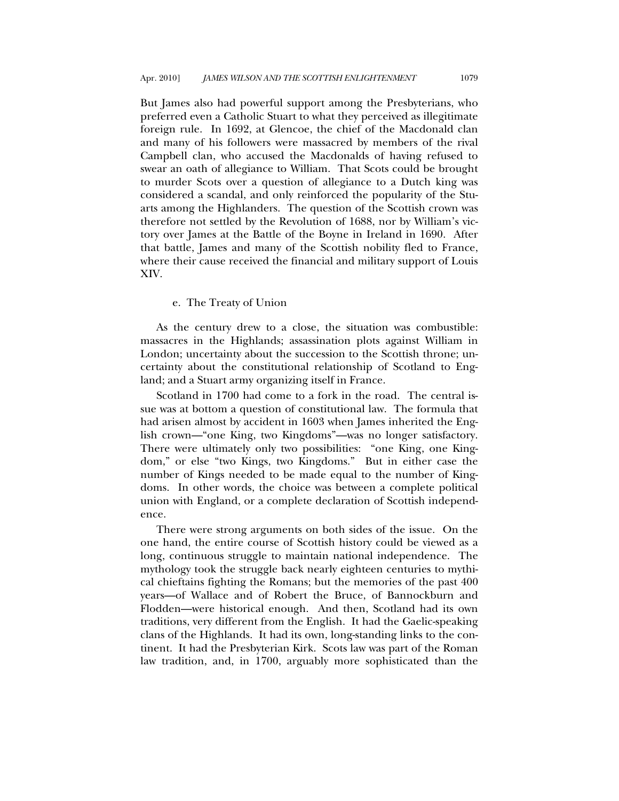<span id="page-27-0"></span>But James also had powerful support among the Presbyterians, who preferred even a Catholic Stuart to what they perceived as illegitimate foreign rule. In 1692, at Glencoe, the chief of the Macdonald clan and many of his followers were massacred by members of the rival Campbell clan, who accused the Macdonalds of having refused to swear an oath of allegiance to William. That Scots could be brought to murder Scots over a question of allegiance to a Dutch king was considered a scandal, and only reinforced the popularity of the Stuarts among the Highlanders. The question of the Scottish crown was therefore not settled by the Revolution of 1688, nor by William's victory over James at the Battle of the Boyne in Ireland in 1690. After that battle, James and many of the Scottish nobility fled to France, where their cause received the financial and military support of Louis XIV.

### e. The Treaty of Union

As the century drew to a close, the situation was combustible: massacres in the Highlands; assassination plots against William in London; uncertainty about the succession to the Scottish throne; uncertainty about the constitutional relationship of Scotland to England; and a Stuart army organizing itself in France.

Scotland in 1700 had come to a fork in the road. The central issue was at bottom a question of constitutional law. The formula that had arisen almost by accident in 1603 when James inherited the English crown—"one King, two Kingdoms"—was no longer satisfactory. There were ultimately only two possibilities: "one King, one Kingdom," or else "two Kings, two Kingdoms." But in either case the number of Kings needed to be made equal to the number of Kingdoms. In other words, the choice was between a complete political union with England, or a complete declaration of Scottish independence.

There were strong arguments on both sides of the issue. On the one hand, the entire course of Scottish history could be viewed as a long, continuous struggle to maintain national independence. The mythology took the struggle back nearly eighteen centuries to mythical chieftains fighting the Romans; but the memories of the past 400 years—of Wallace and of Robert the Bruce, of Bannockburn and Flodden—were historical enough. And then, Scotland had its own traditions, very different from the English. It had the Gaelic-speaking clans of the Highlands. It had its own, long-standing links to the continent. It had the Presbyterian Kirk. Scots law was part of the Roman law tradition, and, in 1700, arguably more sophisticated than the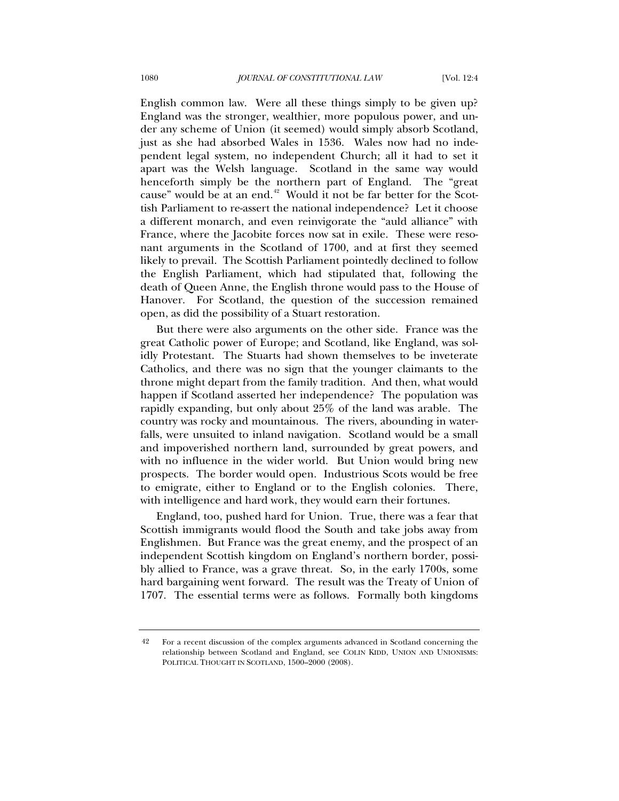English common law. Were all these things simply to be given up? England was the stronger, wealthier, more populous power, and under any scheme of Union (it seemed) would simply absorb Scotland, just as she had absorbed Wales in 1536. Wales now had no independent legal system, no independent Church; all it had to set it apart was the Welsh language. Scotland in the same way would henceforth simply be the northern part of England. The "great cause" would be at an end.<sup>[42](#page-28-0)</sup> Would it not be far better for the Scottish Parliament to re-assert the national independence? Let it choose a different monarch, and even reinvigorate the "auld alliance" with France, where the Jacobite forces now sat in exile. These were resonant arguments in the Scotland of 1700, and at first they seemed likely to prevail. The Scottish Parliament pointedly declined to follow the English Parliament, which had stipulated that, following the death of Queen Anne, the English throne would pass to the House of Hanover. For Scotland, the question of the succession remained open, as did the possibility of a Stuart restoration.

But there were also arguments on the other side. France was the great Catholic power of Europe; and Scotland, like England, was solidly Protestant. The Stuarts had shown themselves to be inveterate Catholics, and there was no sign that the younger claimants to the throne might depart from the family tradition. And then, what would happen if Scotland asserted her independence? The population was rapidly expanding, but only about 25% of the land was arable. The country was rocky and mountainous. The rivers, abounding in waterfalls, were unsuited to inland navigation. Scotland would be a small and impoverished northern land, surrounded by great powers, and with no influence in the wider world. But Union would bring new prospects. The border would open. Industrious Scots would be free to emigrate, either to England or to the English colonies. There, with intelligence and hard work, they would earn their fortunes.

England, too, pushed hard for Union. True, there was a fear that Scottish immigrants would flood the South and take jobs away from Englishmen. But France was the great enemy, and the prospect of an independent Scottish kingdom on England's northern border, possibly allied to France, was a grave threat. So, in the early 1700s, some hard bargaining went forward. The result was the Treaty of Union of 1707. The essential terms were as follows. Formally both kingdoms

<span id="page-28-0"></span><sup>42</sup> For a recent discussion of the complex arguments advanced in Scotland concerning the relationship between Scotland and England, see COLIN KIDD, UNION AND UNIONISMS: POLITICAL THOUGHT IN SCOTLAND, 1500–2000 (2008).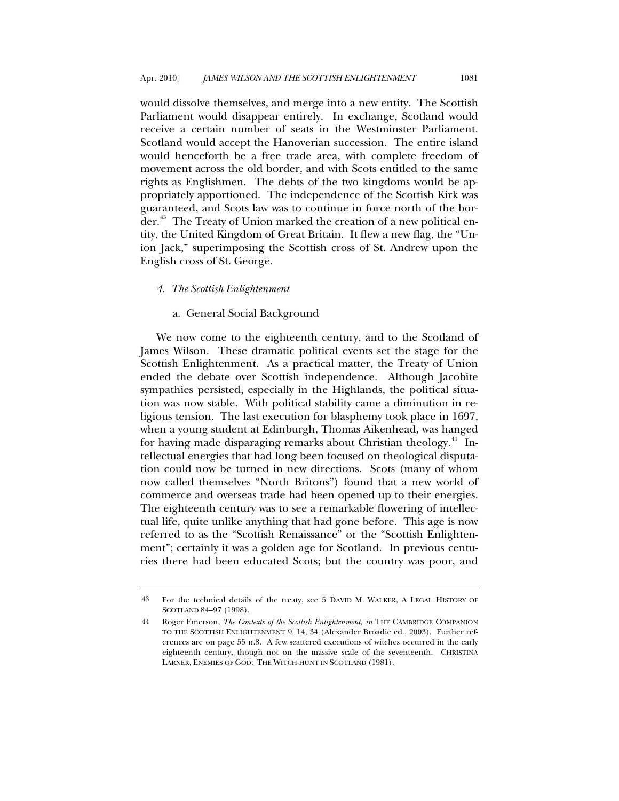<span id="page-29-0"></span>would dissolve themselves, and merge into a new entity. The Scottish Parliament would disappear entirely. In exchange, Scotland would receive a certain number of seats in the Westminster Parliament. Scotland would accept the Hanoverian succession. The entire island would henceforth be a free trade area, with complete freedom of movement across the old border, and with Scots entitled to the same rights as Englishmen. The debts of the two kingdoms would be appropriately apportioned. The independence of the Scottish Kirk was guaranteed, and Scots law was to continue in force north of the bor-der.<sup>[43](#page-29-1)</sup> The Treaty of Union marked the creation of a new political entity, the United Kingdom of Great Britain. It flew a new flag, the "Union Jack," superimposing the Scottish cross of St. Andrew upon the English cross of St. George.

# *4. The Scottish Enlightenment*

# a. General Social Background

We now come to the eighteenth century, and to the Scotland of James Wilson. These dramatic political events set the stage for the Scottish Enlightenment. As a practical matter, the Treaty of Union ended the debate over Scottish independence. Although Jacobite sympathies persisted, especially in the Highlands, the political situation was now stable. With political stability came a diminution in religious tension. The last execution for blasphemy took place in 1697, when a young student at Edinburgh, Thomas Aikenhead, was hanged for having made disparaging remarks about Christian theology.<sup>[44](#page-29-2)</sup> Intellectual energies that had long been focused on theological disputation could now be turned in new directions. Scots (many of whom now called themselves "North Britons") found that a new world of commerce and overseas trade had been opened up to their energies. The eighteenth century was to see a remarkable flowering of intellectual life, quite unlike anything that had gone before. This age is now referred to as the "Scottish Renaissance" or the "Scottish Enlightenment"; certainly it was a golden age for Scotland. In previous centuries there had been educated Scots; but the country was poor, and

<span id="page-29-1"></span><sup>43</sup> For the technical details of the treaty, see 5 DAVID M. WALKER, A LEGAL HISTORY OF SCOTLAND 84–97 (1998).

<span id="page-29-2"></span><sup>44</sup> Roger Emerson, *The Contexts of the Scottish Enlightenment, in* THE CAMBRIDGE COMPANION TO THE SCOTTISH ENLIGHTENMENT 9, 14, 34 (Alexander Broadie ed., 2003). Further references are on page 55 n.8. A few scattered executions of witches occurred in the early eighteenth century, though not on the massive scale of the seventeenth. CHRISTINA LARNER, ENEMIES OF GOD: THE WITCH-HUNT IN SCOTLAND (1981).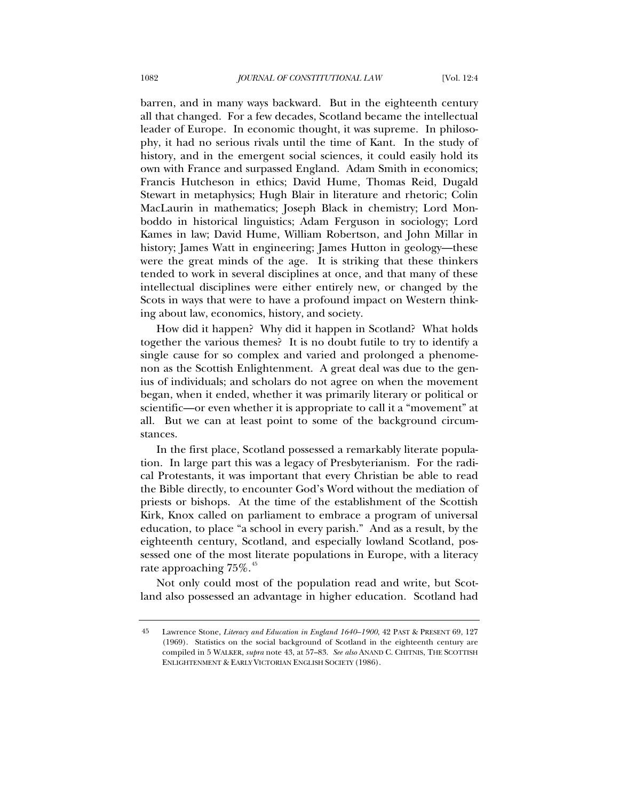barren, and in many ways backward. But in the eighteenth century all that changed. For a few decades, Scotland became the intellectual leader of Europe. In economic thought, it was supreme. In philosophy, it had no serious rivals until the time of Kant. In the study of history, and in the emergent social sciences, it could easily hold its own with France and surpassed England. Adam Smith in economics; Francis Hutcheson in ethics; David Hume, Thomas Reid, Dugald Stewart in metaphysics; Hugh Blair in literature and rhetoric; Colin MacLaurin in mathematics; Joseph Black in chemistry; Lord Monboddo in historical linguistics; Adam Ferguson in sociology; Lord Kames in law; David Hume, William Robertson, and John Millar in history; James Watt in engineering; James Hutton in geology—these were the great minds of the age. It is striking that these thinkers tended to work in several disciplines at once, and that many of these intellectual disciplines were either entirely new, or changed by the Scots in ways that were to have a profound impact on Western thinking about law, economics, history, and society.

How did it happen? Why did it happen in Scotland? What holds together the various themes? It is no doubt futile to try to identify a single cause for so complex and varied and prolonged a phenomenon as the Scottish Enlightenment. A great deal was due to the genius of individuals; and scholars do not agree on when the movement began, when it ended, whether it was primarily literary or political or scientific—or even whether it is appropriate to call it a "movement" at all. But we can at least point to some of the background circumstances.

In the first place, Scotland possessed a remarkably literate population. In large part this was a legacy of Presbyterianism. For the radical Protestants, it was important that every Christian be able to read the Bible directly, to encounter God's Word without the mediation of priests or bishops. At the time of the establishment of the Scottish Kirk, Knox called on parliament to embrace a program of universal education, to place "a school in every parish." And as a result, by the eighteenth century, Scotland, and especially lowland Scotland, possessed one of the most literate populations in Europe, with a literacy rate approaching  $75\%$ .<sup>[45](#page-30-0)</sup>

Not only could most of the population read and write, but Scotland also possessed an advantage in higher education. Scotland had

<span id="page-30-0"></span><sup>45</sup> Lawrence Stone, *Literacy and Education in England 1640–1900*, 42 PAST & PRESENT 69, 127 (1969). Statistics on the social background of Scotland in the eighteenth century are compiled in 5 WALKER, *supra* note 43, at 57–83. *See also* ANAND C. CHITNIS, THE SCOTTISH ENLIGHTENMENT & EARLY VICTORIAN ENGLISH SOCIETY (1986).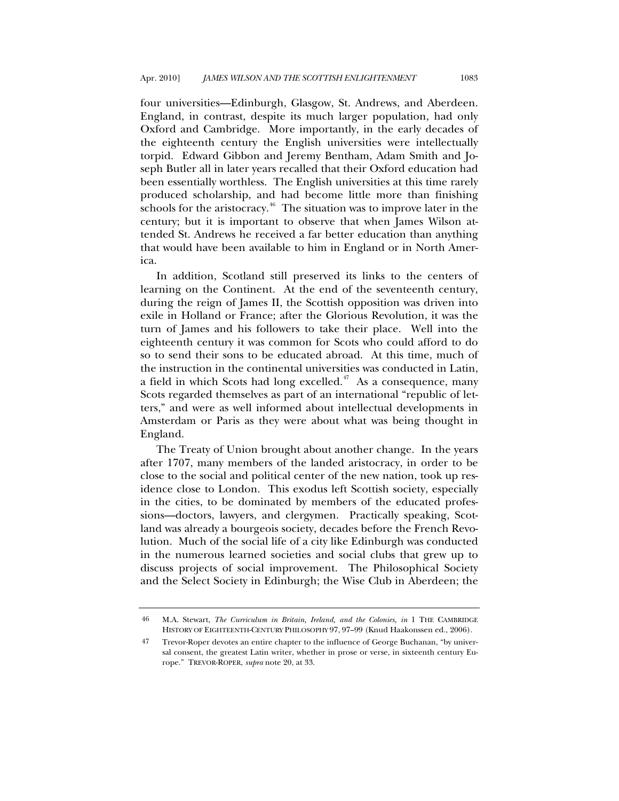four universities—Edinburgh, Glasgow, St. Andrews, and Aberdeen. England, in contrast, despite its much larger population, had only Oxford and Cambridge. More importantly, in the early decades of the eighteenth century the English universities were intellectually torpid. Edward Gibbon and Jeremy Bentham, Adam Smith and Joseph Butler all in later years recalled that their Oxford education had been essentially worthless. The English universities at this time rarely produced scholarship, and had become little more than finishing schools for the aristocracy.<sup>[46](#page-31-0)</sup> The situation was to improve later in the century; but it is important to observe that when James Wilson attended St. Andrews he received a far better education than anything that would have been available to him in England or in North America.

In addition, Scotland still preserved its links to the centers of learning on the Continent. At the end of the seventeenth century, during the reign of James II, the Scottish opposition was driven into exile in Holland or France; after the Glorious Revolution, it was the turn of James and his followers to take their place. Well into the eighteenth century it was common for Scots who could afford to do so to send their sons to be educated abroad. At this time, much of the instruction in the continental universities was conducted in Latin, a field in which Scots had long excelled. $47$  As a consequence, many Scots regarded themselves as part of an international "republic of letters," and were as well informed about intellectual developments in Amsterdam or Paris as they were about what was being thought in England.

The Treaty of Union brought about another change. In the years after 1707, many members of the landed aristocracy, in order to be close to the social and political center of the new nation, took up residence close to London. This exodus left Scottish society, especially in the cities, to be dominated by members of the educated professions—doctors, lawyers, and clergymen. Practically speaking, Scotland was already a bourgeois society, decades before the French Revolution. Much of the social life of a city like Edinburgh was conducted in the numerous learned societies and social clubs that grew up to discuss projects of social improvement. The Philosophical Society and the Select Society in Edinburgh; the Wise Club in Aberdeen; the

<span id="page-31-0"></span><sup>46</sup> M.A. Stewart, *The Curriculum in Britain, Ireland, and the Colonies, in* 1 THE CAMBRIDGE HISTORY OF EIGHTEENTH-CENTURY PHILOSOPHY 97, 97–99 (Knud Haakonssen ed., 2006).

<span id="page-31-1"></span><sup>47</sup> Trevor-Roper devotes an entire chapter to the influence of George Buchanan, "by universal consent, the greatest Latin writer, whether in prose or verse, in sixteenth century Europe." TREVOR-ROPER, *supra* note 20, at 33.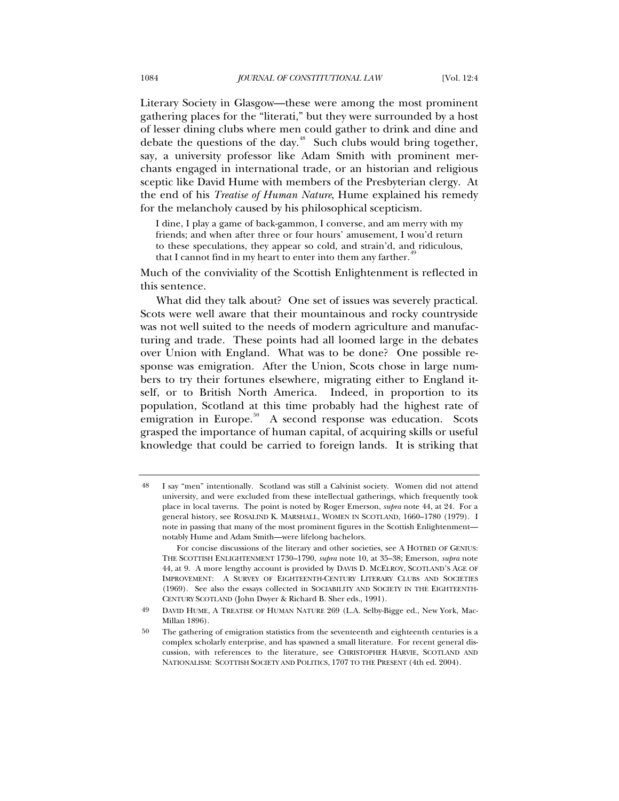Literary Society in Glasgow—these were among the most prominent gathering places for the "literati," but they were surrounded by a host of lesser dining clubs where men could gather to drink and dine and debate the questions of the day.<sup>[48](#page-32-0)</sup> Such clubs would bring together, say, a university professor like Adam Smith with prominent merchants engaged in international trade, or an historian and religious sceptic like David Hume with members of the Presbyterian clergy. At the end of his *Treatise of Human Nature*, Hume explained his remedy for the melancholy caused by his philosophical scepticism.

I dine, I play a game of back-gammon, I converse, and am merry with my friends; and when after three or four hours' amusement, I wou'd return to these speculations, they appear so cold, and strain'd, and ridiculous, that I cannot find in my heart to enter into them any farther.<sup>[49](#page-32-1)</sup>

Much of the conviviality of the Scottish Enlightenment is reflected in this sentence.

What did they talk about? One set of issues was severely practical. Scots were well aware that their mountainous and rocky countryside was not well suited to the needs of modern agriculture and manufacturing and trade. These points had all loomed large in the debates over Union with England. What was to be done? One possible response was emigration. After the Union, Scots chose in large numbers to try their fortunes elsewhere, migrating either to England itself, or to British North America. Indeed, in proportion to its population, Scotland at this time probably had the highest rate of emigration in Europe.<sup>[50](#page-32-2)</sup> A second response was education. Scots grasped the importance of human capital, of acquiring skills or useful knowledge that could be carried to foreign lands. It is striking that

<span id="page-32-0"></span><sup>48</sup> I say "men" intentionally. Scotland was still a Calvinist society. Women did not attend university, and were excluded from these intellectual gatherings, which frequently took place in local taverns. The point is noted by Roger Emerson, *supra* note 44, at 24. For a general history, see ROSALIND K. MARSHALL, WOMEN IN SCOTLAND, 1660–1780 (1979). I note in passing that many of the most prominent figures in the Scottish Enlightenment notably Hume and Adam Smith—were lifelong bachelors.

For concise discussions of the literary and other societies, see A HOTBED OF GENIUS: THE SCOTTISH ENLIGHTENMENT 1730–1790, *supra* note 10, at 35–38; Emerson, *supra* note 44, at 9. A more lengthy account is provided by DAVIS D. MCELROY, SCOTLAND'S AGE OF IMPROVEMENT: A SURVEY OF EIGHTEENTH-CENTURY LITERARY CLUBS AND SOCIETIES (1969). See also the essays collected in SOCIABILITY AND SOCIETY IN THE EIGHTEENTH-CENTURY SCOTLAND (John Dwyer & Richard B. Sher eds., 1991).

<span id="page-32-1"></span><sup>49</sup> DAVID HUME, A TREATISE OF HUMAN NATURE 269 (L.A. Selby-Bigge ed., New York, Mac-Millan 1896).

<span id="page-32-2"></span><sup>50</sup> The gathering of emigration statistics from the seventeenth and eighteenth centuries is a complex scholarly enterprise, and has spawned a small literature. For recent general discussion, with references to the literature, see CHRISTOPHER HARVIE, SCOTLAND AND NATIONALISM: SCOTTISH SOCIETY AND POLITICS, 1707 TO THE PRESENT (4th ed. 2004).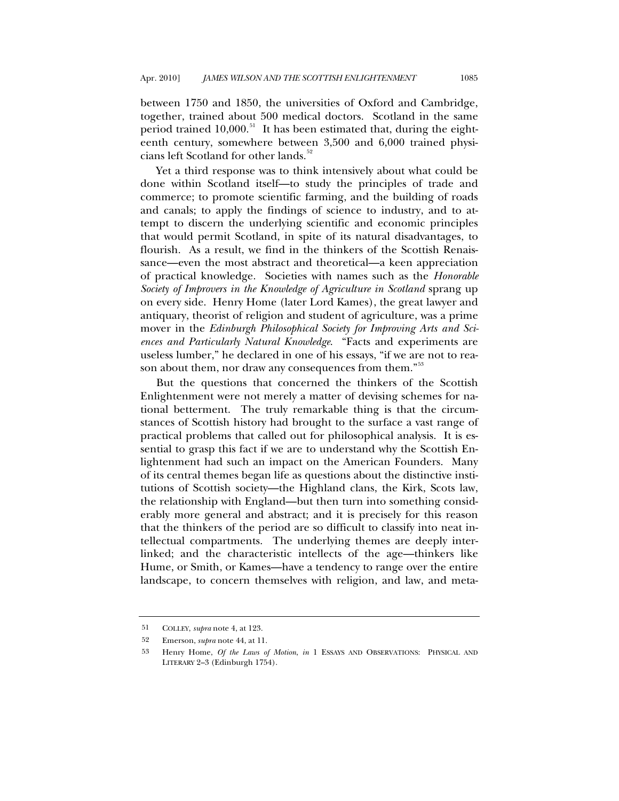between 1750 and 1850, the universities of Oxford and Cambridge, together, trained about 500 medical doctors. Scotland in the same period trained  $10,000$ .<sup>[51](#page-33-0)</sup> It has been estimated that, during the eighteenth century, somewhere between 3,500 and 6,000 trained physi-cians left Scotland for other lands.<sup>[52](#page-33-1)</sup>

Yet a third response was to think intensively about what could be done within Scotland itself—to study the principles of trade and commerce; to promote scientific farming, and the building of roads and canals; to apply the findings of science to industry, and to attempt to discern the underlying scientific and economic principles that would permit Scotland, in spite of its natural disadvantages, to flourish. As a result, we find in the thinkers of the Scottish Renaissance—even the most abstract and theoretical—a keen appreciation of practical knowledge. Societies with names such as the *Honorable Society of Improvers in the Knowledge of Agriculture in Scotland* sprang up on every side. Henry Home (later Lord Kames), the great lawyer and antiquary, theorist of religion and student of agriculture, was a prime mover in the *Edinburgh Philosophical Society for Improving Arts and Sciences and Particularly Natural Knowledge*. "Facts and experiments are useless lumber," he declared in one of his essays, "if we are not to rea-son about them, nor draw any consequences from them."<sup>[53](#page-33-2)</sup>

But the questions that concerned the thinkers of the Scottish Enlightenment were not merely a matter of devising schemes for national betterment. The truly remarkable thing is that the circumstances of Scottish history had brought to the surface a vast range of practical problems that called out for philosophical analysis. It is essential to grasp this fact if we are to understand why the Scottish Enlightenment had such an impact on the American Founders. Many of its central themes began life as questions about the distinctive institutions of Scottish society—the Highland clans, the Kirk, Scots law, the relationship with England—but then turn into something considerably more general and abstract; and it is precisely for this reason that the thinkers of the period are so difficult to classify into neat intellectual compartments. The underlying themes are deeply interlinked; and the characteristic intellects of the age—thinkers like Hume, or Smith, or Kames—have a tendency to range over the entire landscape, to concern themselves with religion, and law, and meta-

<span id="page-33-0"></span><sup>51</sup> COLLEY, *supra* note 4, at 123.

<span id="page-33-1"></span><sup>52</sup> Emerson, *supra* note 44, at 11.

<span id="page-33-2"></span><sup>53</sup> Henry Home, *Of the Laws of Motion*, *in* 1 ESSAYS AND OBSERVATIONS: PHYSICAL AND LITERARY 2–3 (Edinburgh 1754).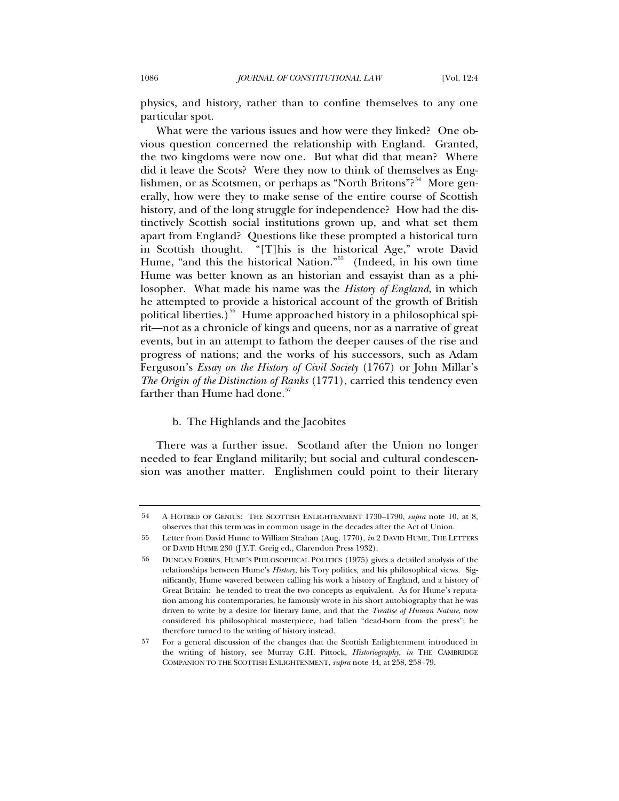<span id="page-34-0"></span>physics, and history, rather than to confine themselves to any one particular spot.

What were the various issues and how were they linked? One obvious question concerned the relationship with England. Granted, the two kingdoms were now one. But what did that mean? Where did it leave the Scots? Were they now to think of themselves as Eng-lishmen, or as Scotsmen, or perhaps as "North Britons"?<sup>[54](#page-34-1)</sup> More generally, how were they to make sense of the entire course of Scottish history, and of the long struggle for independence? How had the distinctively Scottish social institutions grown up, and what set them apart from England? Questions like these prompted a historical turn in Scottish thought. "[T]his is the historical Age," wrote David Hume, "and this the historical Nation."<sup>[55](#page-34-2)</sup> (Indeed, in his own time Hume was better known as an historian and essayist than as a philosopher. What made his name was the *History of England*, in which he attempted to provide a historical account of the growth of British political liberties.)<sup>[56](#page-34-3)</sup> Hume approached history in a philosophical spirit—not as a chronicle of kings and queens, nor as a narrative of great events, but in an attempt to fathom the deeper causes of the rise and progress of nations; and the works of his successors, such as Adam Ferguson's *Essay on the History of Civil Society* (1767) or John Millar's *The Origin of the Distinction of Ranks* (1771), carried this tendency even farther than Hume had done.<sup>[57](#page-34-4)</sup>

### b. The Highlands and the Jacobites

There was a further issue. Scotland after the Union no longer needed to fear England militarily; but social and cultural condescension was another matter. Englishmen could point to their literary

<span id="page-34-1"></span><sup>54</sup> A HOTBED OF GENIUS: THE SCOTTISH ENLIGHTENMENT 1730–1790, *supra* note 10, at 8, observes that this term was in common usage in the decades after the Act of Union.

<span id="page-34-2"></span><sup>55</sup> Letter from David Hume to William Strahan (Aug. 1770), *in* 2 DAVID HUME, THE LETTERS OF DAVID HUME 230 (J.Y.T. Greig ed., Clarendon Press 1932).

<span id="page-34-3"></span><sup>56</sup> DUNCAN FORBES, HUME'S PHILOSOPHICAL POLITICS (1975) gives a detailed analysis of the relationships between Hume's *History*, his Tory politics, and his philosophical views. Significantly, Hume wavered between calling his work a history of England, and a history of Great Britain: he tended to treat the two concepts as equivalent. As for Hume's reputation among his contemporaries, he famously wrote in his short autobiography that he was driven to write by a desire for literary fame, and that the *Treatise of Human Nature*, now considered his philosophical masterpiece, had fallen "dead-born from the press"; he therefore turned to the writing of history instead.

<span id="page-34-4"></span><sup>57</sup> For a general discussion of the changes that the Scottish Enlightenment introduced in the writing of history, see Murray G.H. Pittock, *Historiography*, *in* THE CAMBRIDGE COMPANION TO THE SCOTTISH ENLIGHTENMENT, *supra* note 44, at 258, 258–79.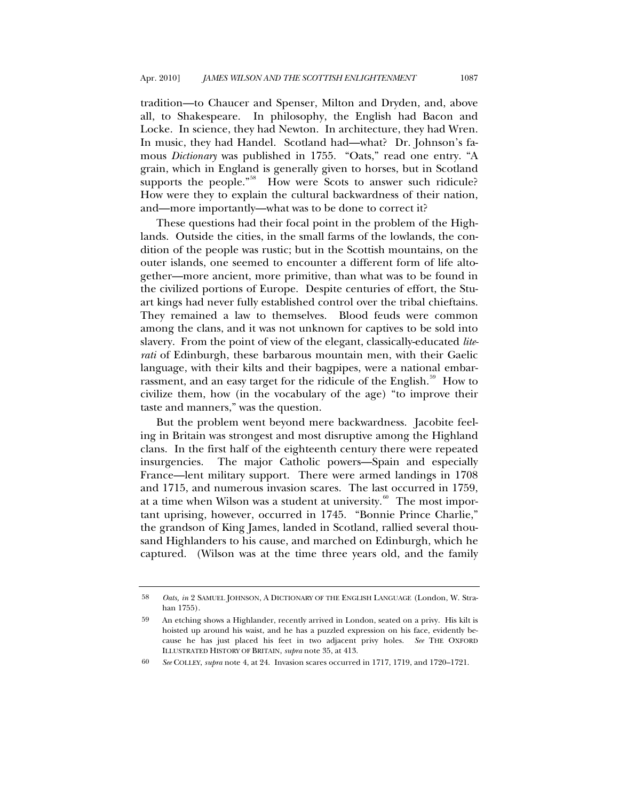tradition—to Chaucer and Spenser, Milton and Dryden, and, above all, to Shakespeare. In philosophy, the English had Bacon and Locke. In science, they had Newton. In architecture, they had Wren. In music, they had Handel. Scotland had—what? Dr. Johnson's famous *Dictionary* was published in 1755. "Oats," read one entry. "A grain, which in England is generally given to horses, but in Scotland supports the people."<sup>[58](#page-35-0)</sup> How were Scots to answer such ridicule? How were they to explain the cultural backwardness of their nation, and—more importantly—what was to be done to correct it?

These questions had their focal point in the problem of the Highlands. Outside the cities, in the small farms of the lowlands, the condition of the people was rustic; but in the Scottish mountains, on the outer islands, one seemed to encounter a different form of life altogether—more ancient, more primitive, than what was to be found in the civilized portions of Europe. Despite centuries of effort, the Stuart kings had never fully established control over the tribal chieftains. They remained a law to themselves. Blood feuds were common among the clans, and it was not unknown for captives to be sold into slavery. From the point of view of the elegant, classically-educated *literati* of Edinburgh, these barbarous mountain men, with their Gaelic language, with their kilts and their bagpipes, were a national embar-rassment, and an easy target for the ridicule of the English.<sup>[59](#page-35-1)</sup> How to civilize them, how (in the vocabulary of the age) "to improve their taste and manners," was the question.

But the problem went beyond mere backwardness. Jacobite feeling in Britain was strongest and most disruptive among the Highland clans. In the first half of the eighteenth century there were repeated insurgencies. The major Catholic powers—Spain and especially France—lent military support. There were armed landings in 1708 and 1715, and numerous invasion scares. The last occurred in 1759, at a time when Wilson was a student at university.<sup>[60](#page-35-2)</sup> The most important uprising, however, occurred in 1745. "Bonnie Prince Charlie," the grandson of King James, landed in Scotland, rallied several thousand Highlanders to his cause, and marched on Edinburgh, which he captured. (Wilson was at the time three years old, and the family

<span id="page-35-0"></span><sup>58</sup> *Oats, in* 2 SAMUEL JOHNSON, A DICTIONARY OF THE ENGLISH LANGUAGE (London, W. Strahan 1755).

<span id="page-35-1"></span><sup>59</sup> An etching shows a Highlander, recently arrived in London, seated on a privy. His kilt is hoisted up around his waist, and he has a puzzled expression on his face, evidently because he has just placed his feet in two adjacent privy holes. *See* THE OXFORD ILLUSTRATED HISTORY OF BRITAIN, *supra* note 35, at 413.

<span id="page-35-2"></span><sup>60</sup> *See* COLLEY, *supra* note 4, at 24. Invasion scares occurred in 1717, 1719, and 1720–1721.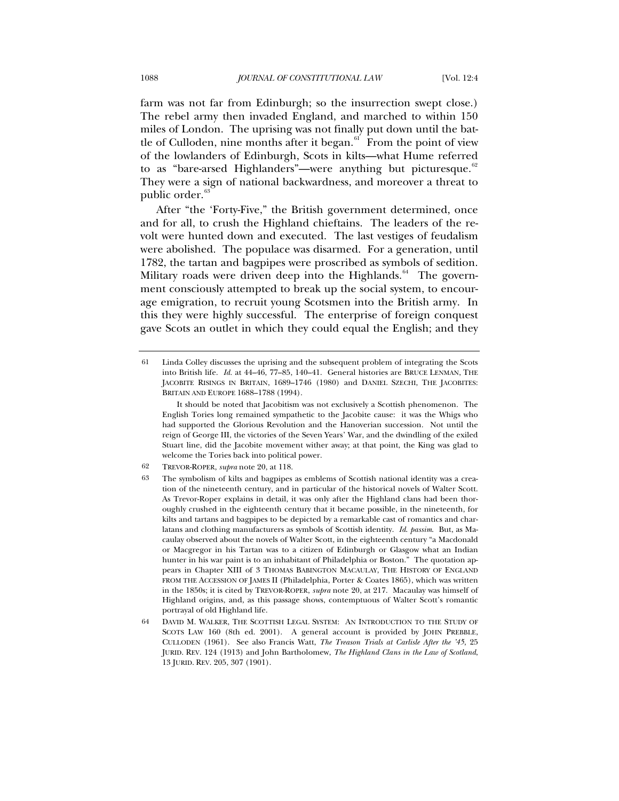farm was not far from Edinburgh; so the insurrection swept close.) The rebel army then invaded England, and marched to within 150 miles of London. The uprising was not finally put down until the battle of Culloden, nine months after it began. $61$  From the point of view of the lowlanders of Edinburgh, Scots in kilts—what Hume referred to as "bare-arsed Highlanders"—were anything but picturesque. $62$ They were a sign of national backwardness, and moreover a threat to public order.<sup>[63](#page-36-2)</sup>

After "the 'Forty-Five," the British government determined, once and for all, to crush the Highland chieftains. The leaders of the revolt were hunted down and executed. The last vestiges of feudalism were abolished. The populace was disarmed. For a generation, until 1782, the tartan and bagpipes were proscribed as symbols of sedition. Military roads were driven deep into the Highlands.<sup>[64](#page-36-3)</sup> The government consciously attempted to break up the social system, to encourage emigration, to recruit young Scotsmen into the British army. In this they were highly successful. The enterprise of foreign conquest gave Scots an outlet in which they could equal the English; and they

<span id="page-36-0"></span><sup>61</sup> Linda Colley discusses the uprising and the subsequent problem of integrating the Scots into British life. *Id.* at 44–46, 77–85, 140–41. General histories are BRUCE LENMAN, THE JACOBITE RISINGS IN BRITAIN, 1689–1746 (1980) and DANIEL SZECHI, THE JACOBITES: BRITAIN AND EUROPE 1688–1788 (1994).

It should be noted that Jacobitism was not exclusively a Scottish phenomenon. The English Tories long remained sympathetic to the Jacobite cause: it was the Whigs who had supported the Glorious Revolution and the Hanoverian succession. Not until the reign of George III, the victories of the Seven Years' War, and the dwindling of the exiled Stuart line, did the Jacobite movement wither away; at that point, the King was glad to welcome the Tories back into political power.

<span id="page-36-1"></span><sup>62</sup> TREVOR-ROPER, *supra* note 20, at 118.

<span id="page-36-2"></span><sup>63</sup> The symbolism of kilts and bagpipes as emblems of Scottish national identity was a creation of the nineteenth century, and in particular of the historical novels of Walter Scott. As Trevor-Roper explains in detail, it was only after the Highland clans had been thoroughly crushed in the eighteenth century that it became possible, in the nineteenth, for kilts and tartans and bagpipes to be depicted by a remarkable cast of romantics and charlatans and clothing manufacturers as symbols of Scottish identity. *Id*. *passim*. But, as Macaulay observed about the novels of Walter Scott, in the eighteenth century "a Macdonald or Macgregor in his Tartan was to a citizen of Edinburgh or Glasgow what an Indian hunter in his war paint is to an inhabitant of Philadelphia or Boston." The quotation appears in Chapter XIII of 3 THOMAS BABINGTON MACAULAY, THE HISTORY OF ENGLAND FROM THE ACCESSION OF JAMES II (Philadelphia, Porter & Coates 1865), which was written in the 1850s; it is cited by TREVOR-ROPER, *supra* note 20, at 217. Macaulay was himself of Highland origins, and, as this passage shows, contemptuous of Walter Scott's romantic portrayal of old Highland life.

<span id="page-36-3"></span><sup>64</sup> DAVID M. WALKER, THE SCOTTISH LEGAL SYSTEM: AN INTRODUCTION TO THE STUDY OF SCOTS LAW 160 (8th ed. 2001). A general account is provided by JOHN PREBBLE, CULLODEN (1961). See also Francis Watt, *The Treason Trials at Carlisle After the '45*, 25 JURID. REV. 124 (1913) and John Bartholomew, *The Highland Clans in the Law of Scotland*, 13 JURID. REV. 205, 307 (1901).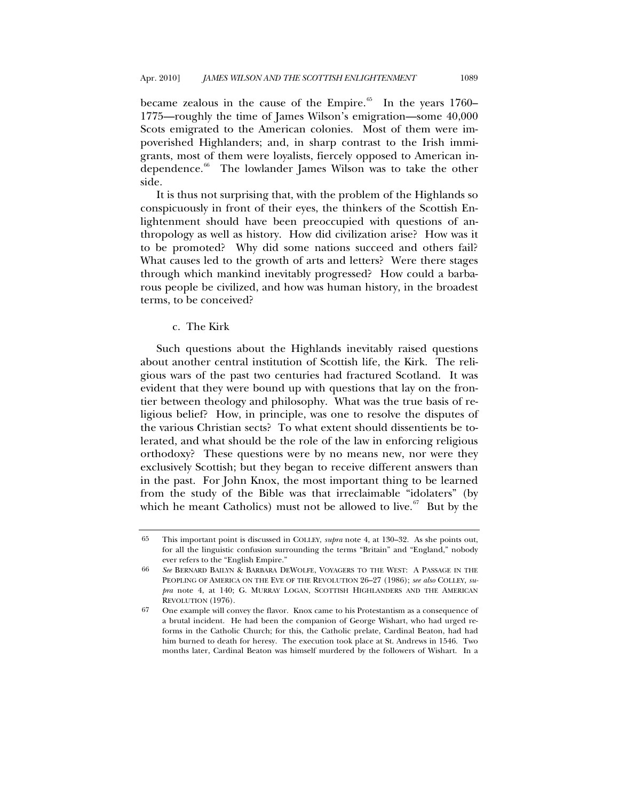<span id="page-37-0"></span>became zealous in the cause of the Empire.<sup>[65](#page-37-1)</sup> In the years 1760– 1775—roughly the time of James Wilson's emigration—some 40,000 Scots emigrated to the American colonies. Most of them were impoverished Highlanders; and, in sharp contrast to the Irish immigrants, most of them were loyalists, fiercely opposed to American in-dependence.<sup>[66](#page-37-2)</sup> The lowlander James Wilson was to take the other side.

It is thus not surprising that, with the problem of the Highlands so conspicuously in front of their eyes, the thinkers of the Scottish Enlightenment should have been preoccupied with questions of anthropology as well as history. How did civilization arise? How was it to be promoted? Why did some nations succeed and others fail? What causes led to the growth of arts and letters? Were there stages through which mankind inevitably progressed? How could a barbarous people be civilized, and how was human history, in the broadest terms, to be conceived?

### c. The Kirk

Such questions about the Highlands inevitably raised questions about another central institution of Scottish life, the Kirk. The religious wars of the past two centuries had fractured Scotland. It was evident that they were bound up with questions that lay on the frontier between theology and philosophy. What was the true basis of religious belief? How, in principle, was one to resolve the disputes of the various Christian sects? To what extent should dissentients be tolerated, and what should be the role of the law in enforcing religious orthodoxy? These questions were by no means new, nor were they exclusively Scottish; but they began to receive different answers than in the past. For John Knox, the most important thing to be learned from the study of the Bible was that irreclaimable "idolaters" (by which he meant Catholics) must not be allowed to live.<sup>[67](#page-37-3)</sup> But by the

<span id="page-37-1"></span><sup>65</sup> This important point is discussed in COLLEY, *supra* note 4, at 130–32. As she points out, for all the linguistic confusion surrounding the terms "Britain" and "England," nobody ever refers to the "English Empire."

<span id="page-37-2"></span><sup>66</sup> *See* BERNARD BAILYN & BARBARA DEWOLFE, VOYAGERS TO THE WEST: A PASSAGE IN THE PEOPLING OF AMERICA ON THE EVE OF THE REVOLUTION 26–27 (1986); *see also* COLLEY, *supra* note 4, at 140; G. MURRAY LOGAN, SCOTTISH HIGHLANDERS AND THE AMERICAN REVOLUTION (1976).

<span id="page-37-3"></span><sup>67</sup> One example will convey the flavor. Knox came to his Protestantism as a consequence of a brutal incident. He had been the companion of George Wishart, who had urged reforms in the Catholic Church; for this, the Catholic prelate, Cardinal Beaton, had had him burned to death for heresy. The execution took place at St. Andrews in 1546. Two months later, Cardinal Beaton was himself murdered by the followers of Wishart. In a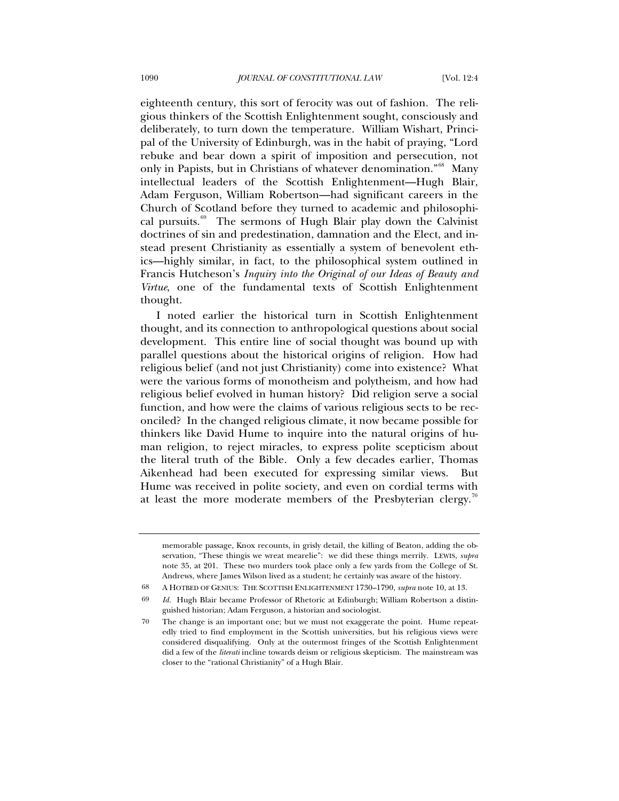eighteenth century, this sort of ferocity was out of fashion. The religious thinkers of the Scottish Enlightenment sought, consciously and deliberately, to turn down the temperature. William Wishart, Principal of the University of Edinburgh, was in the habit of praying, "Lord rebuke and bear down a spirit of imposition and persecution, not only in Papists, but in Christians of whatever denomination."<sup>[68](#page-38-0)</sup> Many intellectual leaders of the Scottish Enlightenment—Hugh Blair, Adam Ferguson, William Robertson—had significant careers in the Church of Scotland before they turned to academic and philosophi-cal pursuits.<sup>[69](#page-38-1)</sup> The sermons of Hugh Blair play down the Calvinist doctrines of sin and predestination, damnation and the Elect, and instead present Christianity as essentially a system of benevolent ethics—highly similar, in fact, to the philosophical system outlined in Francis Hutcheson's *Inquiry into the Original of our Ideas of Beauty and Virtue*, one of the fundamental texts of Scottish Enlightenment thought.

I noted earlier the historical turn in Scottish Enlightenment thought, and its connection to anthropological questions about social development. This entire line of social thought was bound up with parallel questions about the historical origins of religion. How had religious belief (and not just Christianity) come into existence? What were the various forms of monotheism and polytheism, and how had religious belief evolved in human history? Did religion serve a social function, and how were the claims of various religious sects to be reconciled? In the changed religious climate, it now became possible for thinkers like David Hume to inquire into the natural origins of human religion, to reject miracles, to express polite scepticism about the literal truth of the Bible. Only a few decades earlier, Thomas Aikenhead had been executed for expressing similar views. But Hume was received in polite society, and even on cordial terms with at least the more moderate members of the Presbyterian clergy.<sup>[70](#page-38-2)</sup>

68 A HOTBED OF GENIUS: THE SCOTTISH ENLIGHTENMENT 1730–1790, *supra* note 10, at 13.

memorable passage, Knox recounts, in grisly detail, the killing of Beaton, adding the observation, "These thingis we wreat mearelie": we did these things merrily. LEWIS, *supra* note 35, at 201. These two murders took place only a few yards from the College of St. Andrews, where James Wilson lived as a student; he certainly was aware of the history.

<span id="page-38-1"></span><span id="page-38-0"></span><sup>69</sup> *Id.* Hugh Blair became Professor of Rhetoric at Edinburgh; William Robertson a distinguished historian; Adam Ferguson, a historian and sociologist.

<span id="page-38-2"></span><sup>70</sup> The change is an important one; but we must not exaggerate the point. Hume repeatedly tried to find employment in the Scottish universities, but his religious views were considered disqualifying. Only at the outermost fringes of the Scottish Enlightenment did a few of the *literati* incline towards deism or religious skepticism. The mainstream was closer to the "rational Christianity" of a Hugh Blair.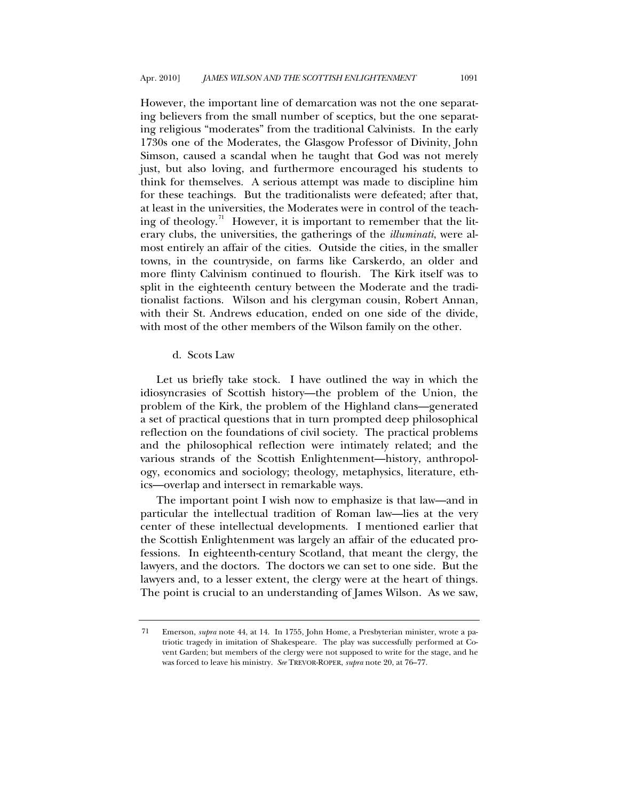<span id="page-39-0"></span>However, the important line of demarcation was not the one separating believers from the small number of sceptics, but the one separating religious "moderates" from the traditional Calvinists. In the early 1730s one of the Moderates, the Glasgow Professor of Divinity, John Simson, caused a scandal when he taught that God was not merely just, but also loving, and furthermore encouraged his students to think for themselves. A serious attempt was made to discipline him for these teachings. But the traditionalists were defeated; after that, at least in the universities, the Moderates were in control of the teach-ing of theology.<sup>[71](#page-39-1)</sup> However, it is important to remember that the literary clubs, the universities, the gatherings of the *illuminati*, were almost entirely an affair of the cities. Outside the cities, in the smaller towns, in the countryside, on farms like Carskerdo, an older and more flinty Calvinism continued to flourish. The Kirk itself was to split in the eighteenth century between the Moderate and the traditionalist factions. Wilson and his clergyman cousin, Robert Annan, with their St. Andrews education, ended on one side of the divide, with most of the other members of the Wilson family on the other.

# d. Scots Law

Let us briefly take stock. I have outlined the way in which the idiosyncrasies of Scottish history—the problem of the Union, the problem of the Kirk, the problem of the Highland clans—generated a set of practical questions that in turn prompted deep philosophical reflection on the foundations of civil society. The practical problems and the philosophical reflection were intimately related; and the various strands of the Scottish Enlightenment—history, anthropology, economics and sociology; theology, metaphysics, literature, ethics—overlap and intersect in remarkable ways.

The important point I wish now to emphasize is that law—and in particular the intellectual tradition of Roman law—lies at the very center of these intellectual developments. I mentioned earlier that the Scottish Enlightenment was largely an affair of the educated professions. In eighteenth-century Scotland, that meant the clergy, the lawyers, and the doctors. The doctors we can set to one side. But the lawyers and, to a lesser extent, the clergy were at the heart of things. The point is crucial to an understanding of James Wilson. As we saw,

<span id="page-39-1"></span><sup>71</sup> Emerson, *supra* note 44, at 14. In 1755, John Home, a Presbyterian minister, wrote a patriotic tragedy in imitation of Shakespeare. The play was successfully performed at Covent Garden; but members of the clergy were not supposed to write for the stage, and he was forced to leave his ministry. *See* TREVOR-ROPER, *supra* note 20, at 76–77.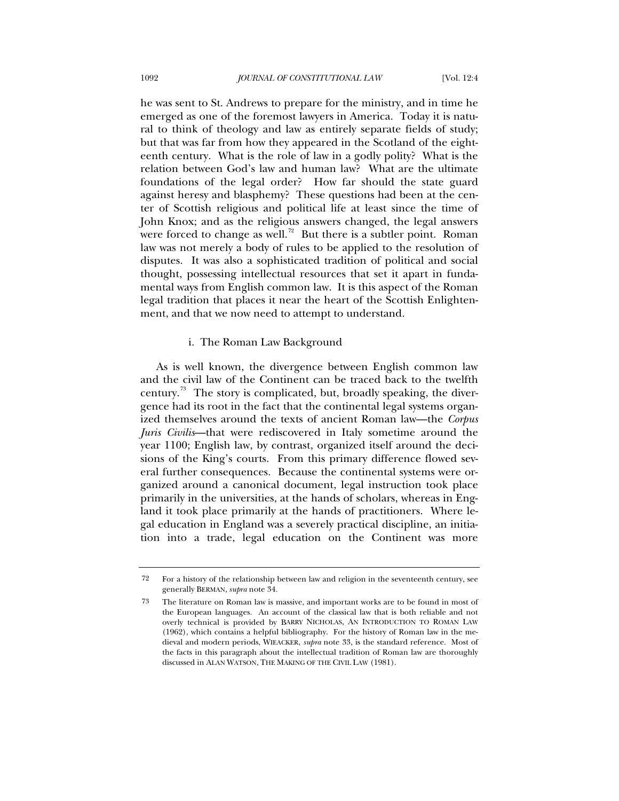<span id="page-40-0"></span>he was sent to St. Andrews to prepare for the ministry, and in time he emerged as one of the foremost lawyers in America. Today it is natural to think of theology and law as entirely separate fields of study; but that was far from how they appeared in the Scotland of the eighteenth century. What is the role of law in a godly polity? What is the relation between God's law and human law? What are the ultimate foundations of the legal order? How far should the state guard against heresy and blasphemy? These questions had been at the center of Scottish religious and political life at least since the time of John Knox; and as the religious answers changed, the legal answers were forced to change as well.<sup>[72](#page-40-1)</sup> But there is a subtler point. Roman law was not merely a body of rules to be applied to the resolution of disputes. It was also a sophisticated tradition of political and social thought, possessing intellectual resources that set it apart in fundamental ways from English common law. It is this aspect of the Roman legal tradition that places it near the heart of the Scottish Enlightenment, and that we now need to attempt to understand.

### i. The Roman Law Background

As is well known, the divergence between English common law and the civil law of the Continent can be traced back to the twelfth century.<sup>[73](#page-40-2)</sup> The story is complicated, but, broadly speaking, the divergence had its root in the fact that the continental legal systems organized themselves around the texts of ancient Roman law—the *Corpus Juris Civilis*—that were rediscovered in Italy sometime around the year 1100; English law, by contrast, organized itself around the decisions of the King's courts. From this primary difference flowed several further consequences. Because the continental systems were organized around a canonical document, legal instruction took place primarily in the universities, at the hands of scholars, whereas in England it took place primarily at the hands of practitioners. Where legal education in England was a severely practical discipline, an initiation into a trade, legal education on the Continent was more

<span id="page-40-1"></span><sup>72</sup> For a history of the relationship between law and religion in the seventeenth century, see generally BERMAN, *supra* note 34*.*

<span id="page-40-2"></span><sup>73</sup> The literature on Roman law is massive, and important works are to be found in most of the European languages. An account of the classical law that is both reliable and not overly technical is provided by BARRY NICHOLAS, AN INTRODUCTION TO ROMAN LAW (1962), which contains a helpful bibliography. For the history of Roman law in the medieval and modern periods, WIEACKER, *supra* note 33, is the standard reference. Most of the facts in this paragraph about the intellectual tradition of Roman law are thoroughly discussed in ALAN WATSON, THE MAKING OF THE CIVIL LAW (1981).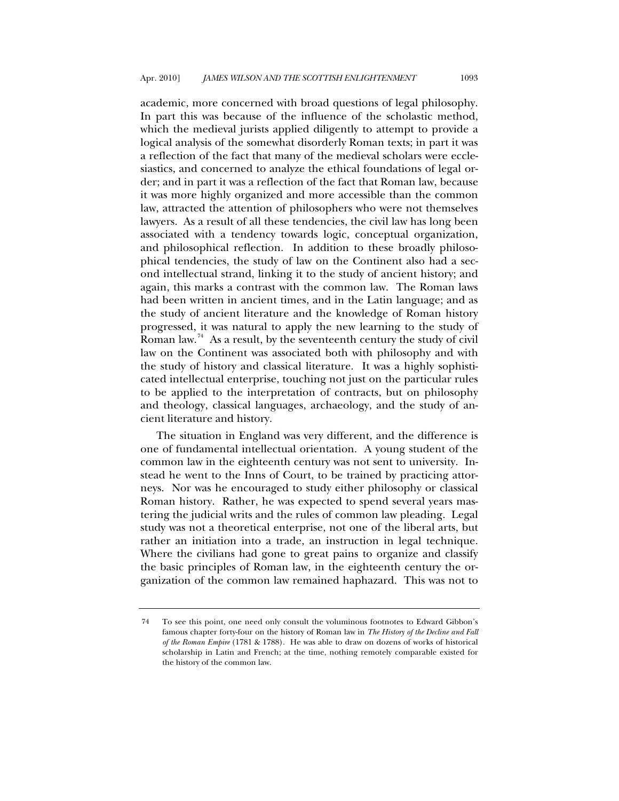academic, more concerned with broad questions of legal philosophy. In part this was because of the influence of the scholastic method, which the medieval jurists applied diligently to attempt to provide a logical analysis of the somewhat disorderly Roman texts; in part it was a reflection of the fact that many of the medieval scholars were ecclesiastics, and concerned to analyze the ethical foundations of legal order; and in part it was a reflection of the fact that Roman law, because it was more highly organized and more accessible than the common law, attracted the attention of philosophers who were not themselves lawyers. As a result of all these tendencies, the civil law has long been associated with a tendency towards logic, conceptual organization, and philosophical reflection. In addition to these broadly philosophical tendencies, the study of law on the Continent also had a second intellectual strand, linking it to the study of ancient history; and again, this marks a contrast with the common law. The Roman laws had been written in ancient times, and in the Latin language; and as the study of ancient literature and the knowledge of Roman history progressed, it was natural to apply the new learning to the study of Roman law.<sup>[74](#page-41-0)</sup> As a result, by the seventeenth century the study of civil law on the Continent was associated both with philosophy and with the study of history and classical literature. It was a highly sophisticated intellectual enterprise, touching not just on the particular rules to be applied to the interpretation of contracts, but on philosophy and theology, classical languages, archaeology, and the study of ancient literature and history.

The situation in England was very different, and the difference is one of fundamental intellectual orientation. A young student of the common law in the eighteenth century was not sent to university. Instead he went to the Inns of Court, to be trained by practicing attorneys. Nor was he encouraged to study either philosophy or classical Roman history. Rather, he was expected to spend several years mastering the judicial writs and the rules of common law pleading. Legal study was not a theoretical enterprise, not one of the liberal arts, but rather an initiation into a trade, an instruction in legal technique. Where the civilians had gone to great pains to organize and classify the basic principles of Roman law, in the eighteenth century the organization of the common law remained haphazard. This was not to

<span id="page-41-0"></span><sup>74</sup> To see this point, one need only consult the voluminous footnotes to Edward Gibbon's famous chapter forty-four on the history of Roman law in *The History of the Decline and Fall of the Roman Empire* (1781 & 1788). He was able to draw on dozens of works of historical scholarship in Latin and French; at the time, nothing remotely comparable existed for the history of the common law.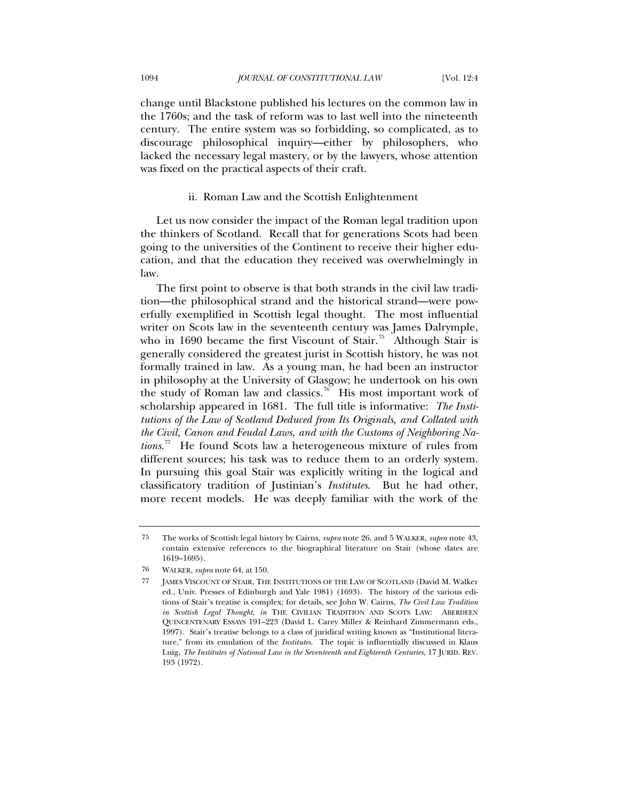<span id="page-42-0"></span>change until Blackstone published his lectures on the common law in the 1760s; and the task of reform was to last well into the nineteenth century. The entire system was so forbidding, so complicated, as to discourage philosophical inquiry—either by philosophers, who lacked the necessary legal mastery, or by the lawyers, whose attention was fixed on the practical aspects of their craft.

#### ii. Roman Law and the Scottish Enlightenment

Let us now consider the impact of the Roman legal tradition upon the thinkers of Scotland. Recall that for generations Scots had been going to the universities of the Continent to receive their higher education, and that the education they received was overwhelmingly in law.

The first point to observe is that both strands in the civil law tradition—the philosophical strand and the historical strand—were powerfully exemplified in Scottish legal thought. The most influential writer on Scots law in the seventeenth century was James Dalrymple, who in 1690 became the first Viscount of Stair.<sup>[75](#page-42-1)</sup> Although Stair is generally considered the greatest jurist in Scottish history, he was not formally trained in law. As a young man, he had been an instructor in philosophy at the University of Glasgow; he undertook on his own the study of Roman law and classics.<sup>[76](#page-42-2)</sup> His most important work of scholarship appeared in 1681. The full title is informative: *The Institutions of the Law of Scotland Deduced from Its Originals, and Collated with the Civil, Canon and Feudal Laws, and with the Customs of Neighboring Nations*. [77](#page-42-3) He found Scots law a heterogeneous mixture of rules from different sources; his task was to reduce them to an orderly system. In pursuing this goal Stair was explicitly writing in the logical and classificatory tradition of Justinian's *Institutes*. But he had other, more recent models. He was deeply familiar with the work of the

<span id="page-42-1"></span><sup>75</sup> The works of Scottish legal history by Cairns, *supra* note 26, and 5 WALKER, *supra* note 43, contain extensive references to the biographical literature on Stair (whose dates are 1619–1695).

<span id="page-42-2"></span><sup>76</sup> WALKER, *supra* note 64, at 150.

<span id="page-42-3"></span><sup>77</sup> JAMES VISCOUNT OF STAIR, THE INSTITUTIONS OF THE LAW OF SCOTLAND (David M. Walker ed., Univ. Presses of Edinburgh and Yale 1981) (1693). The history of the various editions of Stair's treatise is complex; for details, see John W. Cairns, *The Civil Law Tradition in Scottish Legal Thought*, *in* THE CIVILIAN TRADITION AND SCOTS LAW: ABERDEEN QUINCENTENARY ESSAYS 191–223 (David L. Carey Miller & Reinhard Zimmermann eds., 1997). Stair's treatise belongs to a class of juridical writing known as "Institutional literature," from its emulation of the *Institutes*. The topic is influentially discussed in Klaus Luig, *The Institutes of National Law in the Seventeenth and Eighteenth Centuries*, 17 JURID. REV. 193 (1972).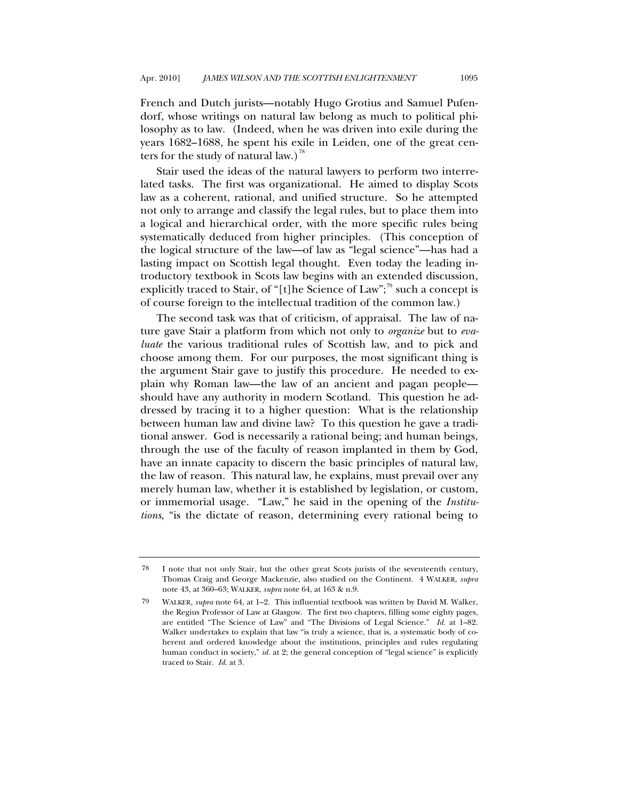French and Dutch jurists—notably Hugo Grotius and Samuel Pufendorf, whose writings on natural law belong as much to political philosophy as to law. (Indeed, when he was driven into exile during the years 1682–1688, he spent his exile in Leiden, one of the great cen-ters for the study of natural law.)<sup>[78](#page-43-0)</sup>

Stair used the ideas of the natural lawyers to perform two interrelated tasks. The first was organizational. He aimed to display Scots law as a coherent, rational, and unified structure. So he attempted not only to arrange and classify the legal rules, but to place them into a logical and hierarchical order, with the more specific rules being systematically deduced from higher principles. (This conception of the logical structure of the law—of law as "legal science"—has had a lasting impact on Scottish legal thought. Even today the leading introductory textbook in Scots law begins with an extended discussion, explicitly traced to Stair, of "[t]he Science of Law";<sup>[79](#page-43-1)</sup> such a concept is of course foreign to the intellectual tradition of the common law.)

The second task was that of criticism, of appraisal. The law of nature gave Stair a platform from which not only to *organize* but to *evaluate* the various traditional rules of Scottish law, and to pick and choose among them. For our purposes, the most significant thing is the argument Stair gave to justify this procedure. He needed to explain why Roman law—the law of an ancient and pagan people should have any authority in modern Scotland. This question he addressed by tracing it to a higher question: What is the relationship between human law and divine law? To this question he gave a traditional answer. God is necessarily a rational being; and human beings, through the use of the faculty of reason implanted in them by God, have an innate capacity to discern the basic principles of natural law, the law of reason. This natural law, he explains, must prevail over any merely human law, whether it is established by legislation, or custom, or immemorial usage. "Law," he said in the opening of the *Institutions*, "is the dictate of reason, determining every rational being to

<span id="page-43-0"></span><sup>78</sup> I note that not only Stair, but the other great Scots jurists of the seventeenth century, Thomas Craig and George Mackenzie, also studied on the Continent. 4 WALKER, *supra* note 43, at 360–63; WALKER, *supra* note 64, at 163 & n.9.

<span id="page-43-1"></span><sup>79</sup> WALKER, *supra* note 64, at 1–2. This influential textbook was written by David M. Walker, the Regius Professor of Law at Glasgow. The first two chapters, filling some eighty pages, are entitled "The Science of Law" and "The Divisions of Legal Science." *Id.* at 1–82. Walker undertakes to explain that law "is truly a science, that is, a systematic body of coherent and ordered knowledge about the institutions, principles and rules regulating human conduct in society," *id.* at 2; the general conception of "legal science" is explicitly traced to Stair. *Id.* at 3.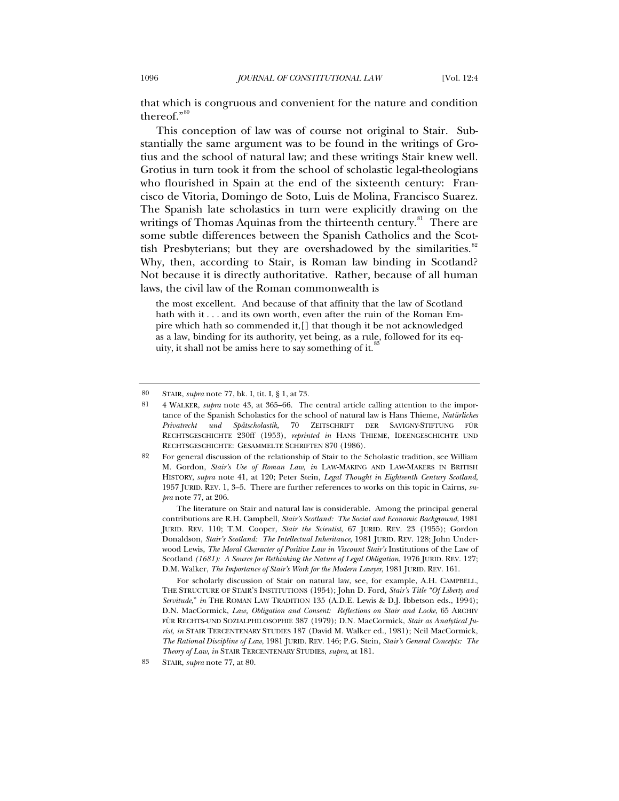that which is congruous and convenient for the nature and condition thereof."[80](#page-44-0)

This conception of law was of course not original to Stair. Substantially the same argument was to be found in the writings of Grotius and the school of natural law; and these writings Stair knew well. Grotius in turn took it from the school of scholastic legal-theologians who flourished in Spain at the end of the sixteenth century: Francisco de Vitoria, Domingo de Soto, Luis de Molina, Francisco Suarez. The Spanish late scholastics in turn were explicitly drawing on the writings of Thomas Aquinas from the thirteenth century.<sup>[81](#page-44-1)</sup> There are some subtle differences between the Spanish Catholics and the Scottish Presbyterians; but they are overshadowed by the similarities. $82$ Why, then, according to Stair, is Roman law binding in Scotland? Not because it is directly authoritative. Rather, because of all human laws, the civil law of the Roman commonwealth is

the most excellent. And because of that affinity that the law of Scotland hath with it . . . and its own worth, even after the ruin of the Roman Empire which hath so commended it,[] that though it be not acknowledged as a law, binding for its authority, yet being, as a rule, followed for its equity, it shall not be amiss here to say something of it.

 The literature on Stair and natural law is considerable. Among the principal general contributions are R.H. Campbell, *Stair's Scotland: The Social and Economic Background*, 1981 JURID. REV. 110; T.M. Cooper, *Stair the Scientist*, 67 JURID. REV. 23 (1955); Gordon Donaldson, *Stair's Scotland: The Intellectual Inheritance*, 1981 JURID. REV. 128; John Underwood Lewis, *The Moral Character of Positive Law in Viscount Stair's* Institutions of the Law of Scotland *(1681): A Source for Rethinking the Nature of Legal Obligation*, 1976 JURID. REV. 127; D.M. Walker, *The Importance of Stair's Work for the Modern Lawyer*, 1981 JURID. REV. 161.

 For scholarly discussion of Stair on natural law, see, for example, A.H. CAMPBELL, THE STRUCTURE OF STAIR'S INSTITUTIONS (1954); John D. Ford, *Stair's Title "Of Liberty and Servitude*," *in* THE ROMAN LAW TRADITION 135 (A.D.E. Lewis & D.J. Ibbetson eds., 1994); D.N. MacCormick, *Law, Obligation and Consent: Reflections on Stair and Locke*, 65 ARCHIV FÜR RECHTS-UND SOZIALPHILOSOPHIE 387 (1979); D.N. MacCormick, *Stair as Analytical Jurist*, *in* STAIR TERCENTENARY STUDIES 187 (David M. Walker ed., 1981); Neil MacCormick, *The Rational Discipline of Law*, 1981 JURID. REV. 146; P.G. Stein, *Stair's General Concepts: The Theory of Law*, *in* STAIR TERCENTENARY STUDIES, *supra*, at 181.

<sup>80</sup> STAIR, *supra* note 77, bk. I, tit. I, § 1, at 73.

<span id="page-44-1"></span><span id="page-44-0"></span><sup>81 4</sup> WALKER, *supra* note 43, at 365–66. The central article calling attention to the importance of the Spanish Scholastics for the school of natural law is Hans Thieme, *Natürliches Privatrecht und Spätscholastik*, 70 ZEITSCHRIFT DER SAVIGNY-STIFTUNG FÜR RECHTSGESCHICHTE 230ff (1953), *reprinted in* HANS THIEME, IDEENGESCHICHTE UND RECHTSGESCHICHTE: GESAMMELTE SCHRIFTEN 870 (1986).

<span id="page-44-2"></span><sup>82</sup> For general discussion of the relationship of Stair to the Scholastic tradition, see William M. Gordon, *Stair's Use of Roman Law*, *in* LAW-MAKING AND LAW-MAKERS IN BRITISH HISTORY, *supra* note 41, at 120; Peter Stein, *Legal Thought in Eighteenth Century Scotland*, 1957 JURID. REV. 1, 3–5. There are further references to works on this topic in Cairns, *supra* note 77, at 206.

<span id="page-44-3"></span><sup>83</sup> STAIR, *supra* note 77, at 80.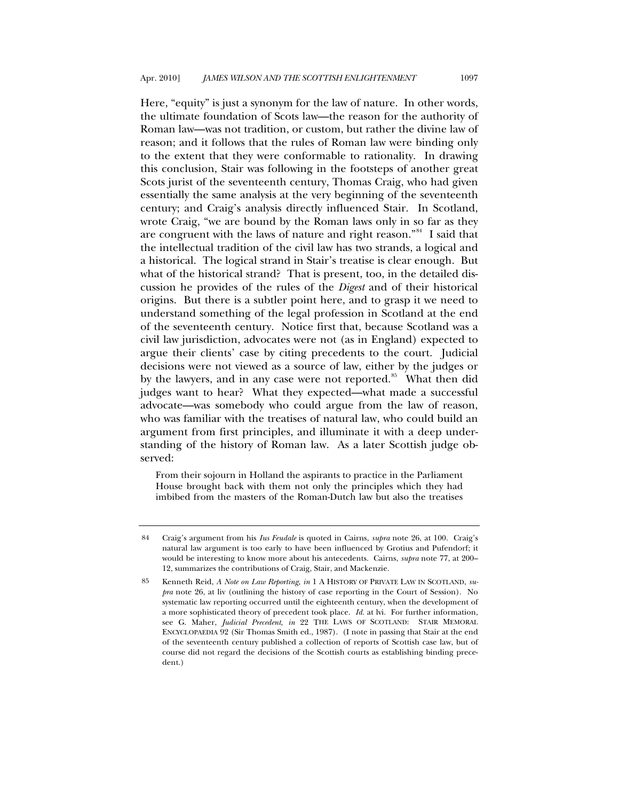Here, "equity" is just a synonym for the law of nature. In other words, the ultimate foundation of Scots law—the reason for the authority of Roman law—was not tradition, or custom, but rather the divine law of reason; and it follows that the rules of Roman law were binding only to the extent that they were conformable to rationality. In drawing this conclusion, Stair was following in the footsteps of another great Scots jurist of the seventeenth century, Thomas Craig, who had given essentially the same analysis at the very beginning of the seventeenth century; and Craig's analysis directly influenced Stair. In Scotland, wrote Craig, "we are bound by the Roman laws only in so far as they are congruent with the laws of nature and right reason."<sup>[84](#page-45-0)</sup> I said that the intellectual tradition of the civil law has two strands, a logical and a historical. The logical strand in Stair's treatise is clear enough. But what of the historical strand? That is present, too, in the detailed discussion he provides of the rules of the *Digest* and of their historical origins. But there is a subtler point here, and to grasp it we need to understand something of the legal profession in Scotland at the end of the seventeenth century. Notice first that, because Scotland was a civil law jurisdiction, advocates were not (as in England) expected to argue their clients' case by citing precedents to the court. Judicial decisions were not viewed as a source of law, either by the judges or by the lawyers, and in any case were not reported.<sup>[85](#page-45-1)</sup> What then did judges want to hear? What they expected—what made a successful advocate—was somebody who could argue from the law of reason, who was familiar with the treatises of natural law, who could build an argument from first principles, and illuminate it with a deep understanding of the history of Roman law. As a later Scottish judge observed:

From their sojourn in Holland the aspirants to practice in the Parliament House brought back with them not only the principles which they had imbibed from the masters of the Roman-Dutch law but also the treatises

<span id="page-45-0"></span><sup>84</sup> Craig's argument from his *Ius Feudale* is quoted in Cairns, *supra* note 26, at 100. Craig's natural law argument is too early to have been influenced by Grotius and Pufendorf; it would be interesting to know more about his antecedents. Cairns, *supra* note 77, at 200– 12, summarizes the contributions of Craig, Stair, and Mackenzie.

<span id="page-45-1"></span><sup>85</sup> Kenneth Reid, *A Note on Law Reporting*, *in* 1 A HISTORY OF PRIVATE LAW IN SCOTLAND, *supra* note 26, at liv (outlining the history of case reporting in the Court of Session). No systematic law reporting occurred until the eighteenth century, when the development of a more sophisticated theory of precedent took place. *Id.* at lvi. For further information, see G. Maher, *Judicial Precedent*, *in* 22 THE LAWS OF SCOTLAND: STAIR MEMORAL ENCYCLOPAEDIA 92 (Sir Thomas Smith ed., 1987). (I note in passing that Stair at the end of the seventeenth century published a collection of reports of Scottish case law, but of course did not regard the decisions of the Scottish courts as establishing binding precedent.)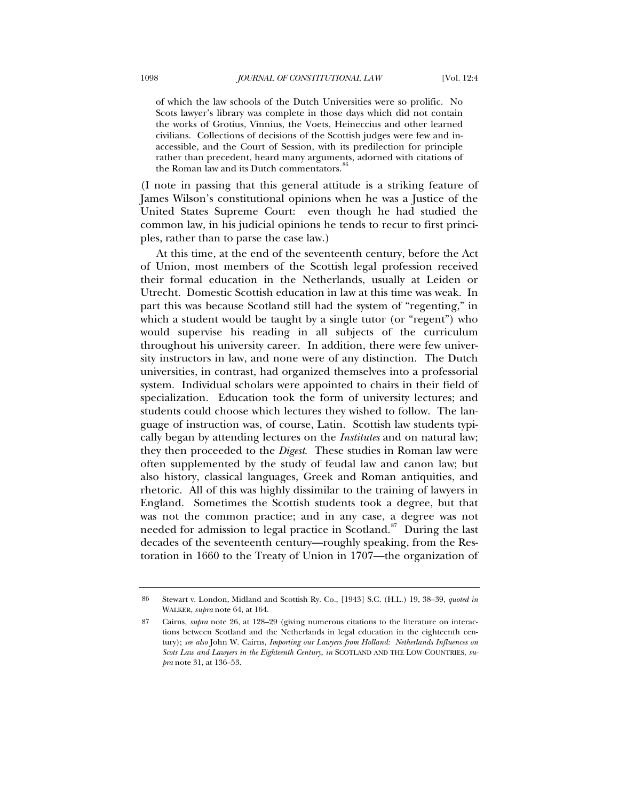of which the law schools of the Dutch Universities were so prolific. No Scots lawyer's library was complete in those days which did not contain the works of Grotius, Vinnius, the Voets, Heineccius and other learned civilians. Collections of decisions of the Scottish judges were few and inaccessible, and the Court of Session, with its predilection for principle rather than precedent, heard many arguments, adorned with citations of the Roman law and its Dutch commentators.<sup>8</sup>

(I note in passing that this general attitude is a striking feature of James Wilson's constitutional opinions when he was a Justice of the United States Supreme Court: even though he had studied the common law, in his judicial opinions he tends to recur to first principles, rather than to parse the case law.)

At this time, at the end of the seventeenth century, before the Act of Union, most members of the Scottish legal profession received their formal education in the Netherlands, usually at Leiden or Utrecht. Domestic Scottish education in law at this time was weak. In part this was because Scotland still had the system of "regenting," in which a student would be taught by a single tutor (or "regent") who would supervise his reading in all subjects of the curriculum throughout his university career. In addition, there were few university instructors in law, and none were of any distinction. The Dutch universities, in contrast, had organized themselves into a professorial system. Individual scholars were appointed to chairs in their field of specialization. Education took the form of university lectures; and students could choose which lectures they wished to follow. The language of instruction was, of course, Latin. Scottish law students typically began by attending lectures on the *Institutes* and on natural law; they then proceeded to the *Digest*. These studies in Roman law were often supplemented by the study of feudal law and canon law; but also history, classical languages, Greek and Roman antiquities, and rhetoric. All of this was highly dissimilar to the training of lawyers in England. Sometimes the Scottish students took a degree, but that was not the common practice; and in any case, a degree was not needed for admission to legal practice in Scotland.<sup>[87](#page-46-1)</sup> During the last decades of the seventeenth century—roughly speaking, from the Restoration in 1660 to the Treaty of Union in 1707—the organization of

<span id="page-46-0"></span><sup>86</sup> Stewart v. London, Midland and Scottish Ry. Co., [1943] S.C. (H.L.) 19, 38–39, *quoted in* WALKER, *supra* note 64, at 164.

<span id="page-46-1"></span><sup>87</sup> Cairns, *supra* note 26, at 128–29 (giving numerous citations to the literature on interactions between Scotland and the Netherlands in legal education in the eighteenth century); *see also* John W. Cairns, *Importing our Lawyers from Holland: Netherlands Influences on Scots Law and Lawyers in the Eighteenth Century*, *in* SCOTLAND AND THE LOW COUNTRIES, *supra* note 31, at 136–53.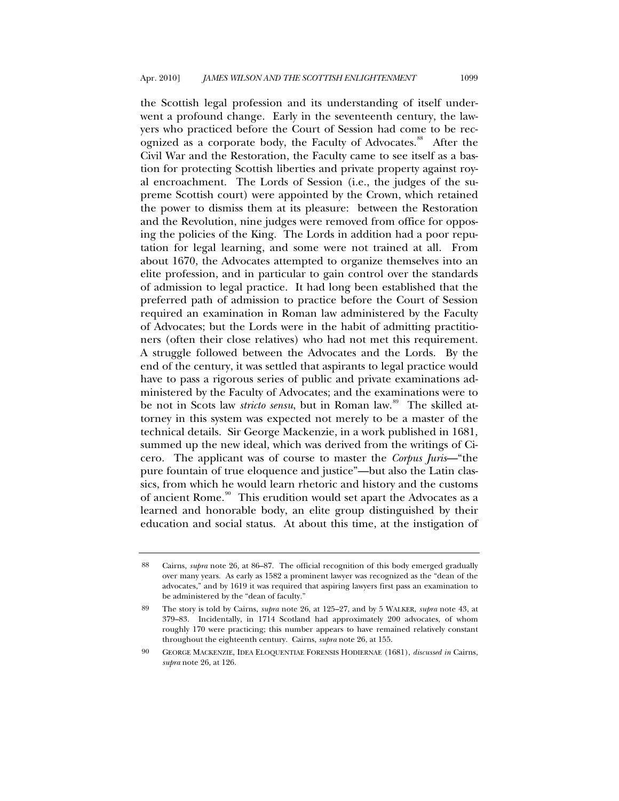the Scottish legal profession and its understanding of itself underwent a profound change. Early in the seventeenth century, the lawyers who practiced before the Court of Session had come to be rec-ognized as a corporate body, the Faculty of Advocates.<sup>[88](#page-47-0)</sup> After the Civil War and the Restoration, the Faculty came to see itself as a bastion for protecting Scottish liberties and private property against royal encroachment. The Lords of Session (i.e., the judges of the supreme Scottish court) were appointed by the Crown, which retained the power to dismiss them at its pleasure: between the Restoration and the Revolution, nine judges were removed from office for opposing the policies of the King. The Lords in addition had a poor reputation for legal learning, and some were not trained at all. From about 1670, the Advocates attempted to organize themselves into an elite profession, and in particular to gain control over the standards of admission to legal practice. It had long been established that the preferred path of admission to practice before the Court of Session required an examination in Roman law administered by the Faculty of Advocates; but the Lords were in the habit of admitting practitioners (often their close relatives) who had not met this requirement. A struggle followed between the Advocates and the Lords. By the end of the century, it was settled that aspirants to legal practice would have to pass a rigorous series of public and private examinations administered by the Faculty of Advocates; and the examinations were to be not in Scots law *stricto sensu*, but in Roman law.<sup>[89](#page-47-1)</sup> The skilled attorney in this system was expected not merely to be a master of the technical details. Sir George Mackenzie, in a work published in 1681, summed up the new ideal, which was derived from the writings of Cicero. The applicant was of course to master the *Corpus Juris*—"the pure fountain of true eloquence and justice"—but also the Latin classics, from which he would learn rhetoric and history and the customs of ancient Rome.<sup>[90](#page-47-2)</sup> This erudition would set apart the Advocates as a learned and honorable body, an elite group distinguished by their education and social status. At about this time, at the instigation of

<span id="page-47-0"></span><sup>88</sup> Cairns, *supra* note 26, at 86–87. The official recognition of this body emerged gradually over many years. As early as 1582 a prominent lawyer was recognized as the "dean of the advocates," and by 1619 it was required that aspiring lawyers first pass an examination to be administered by the "dean of faculty."

<span id="page-47-1"></span><sup>89</sup> The story is told by Cairns, *supra* note 26, at 125–27, and by 5 WALKER, *supra* note 43, at 379–83. Incidentally, in 1714 Scotland had approximately 200 advocates, of whom roughly 170 were practicing; this number appears to have remained relatively constant throughout the eighteenth century. Cairns, *supra* note 26, at 155.

<span id="page-47-2"></span><sup>90</sup> GEORGE MACKENZIE, IDEA ELOQUENTIAE FORENSIS HODIERNAE (1681), *discussed in* Cairns, *supra* note 26, at 126.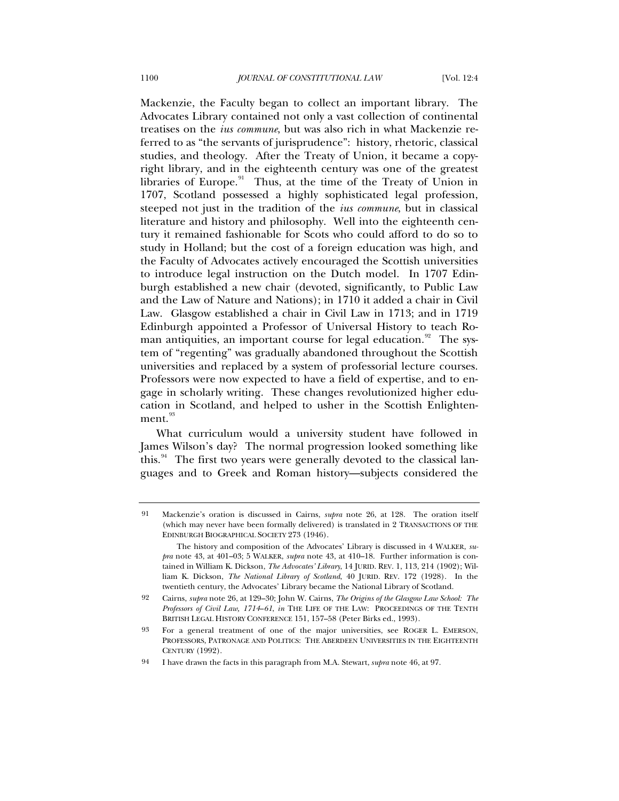Mackenzie, the Faculty began to collect an important library. The Advocates Library contained not only a vast collection of continental treatises on the *ius commune*, but was also rich in what Mackenzie referred to as "the servants of jurisprudence": history, rhetoric, classical studies, and theology. After the Treaty of Union, it became a copyright library, and in the eighteenth century was one of the greatest libraries of Europe.<sup>[91](#page-48-0)</sup> Thus, at the time of the Treaty of Union in 1707, Scotland possessed a highly sophisticated legal profession, steeped not just in the tradition of the *ius commune*, but in classical literature and history and philosophy. Well into the eighteenth century it remained fashionable for Scots who could afford to do so to study in Holland; but the cost of a foreign education was high, and the Faculty of Advocates actively encouraged the Scottish universities to introduce legal instruction on the Dutch model. In 1707 Edinburgh established a new chair (devoted, significantly, to Public Law and the Law of Nature and Nations); in 1710 it added a chair in Civil Law. Glasgow established a chair in Civil Law in 1713; and in 1719 Edinburgh appointed a Professor of Universal History to teach Ro-man antiquities, an important course for legal education.<sup>[92](#page-48-1)</sup> The system of "regenting" was gradually abandoned throughout the Scottish universities and replaced by a system of professorial lecture courses. Professors were now expected to have a field of expertise, and to engage in scholarly writing. These changes revolutionized higher education in Scotland, and helped to usher in the Scottish Enlighten- $ment.<sup>93</sup>$  $ment.<sup>93</sup>$  $ment.<sup>93</sup>$ 

What curriculum would a university student have followed in James Wilson's day? The normal progression looked something like this.<sup>[94](#page-48-3)</sup> The first two years were generally devoted to the classical languages and to Greek and Roman history—subjects considered the

<span id="page-48-0"></span><sup>91</sup> Mackenzie's oration is discussed in Cairns, *supra* note 26, at 128. The oration itself (which may never have been formally delivered) is translated in 2 TRANSACTIONS OF THE EDINBURGH BIOGRAPHICAL SOCIETY 273 (1946).

The history and composition of the Advocates' Library is discussed in 4 WALKER, *supra* note 43, at 401–03; 5 WALKER, *supra* note 43, at 410–18. Further information is contained in William K. Dickson, *The Advocates' Library*, 14 JURID. REV. 1, 113, 214 (1902); William K. Dickson, *The National Library of Scotland*, 40 JURID. REV. 172 (1928). In the twentieth century, the Advocates' Library became the National Library of Scotland.

<span id="page-48-1"></span><sup>92</sup> Cairns, *supra* note 26, at 129–30; John W. Cairns, *The Origins of the Glasgow Law School: The Professors of Civil Law, 1714*–*61*, *in* THE LIFE OF THE LAW: PROCEEDINGS OF THE TENTH BRITISH LEGAL HISTORY CONFERENCE 151, 157–58 (Peter Birks ed., 1993).

<span id="page-48-2"></span><sup>93</sup> For a general treatment of one of the major universities, see ROGER L. EMERSON, PROFESSORS, PATRONAGE AND POLITICS: THE ABERDEEN UNIVERSITIES IN THE EIGHTEENTH CENTURY (1992).

<span id="page-48-3"></span><sup>94</sup> I have drawn the facts in this paragraph from M.A. Stewart, *supra* note 46, at 97.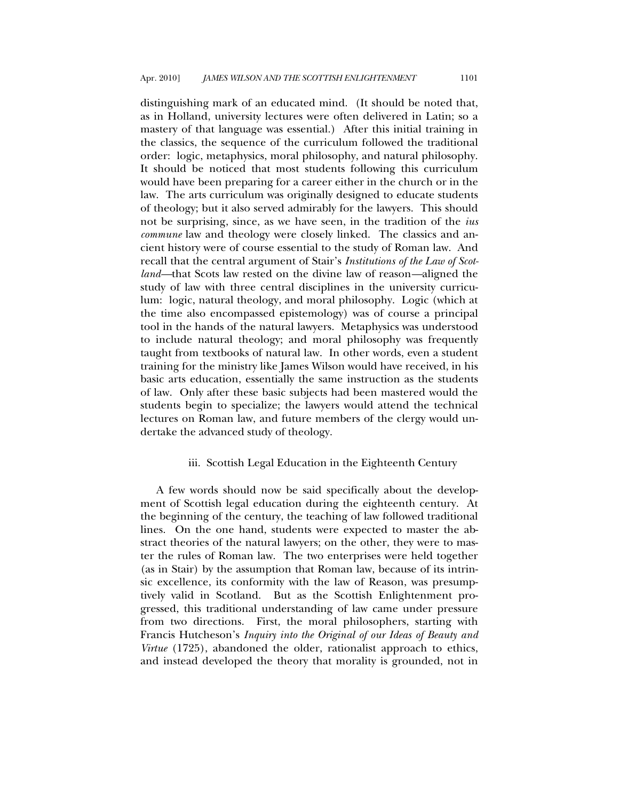<span id="page-49-0"></span>distinguishing mark of an educated mind. (It should be noted that, as in Holland, university lectures were often delivered in Latin; so a mastery of that language was essential.) After this initial training in the classics, the sequence of the curriculum followed the traditional order: logic, metaphysics, moral philosophy, and natural philosophy. It should be noticed that most students following this curriculum would have been preparing for a career either in the church or in the law. The arts curriculum was originally designed to educate students of theology; but it also served admirably for the lawyers. This should not be surprising, since, as we have seen, in the tradition of the *ius commune* law and theology were closely linked. The classics and ancient history were of course essential to the study of Roman law. And recall that the central argument of Stair's *Institutions of the Law of Scotland—*that Scots law rested on the divine law of reason*—*aligned the study of law with three central disciplines in the university curriculum: logic, natural theology, and moral philosophy. Logic (which at the time also encompassed epistemology) was of course a principal tool in the hands of the natural lawyers. Metaphysics was understood to include natural theology; and moral philosophy was frequently taught from textbooks of natural law. In other words, even a student training for the ministry like James Wilson would have received, in his basic arts education, essentially the same instruction as the students of law. Only after these basic subjects had been mastered would the students begin to specialize; the lawyers would attend the technical lectures on Roman law, and future members of the clergy would undertake the advanced study of theology.

# iii. Scottish Legal Education in the Eighteenth Century

A few words should now be said specifically about the development of Scottish legal education during the eighteenth century. At the beginning of the century, the teaching of law followed traditional lines. On the one hand, students were expected to master the abstract theories of the natural lawyers; on the other, they were to master the rules of Roman law. The two enterprises were held together (as in Stair) by the assumption that Roman law, because of its intrinsic excellence, its conformity with the law of Reason, was presumptively valid in Scotland. But as the Scottish Enlightenment progressed, this traditional understanding of law came under pressure from two directions. First, the moral philosophers, starting with Francis Hutcheson's *Inquiry into the Original of our Ideas of Beauty and Virtue* (1725), abandoned the older, rationalist approach to ethics, and instead developed the theory that morality is grounded, not in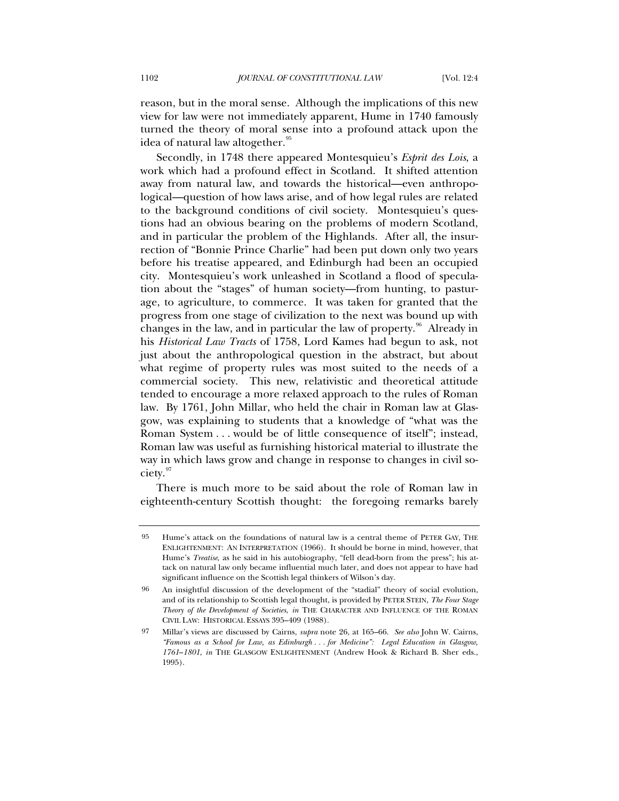reason, but in the moral sense. Although the implications of this new view for law were not immediately apparent, Hume in 1740 famously turned the theory of moral sense into a profound attack upon the idea of natural law altogether.<sup>[95](#page-50-0)</sup>

Secondly, in 1748 there appeared Montesquieu's *Esprit des Lois*, a work which had a profound effect in Scotland. It shifted attention away from natural law, and towards the historical—even anthropological—question of how laws arise, and of how legal rules are related to the background conditions of civil society. Montesquieu's questions had an obvious bearing on the problems of modern Scotland, and in particular the problem of the Highlands. After all, the insurrection of "Bonnie Prince Charlie" had been put down only two years before his treatise appeared, and Edinburgh had been an occupied city. Montesquieu's work unleashed in Scotland a flood of speculation about the "stages" of human society—from hunting, to pasturage, to agriculture, to commerce. It was taken for granted that the progress from one stage of civilization to the next was bound up with changes in the law, and in particular the law of property. $96$  Already in his *Historical Law Tracts* of 1758, Lord Kames had begun to ask, not just about the anthropological question in the abstract, but about what regime of property rules was most suited to the needs of a commercial society. This new, relativistic and theoretical attitude tended to encourage a more relaxed approach to the rules of Roman law. By 1761, John Millar, who held the chair in Roman law at Glasgow, was explaining to students that a knowledge of "what was the Roman System . . . would be of little consequence of itself"; instead, Roman law was useful as furnishing historical material to illustrate the way in which laws grow and change in response to changes in civil so-ciety.<sup>[97](#page-50-2)</sup>

There is much more to be said about the role of Roman law in eighteenth-century Scottish thought: the foregoing remarks barely

<span id="page-50-0"></span><sup>95</sup> Hume's attack on the foundations of natural law is a central theme of PETER GAY, THE ENLIGHTENMENT: AN INTERPRETATION (1966). It should be borne in mind, however, that Hume's *Treatise*, as he said in his autobiography, "fell dead-born from the press"; his attack on natural law only became influential much later, and does not appear to have had significant influence on the Scottish legal thinkers of Wilson's day.

<span id="page-50-1"></span><sup>96</sup> An insightful discussion of the development of the "stadial" theory of social evolution, and of its relationship to Scottish legal thought, is provided by PETER STEIN, *The Four Stage Theory of the Development of Societies*, *in* THE CHARACTER AND INFLUENCE OF THE ROMAN CIVIL LAW: HISTORICAL ESSAYS 395–409 (1988).

<span id="page-50-2"></span><sup>97</sup> Millar's views are discussed by Cairns, *supra* note 26, at 165–66. *See also* John W. Cairns, *"Famous as a School for Law, as Edinburgh . . . for Medicine": Legal Education in Glasgow, 1761*–*1801*, *in* THE GLASGOW ENLIGHTENMENT (Andrew Hook & Richard B. Sher eds., 1995).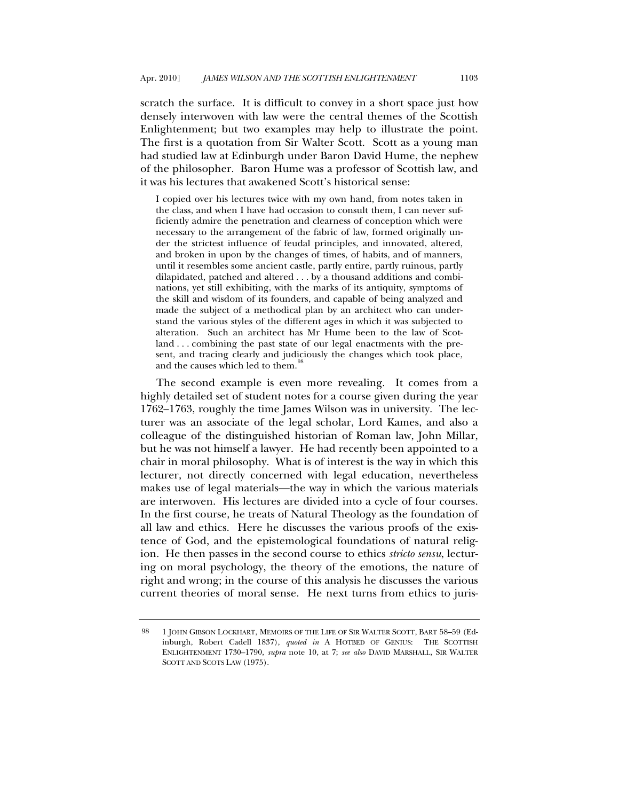scratch the surface. It is difficult to convey in a short space just how densely interwoven with law were the central themes of the Scottish Enlightenment; but two examples may help to illustrate the point. The first is a quotation from Sir Walter Scott. Scott as a young man had studied law at Edinburgh under Baron David Hume, the nephew of the philosopher. Baron Hume was a professor of Scottish law, and it was his lectures that awakened Scott's historical sense:

I copied over his lectures twice with my own hand, from notes taken in the class, and when I have had occasion to consult them, I can never sufficiently admire the penetration and clearness of conception which were necessary to the arrangement of the fabric of law, formed originally under the strictest influence of feudal principles, and innovated, altered, and broken in upon by the changes of times, of habits, and of manners, until it resembles some ancient castle, partly entire, partly ruinous, partly dilapidated, patched and altered . . . by a thousand additions and combinations, yet still exhibiting, with the marks of its antiquity, symptoms of the skill and wisdom of its founders, and capable of being analyzed and made the subject of a methodical plan by an architect who can understand the various styles of the different ages in which it was subjected to alteration. Such an architect has Mr Hume been to the law of Scotland . . . combining the past state of our legal enactments with the present, and tracing clearly and judiciously the changes which took place, and the causes which led to them.<sup>8</sup>

The second example is even more revealing. It comes from a highly detailed set of student notes for a course given during the year 1762–1763, roughly the time James Wilson was in university. The lecturer was an associate of the legal scholar, Lord Kames, and also a colleague of the distinguished historian of Roman law, John Millar, but he was not himself a lawyer. He had recently been appointed to a chair in moral philosophy. What is of interest is the way in which this lecturer, not directly concerned with legal education, nevertheless makes use of legal materials—the way in which the various materials are interwoven. His lectures are divided into a cycle of four courses. In the first course, he treats of Natural Theology as the foundation of all law and ethics. Here he discusses the various proofs of the existence of God, and the epistemological foundations of natural religion. He then passes in the second course to ethics *stricto sensu*, lecturing on moral psychology, the theory of the emotions, the nature of right and wrong; in the course of this analysis he discusses the various current theories of moral sense. He next turns from ethics to juris-

<span id="page-51-0"></span><sup>98 1</sup> JOHN GIBSON LOCKHART, MEMOIRS OF THE LIFE OF SIR WALTER SCOTT, BART 58–59 (Edinburgh, Robert Cadell 1837), *quoted in* A HOTBED OF GENIUS: THE SCOTTISH ENLIGHTENMENT 1730–1790, *supra* note 10, at 7; *see also* DAVID MARSHALL, SIR WALTER SCOTT AND SCOTS LAW (1975).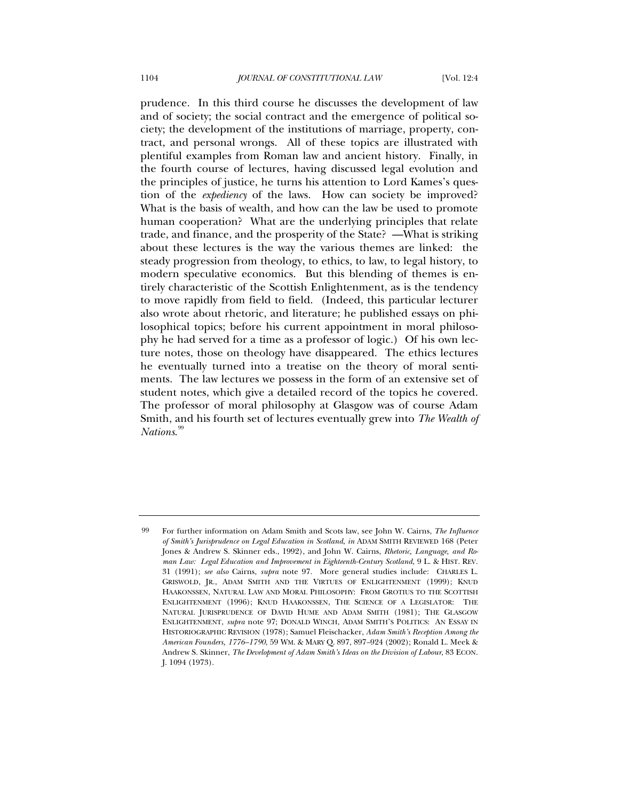prudence. In this third course he discusses the development of law and of society; the social contract and the emergence of political society; the development of the institutions of marriage, property, contract, and personal wrongs. All of these topics are illustrated with plentiful examples from Roman law and ancient history. Finally, in the fourth course of lectures, having discussed legal evolution and the principles of justice, he turns his attention to Lord Kames's question of the *expediency* of the laws. How can society be improved? What is the basis of wealth, and how can the law be used to promote human cooperation? What are the underlying principles that relate trade, and finance, and the prosperity of the State? —What is striking about these lectures is the way the various themes are linked: the steady progression from theology, to ethics, to law, to legal history, to modern speculative economics. But this blending of themes is entirely characteristic of the Scottish Enlightenment, as is the tendency to move rapidly from field to field. (Indeed, this particular lecturer also wrote about rhetoric, and literature; he published essays on philosophical topics; before his current appointment in moral philosophy he had served for a time as a professor of logic.) Of his own lecture notes, those on theology have disappeared. The ethics lectures he eventually turned into a treatise on the theory of moral sentiments. The law lectures we possess in the form of an extensive set of student notes, which give a detailed record of the topics he covered. The professor of moral philosophy at Glasgow was of course Adam Smith, and his fourth set of lectures eventually grew into *The Wealth of Nations*. [99](#page-52-0)

<span id="page-52-0"></span><sup>99</sup> For further information on Adam Smith and Scots law, see John W. Cairns, *The Influence of Smith's Jurisprudence on Legal Education in Scotland*, *in* ADAM SMITH REVIEWED 168 (Peter Jones & Andrew S. Skinner eds., 1992), and John W. Cairns, *Rhetoric, Language, and Roman Law: Legal Education and Improvement in Eighteenth-Century Scotland*, 9 L. & HIST. REV. 31 (1991); *see also* Cairns, *supra* note 97. More general studies include: CHARLES L. GRISWOLD, JR., ADAM SMITH AND THE VIRTUES OF ENLIGHTENMENT (1999); KNUD HAAKONSSEN, NATURAL LAW AND MORAL PHILOSOPHY: FROM GROTIUS TO THE SCOTTISH ENLIGHTENMENT (1996); KNUD HAAKONSSEN, THE SCIENCE OF A LEGISLATOR: THE NATURAL JURISPRUDENCE OF DAVID HUME AND ADAM SMITH (1981); THE GLASGOW ENLIGHTENMENT, *supra* note 97; DONALD WINCH, ADAM SMITH'S POLITICS: AN ESSAY IN HISTORIOGRAPHIC REVISION (1978); Samuel Fleischacker, *Adam Smith's Reception Among the American Founders, 1776–1790*, 59 WM. & MARY Q. 897, 897*–*924 (2002); Ronald L. Meek & Andrew S. Skinner, *The Development of Adam Smith's Ideas on the Division of Labour*, 83 ECON. J. 1094 (1973).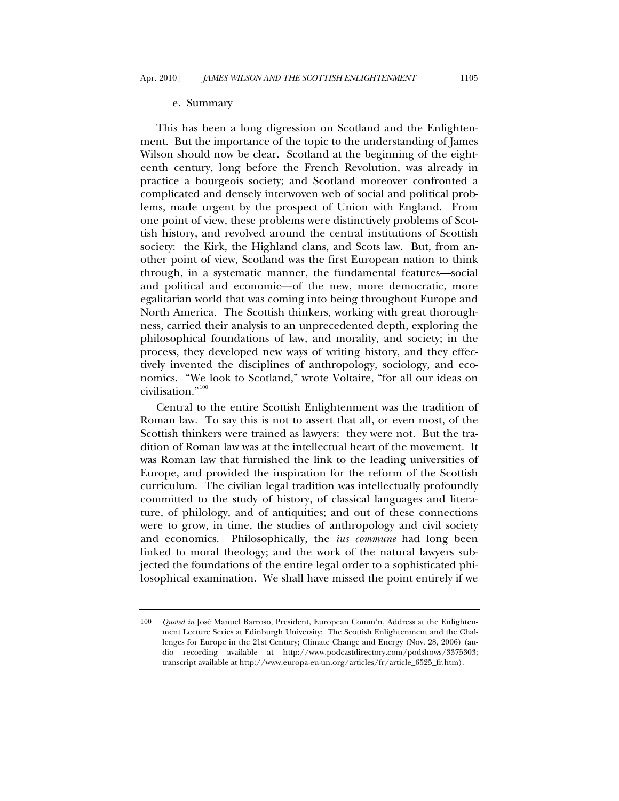#### e. Summary

<span id="page-53-0"></span>This has been a long digression on Scotland and the Enlightenment. But the importance of the topic to the understanding of James Wilson should now be clear. Scotland at the beginning of the eighteenth century, long before the French Revolution, was already in practice a bourgeois society; and Scotland moreover confronted a complicated and densely interwoven web of social and political problems, made urgent by the prospect of Union with England. From one point of view, these problems were distinctively problems of Scottish history, and revolved around the central institutions of Scottish society: the Kirk, the Highland clans, and Scots law. But, from another point of view, Scotland was the first European nation to think through, in a systematic manner, the fundamental features—social and political and economic—of the new, more democratic, more egalitarian world that was coming into being throughout Europe and North America. The Scottish thinkers, working with great thoroughness, carried their analysis to an unprecedented depth, exploring the philosophical foundations of law, and morality, and society; in the process, they developed new ways of writing history, and they effectively invented the disciplines of anthropology, sociology, and economics. "We look to Scotland," wrote Voltaire, "for all our ideas on civilisation."[100](#page-53-1)

Central to the entire Scottish Enlightenment was the tradition of Roman law. To say this is not to assert that all, or even most, of the Scottish thinkers were trained as lawyers: they were not. But the tradition of Roman law was at the intellectual heart of the movement. It was Roman law that furnished the link to the leading universities of Europe, and provided the inspiration for the reform of the Scottish curriculum. The civilian legal tradition was intellectually profoundly committed to the study of history, of classical languages and literature, of philology, and of antiquities; and out of these connections were to grow, in time, the studies of anthropology and civil society and economics. Philosophically, the *ius commune* had long been linked to moral theology; and the work of the natural lawyers subjected the foundations of the entire legal order to a sophisticated philosophical examination. We shall have missed the point entirely if we

<span id="page-53-1"></span><sup>100</sup> *Quoted in* José Manuel Barroso, President, European Comm'n, Address at the Enlightenment Lecture Series at Edinburgh University: The Scottish Enlightenment and the Challenges for Europe in the 21st Century; Climate Change and Energy (Nov. 28, 2006) (audio recording available at http://www.podcastdirectory.com/podshows/3375303; transcript available at http://www.europa-eu-un.org/articles/fr/article\_6525\_fr.htm).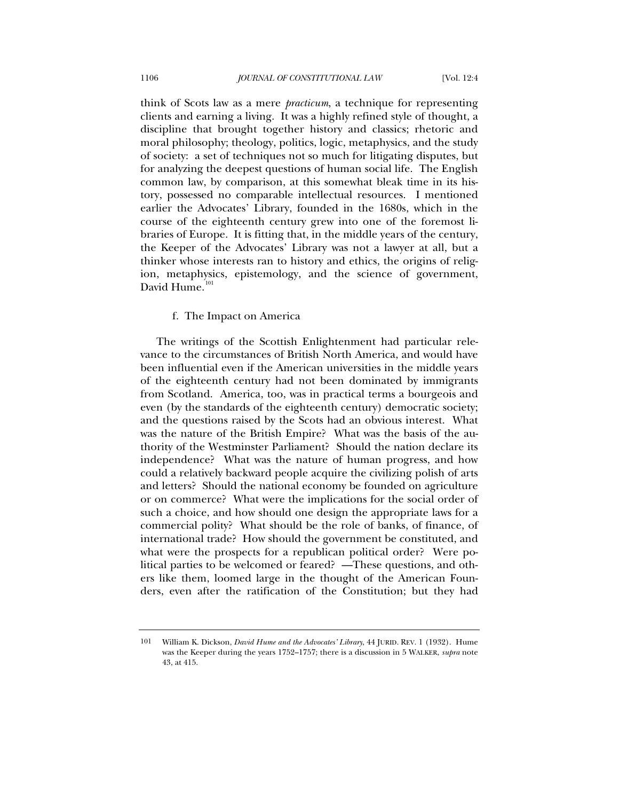<span id="page-54-0"></span>think of Scots law as a mere *practicum*, a technique for representing clients and earning a living. It was a highly refined style of thought, a discipline that brought together history and classics; rhetoric and moral philosophy; theology, politics, logic, metaphysics, and the study of society: a set of techniques not so much for litigating disputes, but for analyzing the deepest questions of human social life. The English common law, by comparison, at this somewhat bleak time in its history, possessed no comparable intellectual resources. I mentioned earlier the Advocates' Library, founded in the 1680s, which in the course of the eighteenth century grew into one of the foremost libraries of Europe. It is fitting that, in the middle years of the century, the Keeper of the Advocates' Library was not a lawyer at all, but a thinker whose interests ran to history and ethics, the origins of religion, metaphysics, epistemology, and the science of government, David Hume.<sup>[101](#page-54-1)</sup>

# f. The Impact on America

The writings of the Scottish Enlightenment had particular relevance to the circumstances of British North America, and would have been influential even if the American universities in the middle years of the eighteenth century had not been dominated by immigrants from Scotland. America, too, was in practical terms a bourgeois and even (by the standards of the eighteenth century) democratic society; and the questions raised by the Scots had an obvious interest. What was the nature of the British Empire? What was the basis of the authority of the Westminster Parliament? Should the nation declare its independence? What was the nature of human progress, and how could a relatively backward people acquire the civilizing polish of arts and letters? Should the national economy be founded on agriculture or on commerce? What were the implications for the social order of such a choice, and how should one design the appropriate laws for a commercial polity? What should be the role of banks, of finance, of international trade? How should the government be constituted, and what were the prospects for a republican political order? Were political parties to be welcomed or feared? —These questions, and others like them, loomed large in the thought of the American Founders, even after the ratification of the Constitution; but they had

<span id="page-54-1"></span><sup>101</sup> William K. Dickson, *David Hume and the Advocates' Library*, 44 JURID. REV. 1 (1932). Hume was the Keeper during the years 1752–1757; there is a discussion in 5 WALKER, *supra* note 43, at 415.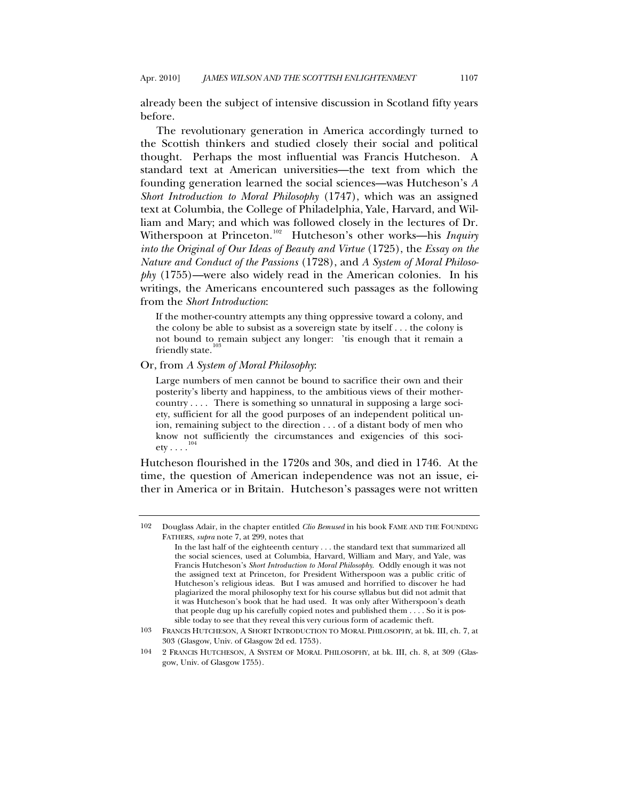already been the subject of intensive discussion in Scotland fifty years before.

The revolutionary generation in America accordingly turned to the Scottish thinkers and studied closely their social and political thought. Perhaps the most influential was Francis Hutcheson. A standard text at American universities—the text from which the founding generation learned the social sciences—was Hutcheson's *A Short Introduction to Moral Philosophy* (1747), which was an assigned text at Columbia, the College of Philadelphia, Yale, Harvard, and William and Mary; and which was followed closely in the lectures of Dr. Witherspoon at Princeton.<sup>[102](#page-55-0)</sup> Hutcheson's other works—his *Inquiry into the Original of Our Ideas of Beauty and Virtue* (1725), the *Essay on the Nature and Conduct of the Passions* (1728), and *A System of Moral Philosophy* (1755)—were also widely read in the American colonies. In his writings, the Americans encountered such passages as the following from the *Short Introduction*:

If the mother-country attempts any thing oppressive toward a colony, and the colony be able to subsist as a sovereign state by itself . . . the colony is not bound to remain subject any longer: 'tis enough that it remain a friendly state.

Or, from *A System of Moral Philosophy*:

Large numbers of men cannot be bound to sacrifice their own and their posterity's liberty and happiness, to the ambitious views of their mothercountry  $\dots$ . There is something so unnatural in supposing a large society, sufficient for all the good purposes of an independent political union, remaining subject to the direction . . . of a distant body of men who know not sufficiently the circumstances and exigencies of this society  $\ldots$ .<sup>[104](#page-55-2)</sup>

Hutcheson flourished in the 1720s and 30s, and died in 1746. At the time, the question of American independence was not an issue, either in America or in Britain. Hutcheson's passages were not written

<span id="page-55-0"></span><sup>102</sup> Douglass Adair, in the chapter entitled *Clio Bemused* in his book FAME AND THE FOUNDING FATHERS, *supra* note 7, at 299, notes that

In the last half of the eighteenth century . . . the standard text that summarized all the social sciences, used at Columbia, Harvard, William and Mary, and Yale, was Francis Hutcheson's *Short Introduction to Moral Philosophy*. Oddly enough it was not the assigned text at Princeton, for President Witherspoon was a public critic of Hutcheson's religious ideas. But I was amused and horrified to discover he had plagiarized the moral philosophy text for his course syllabus but did not admit that it was Hutcheson's book that he had used. It was only after Witherspoon's death that people dug up his carefully copied notes and published them . . . . So it is possible today to see that they reveal this very curious form of academic theft.

<span id="page-55-1"></span><sup>103</sup> FRANCIS HUTCHESON, A SHORT INTRODUCTION TO MORAL PHILOSOPHY, at bk. III, ch. 7, at 303 (Glasgow, Univ. of Glasgow 2d ed. 1753).

<span id="page-55-2"></span><sup>104 2</sup> FRANCIS HUTCHESON, A SYSTEM OF MORAL PHILOSOPHY, at bk. III, ch. 8, at 309 (Glasgow, Univ. of Glasgow 1755).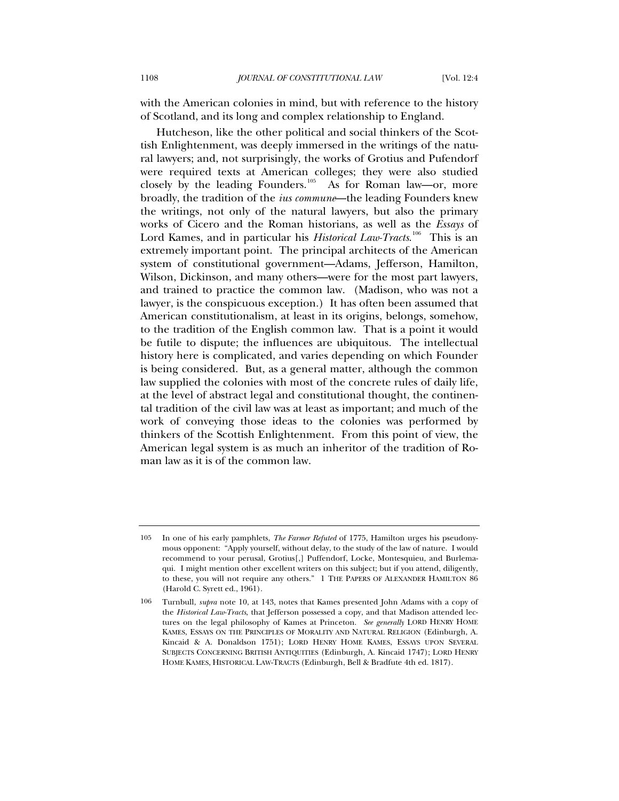with the American colonies in mind, but with reference to the history of Scotland, and its long and complex relationship to England.

Hutcheson, like the other political and social thinkers of the Scottish Enlightenment, was deeply immersed in the writings of the natural lawyers; and, not surprisingly, the works of Grotius and Pufendorf were required texts at American colleges; they were also studied closely by the leading Founders.<sup>[105](#page-56-0)</sup> As for Roman law—or, more broadly, the tradition of the *ius commune*—the leading Founders knew the writings, not only of the natural lawyers, but also the primary works of Cicero and the Roman historians, as well as the *Essays* of Lord Kames, and in particular his *Historical Law-Tracts*.<sup>[106](#page-56-1)</sup> This is an extremely important point. The principal architects of the American system of constitutional government—Adams, Jefferson, Hamilton, Wilson, Dickinson, and many others—were for the most part lawyers, and trained to practice the common law. (Madison, who was not a lawyer, is the conspicuous exception.) It has often been assumed that American constitutionalism, at least in its origins, belongs, somehow, to the tradition of the English common law. That is a point it would be futile to dispute; the influences are ubiquitous. The intellectual history here is complicated, and varies depending on which Founder is being considered. But, as a general matter, although the common law supplied the colonies with most of the concrete rules of daily life, at the level of abstract legal and constitutional thought, the continental tradition of the civil law was at least as important; and much of the work of conveying those ideas to the colonies was performed by thinkers of the Scottish Enlightenment. From this point of view, the American legal system is as much an inheritor of the tradition of Roman law as it is of the common law.

<span id="page-56-0"></span><sup>105</sup> In one of his early pamphlets, *The Farmer Refuted* of 1775, Hamilton urges his pseudonymous opponent: "Apply yourself, without delay, to the study of the law of nature. I would recommend to your perusal, Grotius[,] Puffendorf, Locke, Montesquieu, and Burlemaqui. I might mention other excellent writers on this subject; but if you attend, diligently, to these, you will not require any others." 1 THE PAPERS OF ALEXANDER HAMILTON 86 (Harold C. Syrett ed., 1961).

<span id="page-56-1"></span><sup>106</sup> Turnbull, *supra* note 10, at 143, notes that Kames presented John Adams with a copy of the *Historical Law-Tracts*, that Jefferson possessed a copy, and that Madison attended lectures on the legal philosophy of Kames at Princeton. *See generally* LORD HENRY HOME KAMES, ESSAYS ON THE PRINCIPLES OF MORALITY AND NATURAL RELIGION (Edinburgh, A. Kincaid & A. Donaldson 1751); LORD HENRY HOME KAMES, ESSAYS UPON SEVERAL SUBJECTS CONCERNING BRITISH ANTIQUITIES (Edinburgh, A. Kincaid 1747); LORD HENRY HOME KAMES, HISTORICAL LAW-TRACTS (Edinburgh, Bell & Bradfute 4th ed. 1817).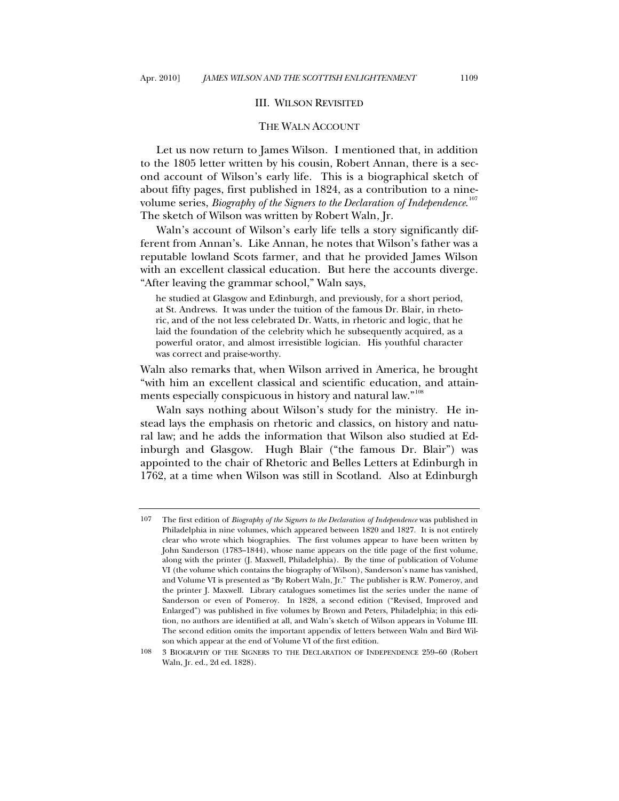## III. WILSON REVISITED

# THE WALN ACCOUNT

<span id="page-57-0"></span>Let us now return to James Wilson. I mentioned that, in addition to the 1805 letter written by his cousin, Robert Annan, there is a second account of Wilson's early life. This is a biographical sketch of about fifty pages, first published in 1824, as a contribution to a ninevolume series, *Biography of the Signers to the Declaration of Independence*. [107](#page-57-1) The sketch of Wilson was written by Robert Waln, Jr.

Waln's account of Wilson's early life tells a story significantly different from Annan's. Like Annan, he notes that Wilson's father was a reputable lowland Scots farmer, and that he provided James Wilson with an excellent classical education. But here the accounts diverge. "After leaving the grammar school," Waln says,

he studied at Glasgow and Edinburgh, and previously, for a short period, at St. Andrews. It was under the tuition of the famous Dr. Blair, in rhetoric, and of the not less celebrated Dr. Watts, in rhetoric and logic, that he laid the foundation of the celebrity which he subsequently acquired, as a powerful orator, and almost irresistible logician. His youthful character was correct and praise-worthy.

Waln also remarks that, when Wilson arrived in America, he brought "with him an excellent classical and scientific education, and attain-ments especially conspicuous in history and natural law."<sup>[108](#page-57-2)</sup>

Waln says nothing about Wilson's study for the ministry. He instead lays the emphasis on rhetoric and classics, on history and natural law; and he adds the information that Wilson also studied at Edinburgh and Glasgow. Hugh Blair ("the famous Dr. Blair") was appointed to the chair of Rhetoric and Belles Letters at Edinburgh in 1762, at a time when Wilson was still in Scotland. Also at Edinburgh

<span id="page-57-1"></span><sup>107</sup> The first edition of *Biography of the Signers to the Declaration of Independence* was published in Philadelphia in nine volumes, which appeared between 1820 and 1827. It is not entirely clear who wrote which biographies. The first volumes appear to have been written by John Sanderson (1783–1844), whose name appears on the title page of the first volume, along with the printer (J. Maxwell, Philadelphia). By the time of publication of Volume VI (the volume which contains the biography of Wilson), Sanderson's name has vanished, and Volume VI is presented as "By Robert Waln, Jr." The publisher is R.W. Pomeroy, and the printer J. Maxwell. Library catalogues sometimes list the series under the name of Sanderson or even of Pomeroy. In 1828, a second edition ("Revised, Improved and Enlarged") was published in five volumes by Brown and Peters, Philadelphia; in this edition, no authors are identified at all, and Waln's sketch of Wilson appears in Volume III. The second edition omits the important appendix of letters between Waln and Bird Wilson which appear at the end of Volume VI of the first edition.

<span id="page-57-2"></span><sup>108 3</sup> BIOGRAPHY OF THE SIGNERS TO THE DECLARATION OF INDEPENDENCE 259–60 (Robert Waln, Jr. ed., 2d ed. 1828).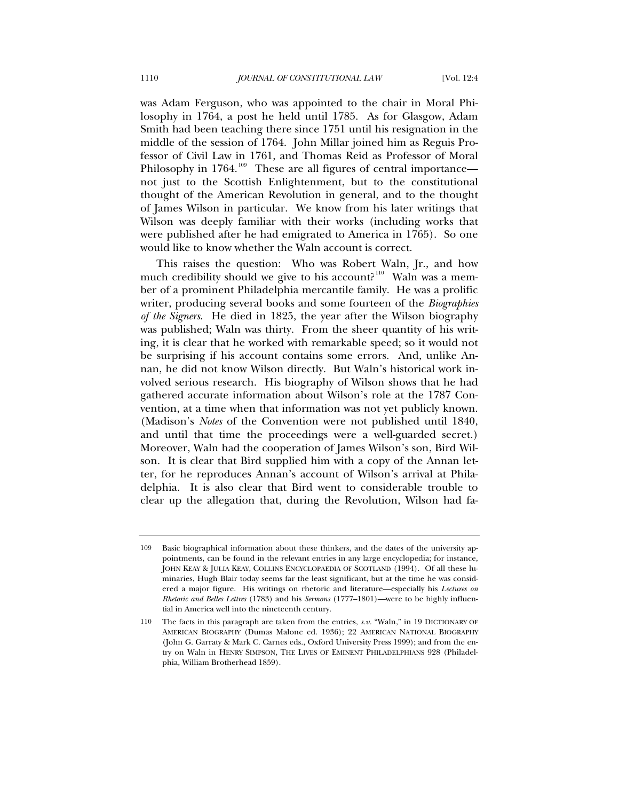was Adam Ferguson, who was appointed to the chair in Moral Philosophy in 1764, a post he held until 1785. As for Glasgow, Adam Smith had been teaching there since 1751 until his resignation in the middle of the session of 1764. John Millar joined him as Reguis Professor of Civil Law in 1761, and Thomas Reid as Professor of Moral Philosophy in 1764.<sup>[109](#page-58-0)</sup> These are all figures of central importance not just to the Scottish Enlightenment, but to the constitutional thought of the American Revolution in general, and to the thought of James Wilson in particular. We know from his later writings that Wilson was deeply familiar with their works (including works that were published after he had emigrated to America in 1765). So one would like to know whether the Waln account is correct.

This raises the question: Who was Robert Waln, Jr., and how much credibility should we give to his account?<sup>[110](#page-58-1)</sup> Waln was a member of a prominent Philadelphia mercantile family. He was a prolific writer, producing several books and some fourteen of the *Biographies of the Signers*. He died in 1825, the year after the Wilson biography was published; Waln was thirty. From the sheer quantity of his writing, it is clear that he worked with remarkable speed; so it would not be surprising if his account contains some errors. And, unlike Annan, he did not know Wilson directly. But Waln's historical work involved serious research. His biography of Wilson shows that he had gathered accurate information about Wilson's role at the 1787 Convention, at a time when that information was not yet publicly known. (Madison's *Notes* of the Convention were not published until 1840, and until that time the proceedings were a well-guarded secret.) Moreover, Waln had the cooperation of James Wilson's son, Bird Wilson. It is clear that Bird supplied him with a copy of the Annan letter, for he reproduces Annan's account of Wilson's arrival at Philadelphia. It is also clear that Bird went to considerable trouble to clear up the allegation that, during the Revolution, Wilson had fa-

<span id="page-58-0"></span><sup>109</sup> Basic biographical information about these thinkers, and the dates of the university appointments, can be found in the relevant entries in any large encyclopedia; for instance, JOHN KEAY & JULIA KEAY, COLLINS ENCYCLOPAEDIA OF SCOTLAND (1994). Of all these luminaries, Hugh Blair today seems far the least significant, but at the time he was considered a major figure. His writings on rhetoric and literature—especially his *Lectures on Rhetoric and Belles Lettres* (1783) and his *Sermons* (1777–1801)—were to be highly influential in America well into the nineteenth century.

<span id="page-58-1"></span><sup>110</sup> The facts in this paragraph are taken from the entries, *s.v.* "Waln," in 19 DICTIONARY OF AMERICAN BIOGRAPHY (Dumas Malone ed. 1936); 22 AMERICAN NATIONAL BIOGRAPHY (John G. Garraty & Mark C. Carnes eds., Oxford University Press 1999); and from the entry on Waln in HENRY SIMPSON, THE LIVES OF EMINENT PHILADELPHIANS 928 (Philadelphia, William Brotherhead 1859).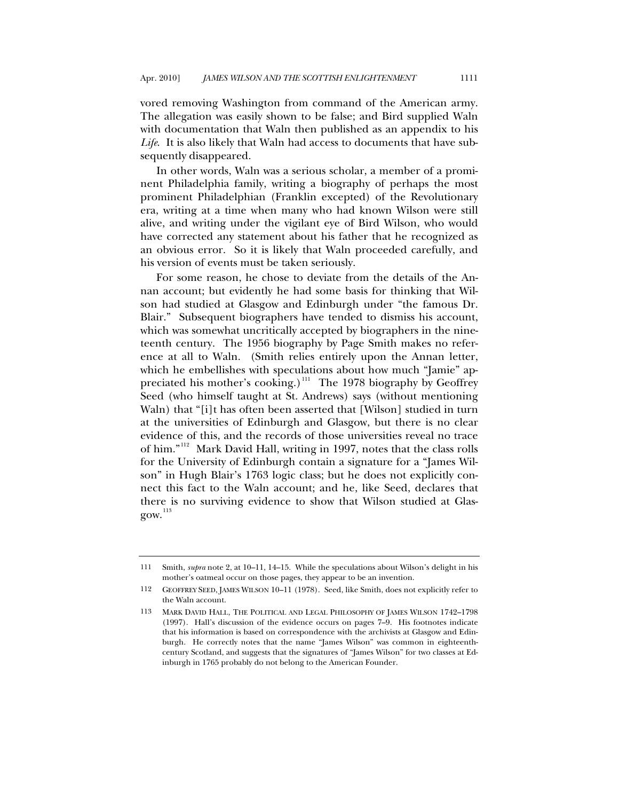vored removing Washington from command of the American army. The allegation was easily shown to be false; and Bird supplied Waln with documentation that Waln then published as an appendix to his *Life*. It is also likely that Waln had access to documents that have subsequently disappeared.

In other words, Waln was a serious scholar, a member of a prominent Philadelphia family, writing a biography of perhaps the most prominent Philadelphian (Franklin excepted) of the Revolutionary era, writing at a time when many who had known Wilson were still alive, and writing under the vigilant eye of Bird Wilson, who would have corrected any statement about his father that he recognized as an obvious error. So it is likely that Waln proceeded carefully, and his version of events must be taken seriously.

For some reason, he chose to deviate from the details of the Annan account; but evidently he had some basis for thinking that Wilson had studied at Glasgow and Edinburgh under "the famous Dr. Blair." Subsequent biographers have tended to dismiss his account, which was somewhat uncritically accepted by biographers in the nineteenth century. The 1956 biography by Page Smith makes no reference at all to Waln. (Smith relies entirely upon the Annan letter, which he embellishes with speculations about how much "Jamie" ap-preciated his mother's cooking.)<sup>[111](#page-59-0)</sup> The 1978 biography by Geoffrey Seed (who himself taught at St. Andrews) says (without mentioning Waln) that "[i]t has often been asserted that [Wilson] studied in turn at the universities of Edinburgh and Glasgow, but there is no clear evidence of this, and the records of those universities reveal no trace of him."[112](#page-59-1) Mark David Hall, writing in 1997, notes that the class rolls for the University of Edinburgh contain a signature for a "James Wilson" in Hugh Blair's 1763 logic class; but he does not explicitly connect this fact to the Waln account; and he, like Seed, declares that there is no surviving evidence to show that Wilson studied at Glas- $gow.<sup>113</sup>$  $gow.<sup>113</sup>$  $gow.<sup>113</sup>$ 

<span id="page-59-0"></span><sup>111</sup> Smith, *supra* note 2, at 10–11, 14–15. While the speculations about Wilson's delight in his mother's oatmeal occur on those pages, they appear to be an invention.

<span id="page-59-1"></span><sup>112</sup> GEOFFREY SEED, JAMES WILSON 10–11 (1978). Seed, like Smith, does not explicitly refer to the Waln account.

<span id="page-59-2"></span><sup>113</sup> MARK DAVID HALL, THE POLITICAL AND LEGAL PHILOSOPHY OF JAMES WILSON 1742–1798 (1997). Hall's discussion of the evidence occurs on pages 7–9. His footnotes indicate that his information is based on correspondence with the archivists at Glasgow and Edinburgh. He correctly notes that the name "James Wilson" was common in eighteenthcentury Scotland, and suggests that the signatures of "James Wilson" for two classes at Edinburgh in 1765 probably do not belong to the American Founder.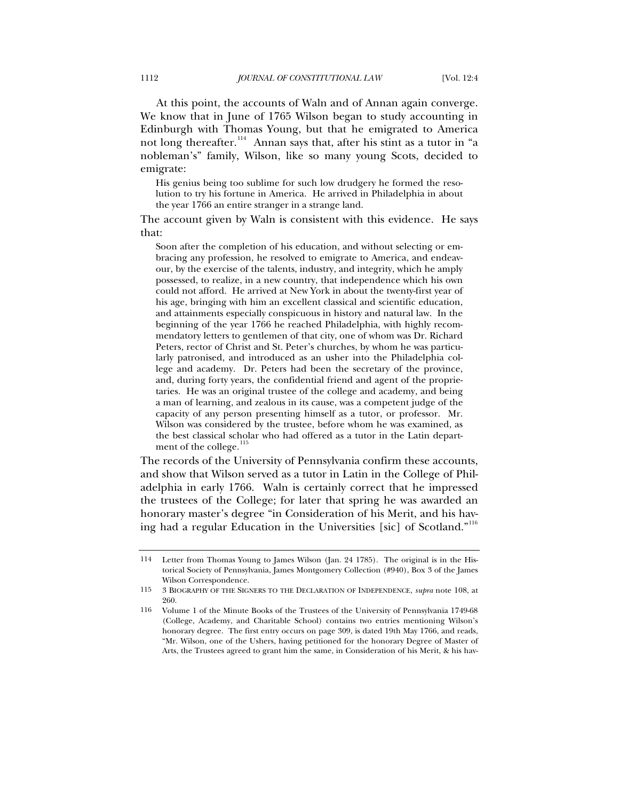At this point, the accounts of Waln and of Annan again converge. We know that in June of 1765 Wilson began to study accounting in Edinburgh with Thomas Young, but that he emigrated to America not long thereafter.<sup>[114](#page-60-0)</sup> Annan says that, after his stint as a tutor in "a nobleman's" family, Wilson, like so many young Scots, decided to emigrate:

His genius being too sublime for such low drudgery he formed the resolution to try his fortune in America. He arrived in Philadelphia in about the year 1766 an entire stranger in a strange land.

The account given by Waln is consistent with this evidence. He says that:

Soon after the completion of his education, and without selecting or embracing any profession, he resolved to emigrate to America, and endeavour, by the exercise of the talents, industry, and integrity, which he amply possessed, to realize, in a new country, that independence which his own could not afford. He arrived at New York in about the twenty-first year of his age, bringing with him an excellent classical and scientific education, and attainments especially conspicuous in history and natural law. In the beginning of the year 1766 he reached Philadelphia, with highly recommendatory letters to gentlemen of that city, one of whom was Dr. Richard Peters, rector of Christ and St. Peter's churches, by whom he was particularly patronised, and introduced as an usher into the Philadelphia college and academy. Dr. Peters had been the secretary of the province, and, during forty years, the confidential friend and agent of the proprietaries. He was an original trustee of the college and academy, and being a man of learning, and zealous in its cause, was a competent judge of the capacity of any person presenting himself as a tutor, or professor. Mr. Wilson was considered by the trustee, before whom he was examined, as the best classical scholar who had offered as a tutor in the Latin depart-ment of the college.<sup>[115](#page-60-1)</sup>

The records of the University of Pennsylvania confirm these accounts, and show that Wilson served as a tutor in Latin in the College of Philadelphia in early 1766. Waln is certainly correct that he impressed the trustees of the College; for later that spring he was awarded an honorary master's degree "in Consideration of his Merit, and his having had a regular Education in the Universities [sic] of Scotland."[116](#page-60-2)

<span id="page-60-0"></span><sup>114</sup> Letter from Thomas Young to James Wilson (Jan. 24 1785). The original is in the Historical Society of Pennsylvania, James Montgomery Collection (#940), Box 3 of the James Wilson Correspondence.

<span id="page-60-1"></span><sup>115 3</sup> BIOGRAPHY OF THE SIGNERS TO THE DECLARATION OF INDEPENDENCE, *supra* note 108, at 260.

<span id="page-60-2"></span><sup>116</sup> Volume 1 of the Minute Books of the Trustees of the University of Pennsylvania 1749-68 (College, Academy, and Charitable School) contains two entries mentioning Wilson's honorary degree. The first entry occurs on page 309, is dated 19th May 1766, and reads, "Mr. Wilson, one of the Ushers, having petitioned for the honorary Degree of Master of Arts, the Trustees agreed to grant him the same, in Consideration of his Merit, & his hav-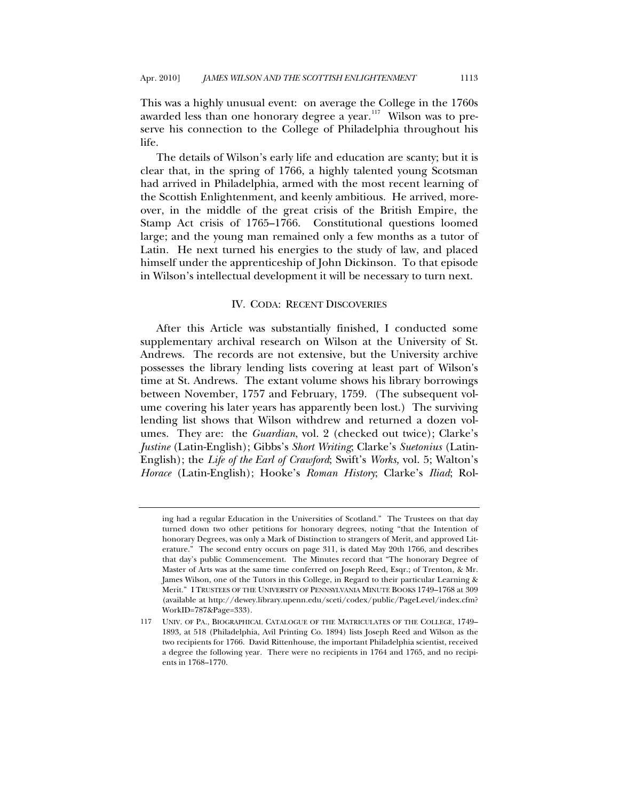<span id="page-61-0"></span>This was a highly unusual event: on average the College in the 1760s awarded less than one honorary degree a year.<sup>[117](#page-61-1)</sup> Wilson was to preserve his connection to the College of Philadelphia throughout his life.

The details of Wilson's early life and education are scanty; but it is clear that, in the spring of 1766, a highly talented young Scotsman had arrived in Philadelphia, armed with the most recent learning of the Scottish Enlightenment, and keenly ambitious. He arrived, moreover, in the middle of the great crisis of the British Empire, the Stamp Act crisis of 1765–1766. Constitutional questions loomed large; and the young man remained only a few months as a tutor of Latin. He next turned his energies to the study of law, and placed himself under the apprenticeship of John Dickinson. To that episode in Wilson's intellectual development it will be necessary to turn next.

#### IV. CODA: RECENT DISCOVERIES

After this Article was substantially finished, I conducted some supplementary archival research on Wilson at the University of St. Andrews. The records are not extensive, but the University archive possesses the library lending lists covering at least part of Wilson's time at St. Andrews. The extant volume shows his library borrowings between November, 1757 and February, 1759. (The subsequent volume covering his later years has apparently been lost.) The surviving lending list shows that Wilson withdrew and returned a dozen volumes. They are: the *Guardian*, vol. 2 (checked out twice); Clarke's *Justine* (Latin-English); Gibbs's *Short Writing*; Clarke's *Suetonius* (Latin-English); the *Life of the Earl of Crawford*; Swift's *Works,* vol. 5; Walton's *Horace* (Latin-English); Hooke's *Roman History*; Clarke's *Iliad*; Rol-

ing had a regular Education in the Universities of Scotland." The Trustees on that day turned down two other petitions for honorary degrees, noting "that the Intention of honorary Degrees, was only a Mark of Distinction to strangers of Merit, and approved Literature." The second entry occurs on page 311, is dated May 20th 1766, and describes that day's public Commencement. The Minutes record that "The honorary Degree of Master of Arts was at the same time conferred on Joseph Reed, Esqr.; of Trenton, & Mr. James Wilson, one of the Tutors in this College, in Regard to their particular Learning & Merit." I TRUSTEES OF THE UNIVERSITY OF PENNSYLVANIA MINUTE BOOKS 1749–1768 at 309 (available at http://dewey.library.upenn.edu/sceti/codex/public/PageLevel/index.cfm? WorkID=787&Page=333).

<span id="page-61-1"></span><sup>117</sup> UNIV. OF PA., BIOGRAPHICAL CATALOGUE OF THE MATRICULATES OF THE COLLEGE, 1749– 1893, at 518 (Philadelphia, Avil Printing Co. 1894) lists Joseph Reed and Wilson as the two recipients for 1766. David Rittenhouse, the important Philadelphia scientist, received a degree the following year. There were no recipients in 1764 and 1765, and no recipients in 1768–1770.